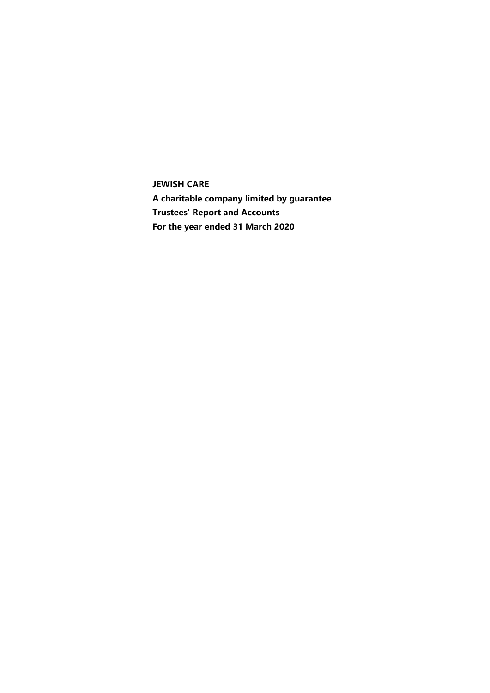**JEWISH CARE A charitable company limited by guarantee Trustees' Report and Accounts For the year ended 31 March 2020**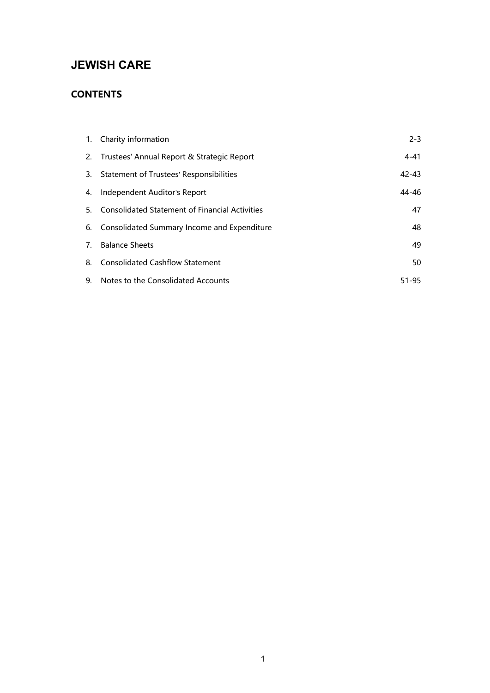## **CONTENTS**

| 1. Charity information                            | $2 - 3$   |
|---------------------------------------------------|-----------|
| 2. Trustees' Annual Report & Strategic Report     | $4 - 41$  |
| 3. Statement of Trustees' Responsibilities        | 42-43     |
| 4. Independent Auditor's Report                   | 44-46     |
| 5. Consolidated Statement of Financial Activities | 47        |
| 6. Consolidated Summary Income and Expenditure    | 48        |
| 7. Balance Sheets                                 | 49        |
| 8. Consolidated Cashflow Statement                | 50        |
| 9. Notes to the Consolidated Accounts             | $51 - 95$ |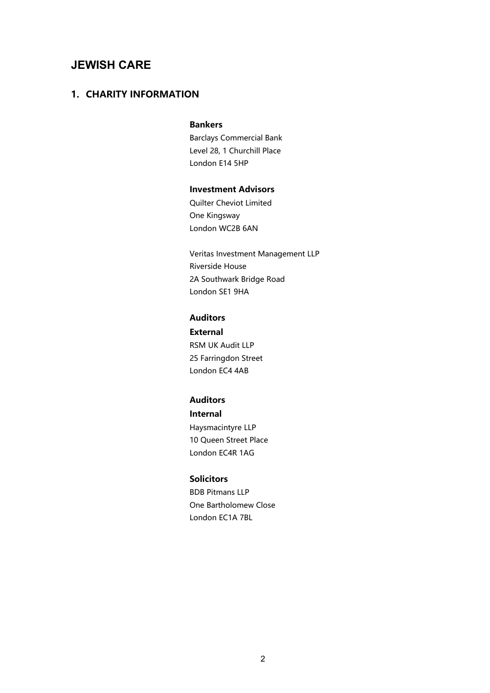## **1. CHARITY INFORMATION**

## **Bankers**

Barclays Commercial Bank Level 28, 1 Churchill Place London E14 5HP

## **Investment Advisors**

Quilter Cheviot Limited One Kingsway London WC2B 6AN

Veritas Investment Management LLP Riverside House 2A Southwark Bridge Road London SE1 9HA

## **Auditors**

**External** RSM UK Audit LLP 25 Farringdon Street London EC4 4AB

## **Auditors**

**Internal** Haysmacintyre LLP 10 Queen Street Place London EC4R 1AG

## **Solicitors**

BDB Pitmans LLP One Bartholomew Close London EC1A 7BL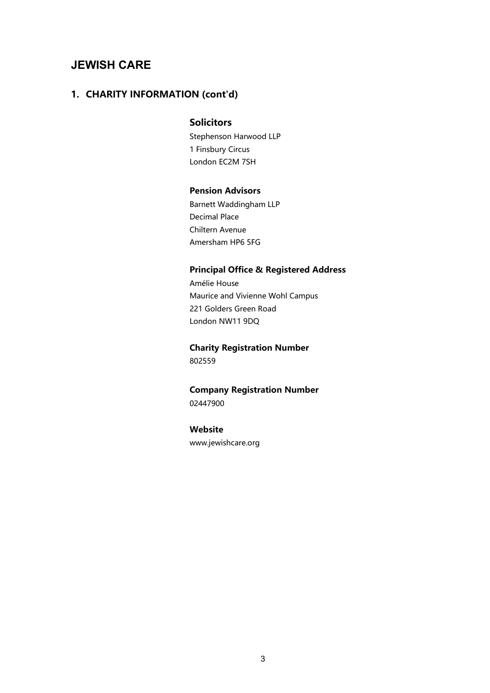## **1. CHARITY INFORMATION (cont'd)**

## **Solicitors**

Stephenson Harwood LLP 1 Finsbury Circus London EC2M 7SH

## **Pension Advisors**

Barnett Waddingham LLP Decimal Place Chiltern Avenue Amersham HP6 5FG

## **Principal Office & Registered Address**

Amélie House Maurice and Vivienne Wohl Campus 221 Golders Green Road London NW11 9DQ

## **Charity Registration Number** 802559

**Company Registration Number** 02447900

## **Website**

www.jewishcare.org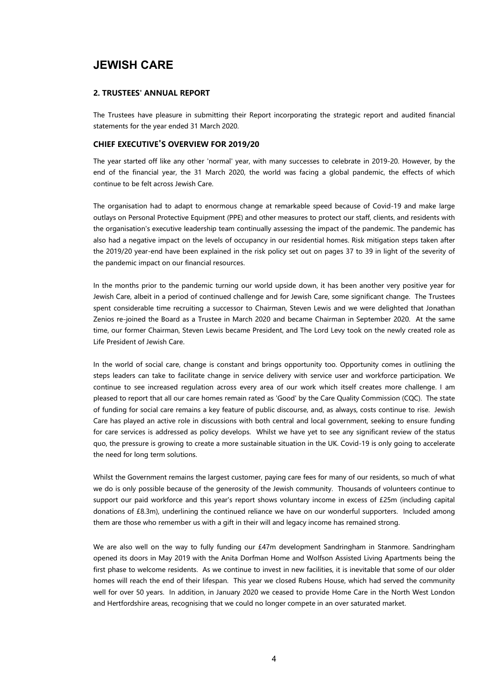### **2. TRUSTEES' ANNUAL REPORT**

The Trustees have pleasure in submitting their Report incorporating the strategic report and audited financial statements for the year ended 31 March 2020.

### **CHIEF EXECUTIVE'S OVERVIEW FOR 2019/20**

The year started off like any other 'normal' year, with many successes to celebrate in 2019-20. However, by the end of the financial year, the 31 March 2020, the world was facing a global pandemic, the effects of which continue to be felt across Jewish Care.

The organisation had to adapt to enormous change at remarkable speed because of Covid-19 and make large outlays on Personal Protective Equipment (PPE) and other measures to protect our staff, clients, and residents with the organisation's executive leadership team continually assessing the impact of the pandemic. The pandemic has also had a negative impact on the levels of occupancy in our residential homes. Risk mitigation steps taken after the 2019/20 year-end have been explained in the risk policy set out on pages 37 to 39 in light of the severity of the pandemic impact on our financial resources.

In the months prior to the pandemic turning our world upside down, it has been another very positive year for Jewish Care, albeit in a period of continued challenge and for Jewish Care, some significant change. The Trustees spent considerable time recruiting a successor to Chairman, Steven Lewis and we were delighted that Jonathan Zenios re-joined the Board as a Trustee in March 2020 and became Chairman in September 2020. At the same time, our former Chairman, Steven Lewis became President, and The Lord Levy took on the newly created role as Life President of Jewish Care.

In the world of social care, change is constant and brings opportunity too. Opportunity comes in outlining the steps leaders can take to facilitate change in service delivery with service user and workforce participation. We continue to see increased regulation across every area of our work which itself creates more challenge. I am pleased to report that all our care homes remain rated as 'Good' by the Care Quality Commission (CQC). The state of funding for social care remains a key feature of public discourse, and, as always, costs continue to rise. Jewish Care has played an active role in discussions with both central and local government, seeking to ensure funding for care services is addressed as policy develops. Whilst we have yet to see any significant review of the status quo, the pressure is growing to create a more sustainable situation in the UK. Covid-19 is only going to accelerate the need for long term solutions.

Whilst the Government remains the largest customer, paying care fees for many of our residents, so much of what we do is only possible because of the generosity of the Jewish community. Thousands of volunteers continue to support our paid workforce and this year's report shows voluntary income in excess of £25m (including capital donations of £8.3m), underlining the continued reliance we have on our wonderful supporters. Included among them are those who remember us with a gift in their will and legacy income has remained strong.

We are also well on the way to fully funding our £47m development Sandringham in Stanmore. Sandringham opened its doors in May 2019 with the Anita Dorfman Home and Wolfson Assisted Living Apartments being the first phase to welcome residents. As we continue to invest in new facilities, it is inevitable that some of our older homes will reach the end of their lifespan. This year we closed Rubens House, which had served the community well for over 50 years. In addition, in January 2020 we ceased to provide Home Care in the North West London and Hertfordshire areas, recognising that we could no longer compete in an over saturated market.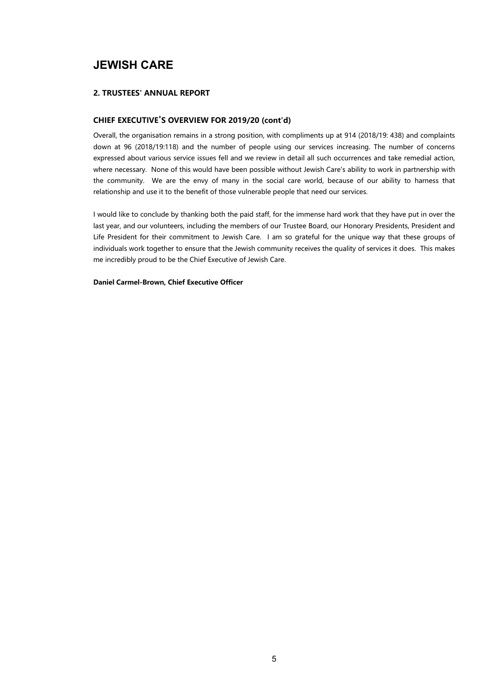## **2. TRUSTEES' ANNUAL REPORT**

## **CHIEF EXECUTIVE'S OVERVIEW FOR 2019/20 (cont'd)**

Overall, the organisation remains in a strong position, with compliments up at 914 (2018/19: 438) and complaints down at 96 (2018/19:118) and the number of people using our services increasing. The number of concerns expressed about various service issues fell and we review in detail all such occurrences and take remedial action, where necessary. None of this would have been possible without Jewish Care's ability to work in partnership with the community. We are the envy of many in the social care world, because of our ability to harness that relationship and use it to the benefit of those vulnerable people that need our services.

I would like to conclude by thanking both the paid staff, for the immense hard work that they have put in over the last year, and our volunteers, including the members of our Trustee Board, our Honorary Presidents, President and Life President for their commitment to Jewish Care. I am so grateful for the unique way that these groups of individuals work together to ensure that the Jewish community receives the quality of services it does. This makes me incredibly proud to be the Chief Executive of Jewish Care.

**Daniel Carmel-Brown, Chief Executive Officer**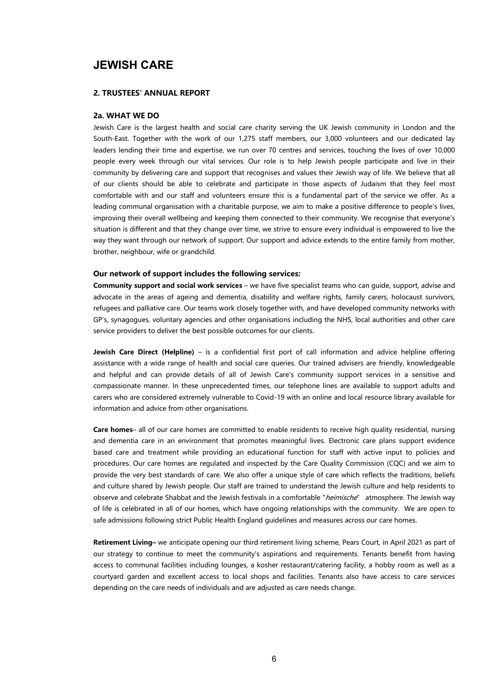### **2. TRUSTEES' ANNUAL REPORT**

### **2a. WHAT WE DO**

Jewish Care is the largest health and social care charity serving the UK Jewish community in London and the South-East. Together with the work of our 1,275 staff members, our 3,000 volunteers and our dedicated lay leaders lending their time and expertise, we run over 70 centres and services, touching the lives of over 10,000 people every week through our vital services. Our role is to help Jewish people participate and live in their community by delivering care and support that recognises and values their Jewish way of life. We believe that all of our clients should be able to celebrate and participate in those aspects of Judaism that they feel most comfortable with and our staff and volunteers ensure this is a fundamental part of the service we offer. As a leading communal organisation with a charitable purpose, we aim to make a positive difference to people's lives, improving their overall wellbeing and keeping them connected to their community. We recognise that everyone's situation is different and that they change over time, we strive to ensure every individual is empowered to live the way they want through our network of support. Our support and advice extends to the entire family from mother, brother, neighbour, wife or grandchild.

#### **Our network of support includes the following services:**

**Community support and social work services** – we have five specialist teams who can guide, support, advise and advocate in the areas of ageing and dementia, disability and welfare rights, family carers, holocaust survivors, refugees and palliative care. Our teams work closely together with, and have developed community networks with GP's, synagogues, voluntary agencies and other organisations including the NHS, local authorities and other care service providers to deliver the best possible outcomes for our clients.

**Jewish Care Direct (Helpline)** – is a confidential first port of call information and advice helpline offering assistance with a wide range of health and social care queries. Our trained advisers are friendly, knowledgeable and helpful and can provide details of all of Jewish Care's community support services in a sensitive and compassionate manner. In these unprecedented times, our telephone lines are available to support adults and carers who are considered extremely vulnerable to Covid-19 with an online and local resource library available for information and advice from other organisations.

**Care homes**– all of our care homes are committed to enable residents to receive high quality residential, nursing and dementia care in an environment that promotes meaningful lives. Electronic care plans support evidence based care and treatment while providing an educational function for staff with active input to policies and procedures. Our care homes are regulated and inspected by the Care Quality Commission (CQC) and we aim to provide the very best standards of care. We also offer a unique style of care which reflects the traditions, beliefs and culture shared by Jewish people. Our staff are trained to understand the Jewish culture and help residents to observe and celebrate Shabbat and the Jewish festivals in a comfortable "heimische" atmosphere. The Jewish way of life is celebrated in all of our homes, which have ongoing relationships with the community. We are open to safe admissions following strict Public Health England guidelines and measures across our care homes.

**Retirement Living–** we anticipate opening our third retirement living scheme, Pears Court, in April 2021 as part of our strategy to continue to meet the community's aspirations and requirements. Tenants benefit from having access to communal facilities including lounges, a kosher restaurant/catering facility, a hobby room as well as a courtyard garden and excellent access to local shops and facilities. Tenants also have access to care services depending on the care needs of individuals and are adjusted as care needs change.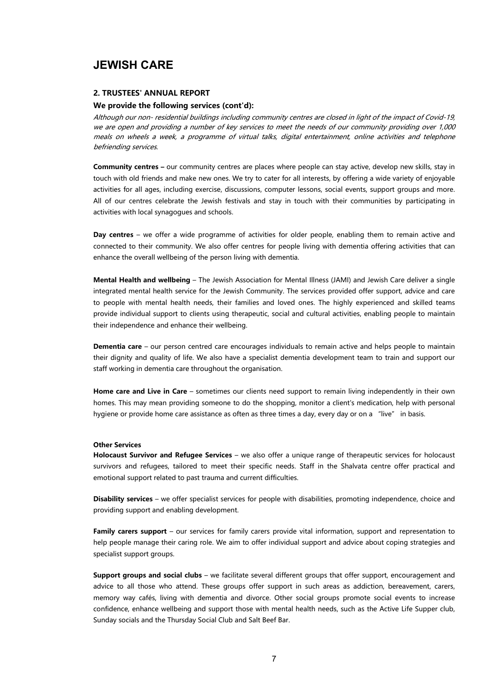### **2. TRUSTEES' ANNUAL REPORT**

#### **We provide the following services (cont'd):**

Although our non- residential buildings including community centres are closed in light of the impact of Covid-19, we are open and providing a number of key services to meet the needs of our community providing over 1,000 meals on wheels a week, a programme of virtual talks, digital entertainment, online activities and telephone befriending services.

**Community centres –** our community centres are places where people can stay active, develop new skills, stay in touch with old friends and make new ones. We try to cater for all interests, by offering a wide variety of enjoyable activities for all ages, including exercise, discussions, computer lessons, social events, support groups and more. All of our centres celebrate the Jewish festivals and stay in touch with their communities by participating in activities with local synagogues and schools.

**Day centres** – we offer a wide programme of activities for older people, enabling them to remain active and connected to their community. We also offer centres for people living with dementia offering activities that can enhance the overall wellbeing of the person living with dementia.

**Mental Health and wellbeing** – The Jewish Association for Mental Illness (JAMI) and Jewish Care deliver a single integrated mental health service for the Jewish Community. The services provided offer support, advice and care to people with mental health needs, their families and loved ones. The highly experienced and skilled teams provide individual support to clients using therapeutic, social and cultural activities, enabling people to maintain their independence and enhance their wellbeing.

**Dementia care** – our person centred care encourages individuals to remain active and helps people to maintain their dignity and quality of life. We also have a specialist dementia development team to train and support our staff working in dementia care throughout the organisation.

**Home care and Live in Care** – sometimes our clients need support to remain living independently in their own homes. This may mean providing someone to do the shopping, monitor a client's medication, help with personal hygiene or provide home care assistance as often as three times a day, every day or on a "live" in basis.

### **Other Services**

**Holocaust Survivor and Refugee Services** – we also offer a unique range of therapeutic services for holocaust survivors and refugees, tailored to meet their specific needs. Staff in the Shalvata centre offer practical and emotional support related to past trauma and current difficulties.

**Disability services** – we offer specialist services for people with disabilities, promoting independence, choice and providing support and enabling development.

**Family carers support** – our services for family carers provide vital information, support and representation to help people manage their caring role. We aim to offer individual support and advice about coping strategies and specialist support groups.

**Support groups and social clubs** – we facilitate several different groups that offer support, encouragement and advice to all those who attend. These groups offer support in such areas as addiction, bereavement, carers, memory way cafés, living with dementia and divorce. Other social groups promote social events to increase confidence, enhance wellbeing and support those with mental health needs, such as the Active Life Supper club, Sunday socials and the Thursday Social Club and Salt Beef Bar.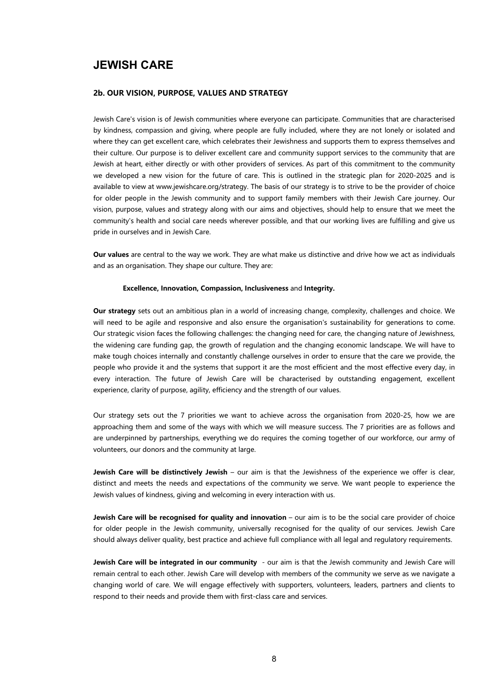### **2b. OUR VISION, PURPOSE, VALUES AND STRATEGY**

Jewish Care's vision is of Jewish communities where everyone can participate. Communities that are characterised by kindness, compassion and giving, where people are fully included, where they are not lonely or isolated and where they can get excellent care, which celebrates their Jewishness and supports them to express themselves and their culture. Our purpose is to deliver excellent care and community support services to the community that are Jewish at heart, either directly or with other providers of services. As part of this commitment to the community we developed a new vision for the future of care. This is outlined in the strategic plan for 2020-2025 and is available to view at www.jewishcare.org/strategy. The basis of our strategy is to strive to be the provider of choice for older people in the Jewish community and to support family members with their Jewish Care journey. Our vision, purpose, values and strategy along with our aims and objectives, should help to ensure that we meet the community's health and social care needs wherever possible, and that our working lives are fulfilling and give us pride in ourselves and in Jewish Care.

**Our values** are central to the way we work. They are what make us distinctive and drive how we act as individuals and as an organisation. They shape our culture. They are:

#### **Excellence, Innovation, Compassion, Inclusiveness** and **Integrity.**

**Our strategy** sets out an ambitious plan in a world of increasing change, complexity, challenges and choice. We will need to be agile and responsive and also ensure the organisation's sustainability for generations to come. Our strategic vision faces the following challenges: the changing need for care, the changing nature of Jewishness, the widening care funding gap, the growth of regulation and the changing economic landscape. We will have to make tough choices internally and constantly challenge ourselves in order to ensure that the care we provide, the people who provide it and the systems that support it are the most efficient and the most effective every day, in every interaction. The future of Jewish Care will be characterised by outstanding engagement, excellent experience, clarity of purpose, agility, efficiency and the strength of our values.

Our strategy sets out the 7 priorities we want to achieve across the organisation from 2020-25, how we are approaching them and some of the ways with which we will measure success. The 7 priorities are as follows and are underpinned by partnerships, everything we do requires the coming together of our workforce, our army of volunteers, our donors and the community at large.

**Jewish Care will be distinctively Jewish** – our aim is that the Jewishness of the experience we offer is clear, distinct and meets the needs and expectations of the community we serve. We want people to experience the Jewish values of kindness, giving and welcoming in every interaction with us.

**Jewish Care will be recognised for quality and innovation** – our aim is to be the social care provider of choice for older people in the Jewish community, universally recognised for the quality of our services. Jewish Care should always deliver quality, best practice and achieve full compliance with all legal and regulatory requirements.

**Jewish Care will be integrated in our community** - our aim is that the Jewish community and Jewish Care will remain central to each other. Jewish Care will develop with members of the community we serve as we navigate a changing world of care. We will engage effectively with supporters, volunteers, leaders, partners and clients to respond to their needs and provide them with first-class care and services.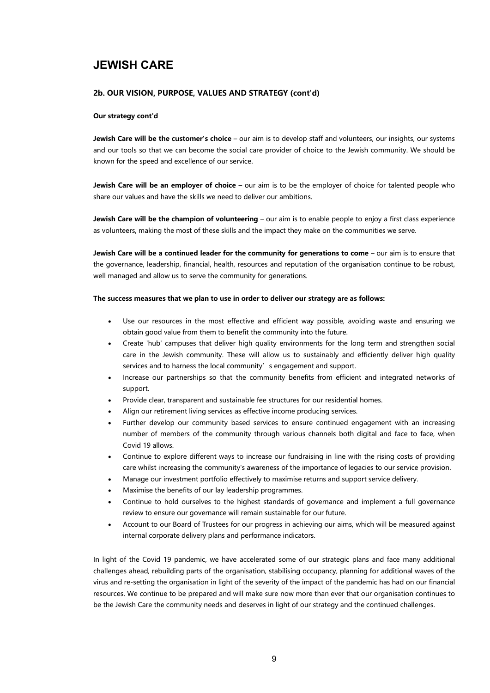### **2b. OUR VISION, PURPOSE, VALUES AND STRATEGY (cont'd)**

#### **Our strategy cont'd**

**Jewish Care will be the customer's choice** – our aim is to develop staff and volunteers, our insights, our systems and our tools so that we can become the social care provider of choice to the Jewish community. We should be known for the speed and excellence of our service.

**Jewish Care will be an employer of choice** – our aim is to be the employer of choice for talented people who share our values and have the skills we need to deliver our ambitions.

**Jewish Care will be the champion of volunteering** – our aim is to enable people to enjoy a first class experience as volunteers, making the most of these skills and the impact they make on the communities we serve.

**Jewish Care will be a continued leader for the community for generations to come - our aim is to ensure that** the governance, leadership, financial, health, resources and reputation of the organisation continue to be robust, well managed and allow us to serve the community for generations.

#### **The success measures that we plan to use in order to deliver our strategy are as follows:**

- Use our resources in the most effective and efficient way possible, avoiding waste and ensuring we obtain good value from them to benefit the community into the future.
- Create 'hub' campuses that deliver high quality environments for the long term and strengthen social care in the Jewish community. These will allow us to sustainably and efficiently deliver high quality services and to harness the local community' s engagement and support.
- Increase our partnerships so that the community benefits from efficient and integrated networks of support.
- Provide clear, transparent and sustainable fee structures for our residential homes.
- Align our retirement living services as effective income producing services.
- Further develop our community based services to ensure continued engagement with an increasing number of members of the community through various channels both digital and face to face, when Covid 19 allows.
- Continue to explore different ways to increase our fundraising in line with the rising costs of providing care whilst increasing the community's awareness of the importance of legacies to our service provision.
- Manage our investment portfolio effectively to maximise returns and support service delivery.
- Maximise the benefits of our lay leadership programmes.
- Continue to hold ourselves to the highest standards of governance and implement a full governance review to ensure our governance will remain sustainable for our future.
- Account to our Board of Trustees for our progress in achieving our aims, which will be measured against internal corporate delivery plans and performance indicators.

In light of the Covid 19 pandemic, we have accelerated some of our strategic plans and face many additional challenges ahead, rebuilding parts of the organisation, stabilising occupancy, planning for additional waves of the virus and re-setting the organisation in light of the severity of the impact of the pandemic has had on our financial resources. We continue to be prepared and will make sure now more than ever that our organisation continues to be the Jewish Care the community needs and deserves in light of our strategy and the continued challenges.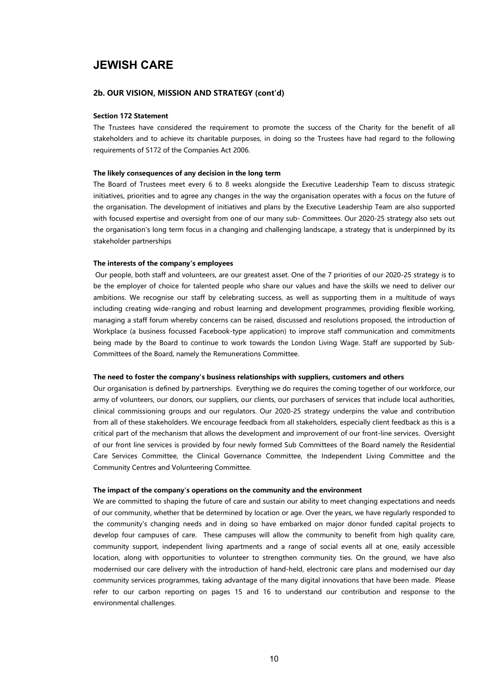#### **2b. OUR VISION, MISSION AND STRATEGY (cont'd)**

#### **Section 172 Statement**

The Trustees have considered the requirement to promote the success of the Charity for the benefit of all stakeholders and to achieve its charitable purposes, in doing so the Trustees have had regard to the following requirements of S172 of the Companies Act 2006.

#### **The likely consequences of any decision in the long term**

The Board of Trustees meet every 6 to 8 weeks alongside the Executive Leadership Team to discuss strategic initiatives, priorities and to agree any changes in the way the organisation operates with a focus on the future of the organisation. The development of initiatives and plans by the Executive Leadership Team are also supported with focused expertise and oversight from one of our many sub- Committees. Our 2020-25 strategy also sets out the organisation's long term focus in a changing and challenging landscape, a strategy that is underpinned by its stakeholder partnerships

#### **The interests of the company's employees**

Our people, both staff and volunteers, are our greatest asset. One of the 7 priorities of our 2020-25 strategy is to be the employer of choice for talented people who share our values and have the skills we need to deliver our ambitions. We recognise our staff by celebrating success, as well as supporting them in a multitude of ways including creating wide-ranging and robust learning and development programmes, providing flexible working, managing a staff forum whereby concerns can be raised, discussed and resolutions proposed, the introduction of Workplace (a business focussed Facebook-type application) to improve staff communication and commitments being made by the Board to continue to work towards the London Living Wage. Staff are supported by Sub-Committees of the Board, namely the Remunerations Committee.

#### **The need to foster the company's business relationships with suppliers, customers and others**

Our organisation is defined by partnerships. Everything we do requires the coming together of our workforce, our army of volunteers, our donors, our suppliers, our clients, our purchasers of services that include local authorities, clinical commissioning groups and our regulators. Our 2020-25 strategy underpins the value and contribution from all of these stakeholders. We encourage feedback from all stakeholders, especially client feedback as this is a critical part of the mechanism that allows the development and improvement of our front-line services. Oversight of our front line services is provided by four newly formed Sub Committees of the Board namely the Residential Care Services Committee, the Clinical Governance Committee, the Independent Living Committee and the Community Centres and Volunteering Committee.

### **The impact of the company's operations on the community and the environment**

We are committed to shaping the future of care and sustain our ability to meet changing expectations and needs of our community, whether that be determined by location or age. Over the years, we have regularly responded to the community's changing needs and in doing so have embarked on major donor funded capital projects to develop four campuses of care. These campuses will allow the community to benefit from high quality care, community support, independent living apartments and a range of social events all at one, easily accessible location, along with opportunities to volunteer to strengthen community ties. On the ground, we have also modernised our care delivery with the introduction of hand-held, electronic care plans and modernised our day community services programmes, taking advantage of the many digital innovations that have been made. Please refer to our carbon reporting on pages 15 and 16 to understand our contribution and response to the environmental challenges.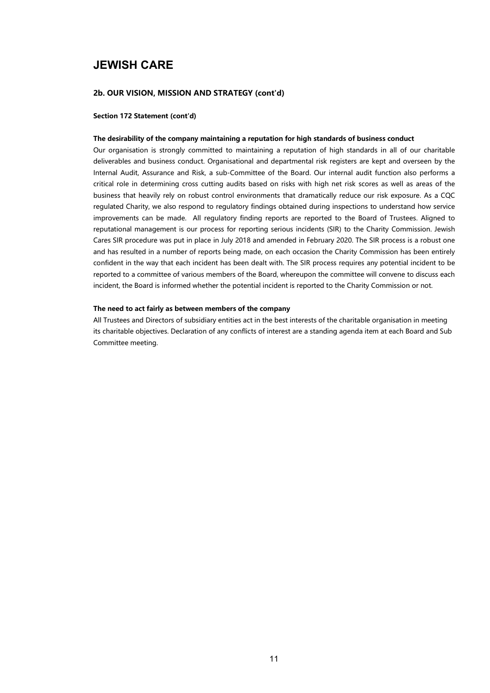## **2b. OUR VISION, MISSION AND STRATEGY (cont'd)**

#### **Section 172 Statement (cont'd)**

#### **The desirability of the company maintaining a reputation for high standards of business conduct**

Our organisation is strongly committed to maintaining a reputation of high standards in all of our charitable deliverables and business conduct. Organisational and departmental risk registers are kept and overseen by the Internal Audit, Assurance and Risk, a sub-Committee of the Board. Our internal audit function also performs a critical role in determining cross cutting audits based on risks with high net risk scores as well as areas of the business that heavily rely on robust control environments that dramatically reduce our risk exposure. As a CQC regulated Charity, we also respond to regulatory findings obtained during inspections to understand how service improvements can be made. All regulatory finding reports are reported to the Board of Trustees. Aligned to reputational management is our process for reporting serious incidents (SIR) to the Charity Commission. Jewish Cares SIR procedure was put in place in July 2018 and amended in February 2020. The SIR process is a robust one and has resulted in a number of reports being made, on each occasion the Charity Commission has been entirely confident in the way that each incident has been dealt with. The SIR process requires any potential incident to be reported to a committee of various members of the Board, whereupon the committee will convene to discuss each incident, the Board is informed whether the potential incident is reported to the Charity Commission or not.

### **The need to act fairly as between members of the company**

All Trustees and Directors of subsidiary entities act in the best interests of the charitable organisation in meeting its charitable objectives. Declaration of any conflicts of interest are a standing agenda item at each Board and Sub Committee meeting.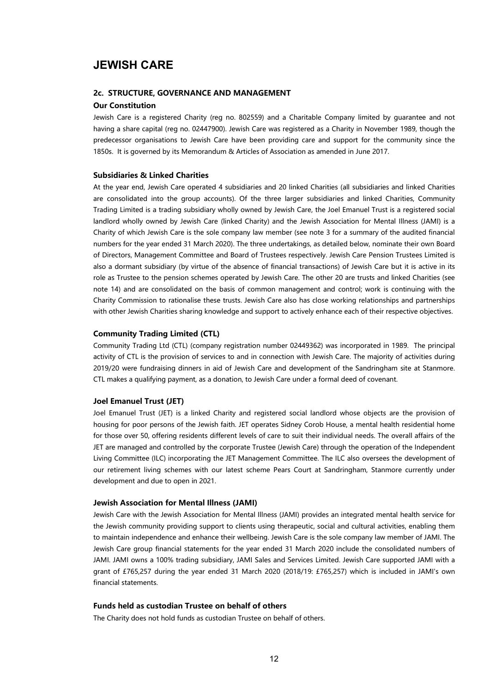### **2c. STRUCTURE, GOVERNANCE AND MANAGEMENT**

#### **Our Constitution**

Jewish Care is a registered Charity (reg no. 802559) and a Charitable Company limited by guarantee and not having a share capital (reg no. 02447900). Jewish Care was registered as a Charity in November 1989, though the predecessor organisations to Jewish Care have been providing care and support for the community since the 1850s. It is governed by its Memorandum & Articles of Association as amended in June 2017.

## **Subsidiaries & Linked Charities**

At the year end, Jewish Care operated 4 subsidiaries and 20 linked Charities (all subsidiaries and linked Charities are consolidated into the group accounts). Of the three larger subsidiaries and linked Charities, Community Trading Limited is a trading subsidiary wholly owned by Jewish Care, the Joel Emanuel Trust is a registered social landlord wholly owned by Jewish Care (linked Charity) and the Jewish Association for Mental Illness (JAMI) is a Charity of which Jewish Care is the sole company law member (see note 3 for a summary of the audited financial numbers for the year ended 31 March 2020). The three undertakings, as detailed below, nominate their own Board of Directors, Management Committee and Board of Trustees respectively. Jewish Care Pension Trustees Limited is also a dormant subsidiary (by virtue of the absence of financial transactions) of Jewish Care but it is active in its role as Trustee to the pension schemes operated by Jewish Care. The other 20 are trusts and linked Charities (see note 14) and are consolidated on the basis of common management and control; work is continuing with the Charity Commission to rationalise these trusts. Jewish Care also has close working relationships and partnerships with other Jewish Charities sharing knowledge and support to actively enhance each of their respective objectives.

### **Community Trading Limited (CTL)**

Community Trading Ltd (CTL) (company registration number 02449362) was incorporated in 1989. The principal activity of CTL is the provision of services to and in connection with Jewish Care. The majority of activities during 2019/20 were fundraising dinners in aid of Jewish Care and development of the Sandringham site at Stanmore. CTL makes a qualifying payment, as a donation, to Jewish Care under a formal deed of covenant.

#### **Joel Emanuel Trust (JET)**

Joel Emanuel Trust (JET) is a linked Charity and registered social landlord whose objects are the provision of housing for poor persons of the Jewish faith. JET operates Sidney Corob House, a mental health residential home for those over 50, offering residents different levels of care to suit their individual needs. The overall affairs of the JET are managed and controlled by the corporate Trustee (Jewish Care) through the operation of the Independent Living Committee (ILC) incorporating the JET Management Committee. The ILC also oversees the development of our retirement living schemes with our latest scheme Pears Court at Sandringham, Stanmore currently under development and due to open in 2021.

#### **Jewish Association for Mental Illness (JAMI)**

Jewish Care with the Jewish Association for Mental Illness (JAMI) provides an integrated mental health service for the Jewish community providing support to clients using therapeutic, social and cultural activities, enabling them to maintain independence and enhance their wellbeing. Jewish Care is the sole company law member of JAMI. The Jewish Care group financial statements for the year ended 31 March 2020 include the consolidated numbers of JAMI. JAMI owns a 100% trading subsidiary, JAMI Sales and Services Limited. Jewish Care supported JAMI with a grant of £765,257 during the year ended 31 March 2020 (2018/19: £765,257) which is included in JAMI's own financial statements.

### **Funds held as custodian Trustee on behalf of others**

The Charity does not hold funds as custodian Trustee on behalf of others.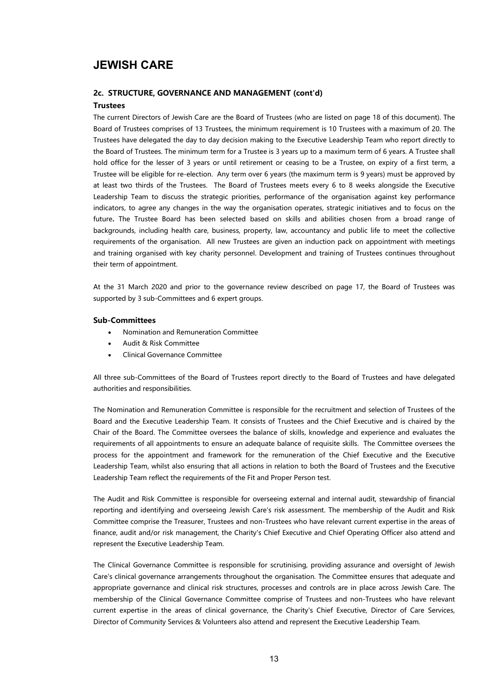## **2c. STRUCTURE, GOVERNANCE AND MANAGEMENT (cont'd)**

## **Trustees**

The current Directors of Jewish Care are the Board of Trustees (who are listed on page 18 of this document). The Board of Trustees comprises of 13 Trustees, the minimum requirement is 10 Trustees with a maximum of 20. The Trustees have delegated the day to day decision making to the Executive Leadership Team who report directly to the Board of Trustees. The minimum term for a Trustee is 3 years up to a maximum term of 6 years. A Trustee shall hold office for the lesser of 3 years or until retirement or ceasing to be a Trustee, on expiry of a first term, a Trustee will be eligible for re-election. Any term over 6 years (the maximum term is 9 years) must be approved by at least two thirds of the Trustees. The Board of Trustees meets every 6 to 8 weeks alongside the Executive Leadership Team to discuss the strategic priorities, performance of the organisation against key performance indicators, to agree any changes in the way the organisation operates, strategic initiatives and to focus on the future**.** The Trustee Board has been selected based on skills and abilities chosen from a broad range of backgrounds, including health care, business, property, law, accountancy and public life to meet the collective requirements of the organisation. All new Trustees are given an induction pack on appointment with meetings and training organised with key charity personnel. Development and training of Trustees continues throughout their term of appointment.

At the 31 March 2020 and prior to the governance review described on page 17, the Board of Trustees was supported by 3 sub-Committees and 6 expert groups.

### **Sub-Committees**

- Nomination and Remuneration Committee
- Audit & Risk Committee
- Clinical Governance Committee

All three sub-Committees of the Board of Trustees report directly to the Board of Trustees and have delegated authorities and responsibilities.

The Nomination and Remuneration Committee is responsible for the recruitment and selection of Trustees of the Board and the Executive Leadership Team. It consists of Trustees and the Chief Executive and is chaired by the Chair of the Board. The Committee oversees the balance of skills, knowledge and experience and evaluates the requirements of all appointments to ensure an adequate balance of requisite skills. The Committee oversees the process for the appointment and framework for the remuneration of the Chief Executive and the Executive Leadership Team, whilst also ensuring that all actions in relation to both the Board of Trustees and the Executive Leadership Team reflect the requirements of the Fit and Proper Person test.

The Audit and Risk Committee is responsible for overseeing external and internal audit, stewardship of financial reporting and identifying and overseeing Jewish Care's risk assessment. The membership of the Audit and Risk Committee comprise the Treasurer, Trustees and non-Trustees who have relevant current expertise in the areas of finance, audit and/or risk management, the Charity's Chief Executive and Chief Operating Officer also attend and represent the Executive Leadership Team.

The Clinical Governance Committee is responsible for scrutinising, providing assurance and oversight of Jewish Care's clinical governance arrangements throughout the organisation. The Committee ensures that adequate and appropriate governance and clinical risk structures, processes and controls are in place across Jewish Care. The membership of the Clinical Governance Committee comprise of Trustees and non-Trustees who have relevant current expertise in the areas of clinical governance, the Charity's Chief Executive, Director of Care Services, Director of Community Services & Volunteers also attend and represent the Executive Leadership Team.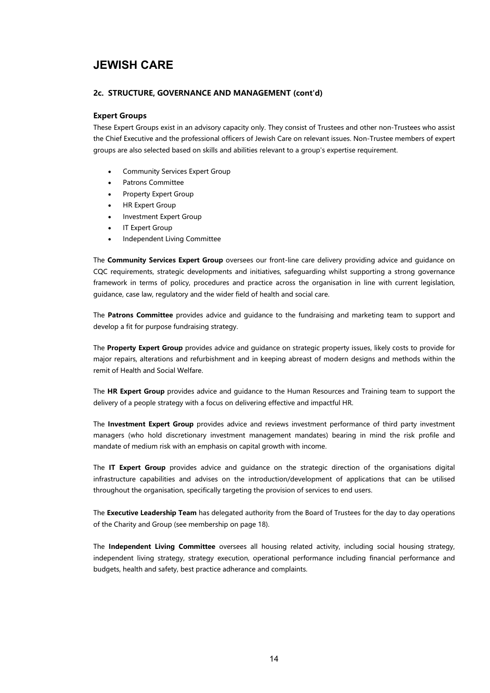## **2c. STRUCTURE, GOVERNANCE AND MANAGEMENT (cont'd)**

## **Expert Groups**

These Expert Groups exist in an advisory capacity only. They consist of Trustees and other non-Trustees who assist the Chief Executive and the professional officers of Jewish Care on relevant issues. Non-Trustee members of expert groups are also selected based on skills and abilities relevant to a group's expertise requirement.

- Community Services Expert Group
- Patrons Committee
- Property Expert Group
- HR Expert Group
- Investment Expert Group
- IT Expert Group
- Independent Living Committee

The **Community Services Expert Group** oversees our front-line care delivery providing advice and guidance on CQC requirements, strategic developments and initiatives, safeguarding whilst supporting a strong governance framework in terms of policy, procedures and practice across the organisation in line with current legislation, guidance, case law, regulatory and the wider field of health and social care.

The **Patrons Committee** provides advice and guidance to the fundraising and marketing team to support and develop a fit for purpose fundraising strategy.

The **Property Expert Group** provides advice and guidance on strategic property issues, likely costs to provide for major repairs, alterations and refurbishment and in keeping abreast of modern designs and methods within the remit of Health and Social Welfare.

The **HR Expert Group** provides advice and guidance to the Human Resources and Training team to support the delivery of a people strategy with a focus on delivering effective and impactful HR.

The **Investment Expert Group** provides advice and reviews investment performance of third party investment managers (who hold discretionary investment management mandates) bearing in mind the risk profile and mandate of medium risk with an emphasis on capital growth with income.

The **IT Expert Group** provides advice and guidance on the strategic direction of the organisations digital infrastructure capabilities and advises on the introduction/development of applications that can be utilised throughout the organisation, specifically targeting the provision of services to end users.

The **Executive Leadership Team** has delegated authority from the Board of Trustees for the day to day operations of the Charity and Group (see membership on page 18).

The **Independent Living Committee** oversees all housing related activity, including social housing strategy, independent living strategy, strategy execution, operational performance including financial performance and budgets, health and safety, best practice adherance and complaints.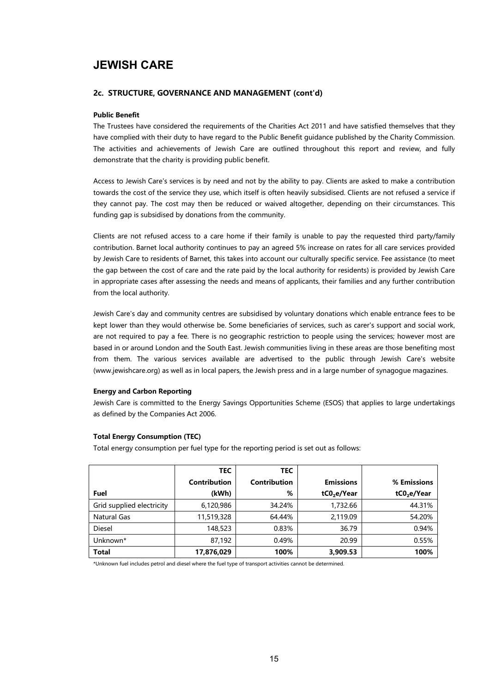## **2c. STRUCTURE, GOVERNANCE AND MANAGEMENT (cont'd)**

#### **Public Benefit**

The Trustees have considered the requirements of the Charities Act 2011 and have satisfied themselves that they have complied with their duty to have regard to the Public Benefit guidance published by the Charity Commission. The activities and achievements of Jewish Care are outlined throughout this report and review, and fully demonstrate that the charity is providing public benefit.

Access to Jewish Care's services is by need and not by the ability to pay. Clients are asked to make a contribution towards the cost of the service they use, which itself is often heavily subsidised. Clients are not refused a service if they cannot pay. The cost may then be reduced or waived altogether, depending on their circumstances. This funding gap is subsidised by donations from the community.

Clients are not refused access to a care home if their family is unable to pay the requested third party/family contribution. Barnet local authority continues to pay an agreed 5% increase on rates for all care services provided by Jewish Care to residents of Barnet, this takes into account our culturally specific service. Fee assistance (to meet the gap between the cost of care and the rate paid by the local authority for residents) is provided by Jewish Care in appropriate cases after assessing the needs and means of applicants, their families and any further contribution from the local authority.

Jewish Care's day and community centres are subsidised by voluntary donations which enable entrance fees to be kept lower than they would otherwise be. Some beneficiaries of services, such as carer's support and social work, are not required to pay a fee. There is no geographic restriction to people using the services; however most are based in or around London and the South East. Jewish communities living in these areas are those benefiting most from them. The various services available are advertised to the public through Jewish Care's website (www.jewishcare.org) as well as in local papers, the Jewish press and in a large number of synagogue magazines.

#### **Energy and Carbon Reporting**

Jewish Care is committed to the Energy Savings Opportunities Scheme (ESOS) that applies to large undertakings as defined by the Companies Act 2006.

#### **Total Energy Consumption (TEC)**

Total energy consumption per fuel type for the reporting period is set out as follows:

|                           | <b>TEC</b>   | <b>TEC</b>   |                  |             |
|---------------------------|--------------|--------------|------------------|-------------|
|                           | Contribution | Contribution | <b>Emissions</b> | % Emissions |
| Fuel                      | (kWh)        | %            | tC02e/Year       | tC02e/Year  |
| Grid supplied electricity | 6,120,986    | 34.24%       | 1,732.66         | 44.31%      |
| Natural Gas               | 11,519,328   | 64.44%       | 2,119.09         | 54.20%      |
| Diesel                    | 148,523      | 0.83%        | 36.79            | 0.94%       |
| Unknown*                  | 87,192       | 0.49%        | 20.99            | 0.55%       |
| <b>Total</b>              | 17,876,029   | 100%         | 3,909.53         | 100%        |

\*Unknown fuel includes petrol and diesel where the fuel type of transport activities cannot be determined.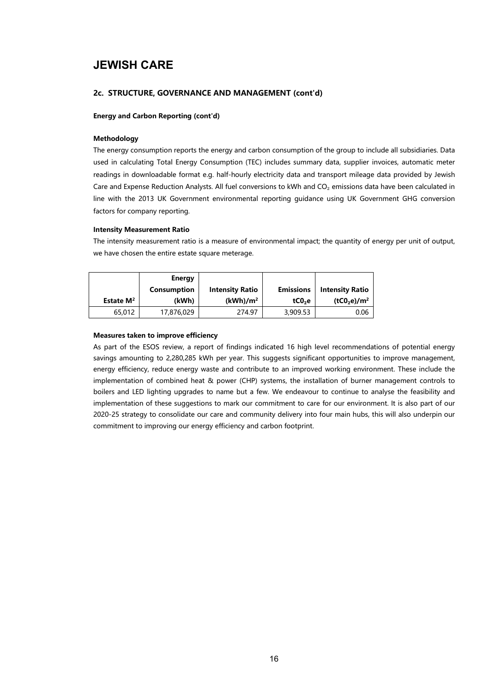## **2c. STRUCTURE, GOVERNANCE AND MANAGEMENT (cont'd)**

### **Energy and Carbon Reporting (cont'd)**

### **Methodology**

The energy consumption reports the energy and carbon consumption of the group to include all subsidiaries. Data used in calculating Total Energy Consumption (TEC) includes summary data, supplier invoices, automatic meter readings in downloadable format e.g. half-hourly electricity data and transport mileage data provided by Jewish Care and Expense Reduction Analysts. All fuel conversions to kWh and CO<sub>2</sub> emissions data have been calculated in line with the 2013 UK Government environmental reporting guidance using UK Government GHG conversion factors for company reporting.

### **Intensity Measurement Ratio**

The intensity measurement ratio is a measure of environmental impact; the quantity of energy per unit of output, we have chosen the entire estate square meterage.

|              | Energy<br>Consumption | <b>Intensity Ratio</b> | <b>Emissions</b>   | <b>Intensity Ratio</b>              |
|--------------|-----------------------|------------------------|--------------------|-------------------------------------|
| Estate $M^2$ | (kWh)                 | $(kWh)/m^2$            | tCO <sub>2</sub> e | (tCO <sub>2</sub> e)/m <sup>2</sup> |
| 65,012       | 17,876,029            | 274.97                 | 3,909.53           | 0.06                                |

### **Measures taken to improve efficiency**

As part of the ESOS review, a report of findings indicated 16 high level recommendations of potential energy savings amounting to 2,280,285 kWh per year. This suggests significant opportunities to improve management, energy efficiency, reduce energy waste and contribute to an improved working environment. These include the implementation of combined heat & power (CHP) systems, the installation of burner management controls to boilers and LED lighting upgrades to name but a few. We endeavour to continue to analyse the feasibility and implementation of these suggestions to mark our commitment to care for our environment. It is also part of our 2020-25 strategy to consolidate our care and community delivery into four main hubs, this will also underpin our commitment to improving our energy efficiency and carbon footprint.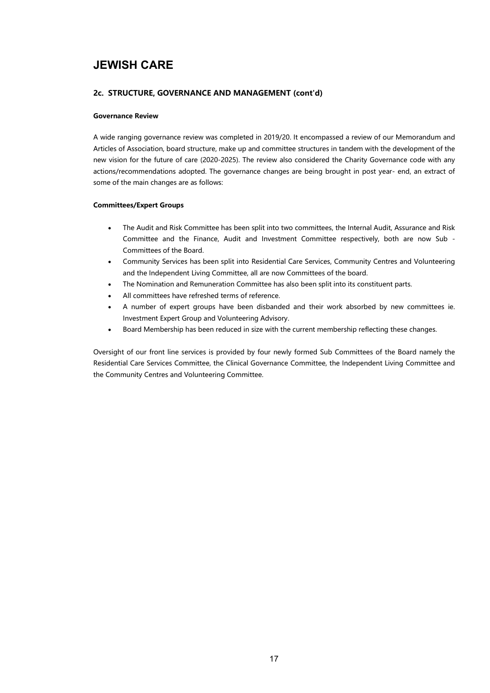## **2c. STRUCTURE, GOVERNANCE AND MANAGEMENT (cont'd)**

### **Governance Review**

A wide ranging governance review was completed in 2019/20. It encompassed a review of our Memorandum and Articles of Association, board structure, make up and committee structures in tandem with the development of the new vision for the future of care (2020-2025). The review also considered the Charity Governance code with any actions/recommendations adopted. The governance changes are being brought in post year- end, an extract of some of the main changes are as follows:

### **Committees/Expert Groups**

- The Audit and Risk Committee has been split into two committees, the Internal Audit, Assurance and Risk Committee and the Finance, Audit and Investment Committee respectively, both are now Sub - Committees of the Board.
- Community Services has been split into Residential Care Services, Community Centres and Volunteering and the Independent Living Committee, all are now Committees of the board.
- The Nomination and Remuneration Committee has also been split into its constituent parts.
- All committees have refreshed terms of reference.
- A number of expert groups have been disbanded and their work absorbed by new committees ie. Investment Expert Group and Volunteering Advisory.
- Board Membership has been reduced in size with the current membership reflecting these changes.

Oversight of our front line services is provided by four newly formed Sub Committees of the Board namely the Residential Care Services Committee, the Clinical Governance Committee, the Independent Living Committee and the Community Centres and Volunteering Committee.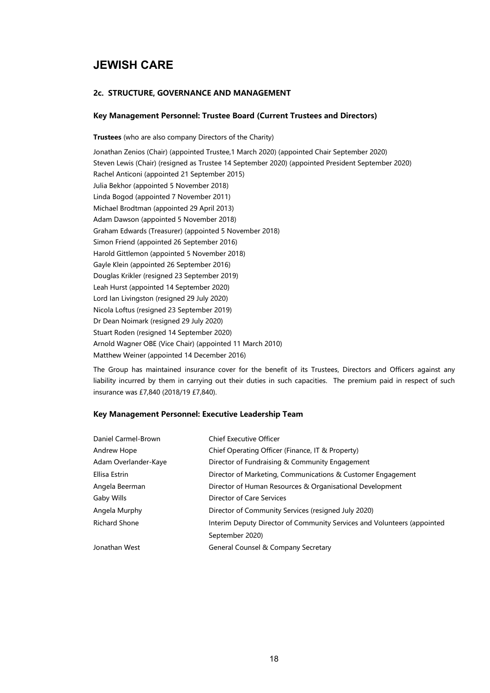## **2c. STRUCTURE, GOVERNANCE AND MANAGEMENT**

### **Key Management Personnel: Trustee Board (Current Trustees and Directors)**

#### **Trustees** (who are also company Directors of the Charity)

Jonathan Zenios (Chair) (appointed Trustee,1 March 2020) (appointed Chair September 2020) Steven Lewis (Chair) (resigned as Trustee 14 September 2020) (appointed President September 2020) Rachel Anticoni (appointed 21 September 2015) Julia Bekhor (appointed 5 November 2018) Linda Bogod (appointed 7 November 2011) Michael Brodtman (appointed 29 April 2013) Adam Dawson (appointed 5 November 2018) Graham Edwards (Treasurer) (appointed 5 November 2018) Simon Friend (appointed 26 September 2016) Harold Gittlemon (appointed 5 November 2018) Gayle Klein (appointed 26 September 2016) Douglas Krikler (resigned 23 September 2019) Leah Hurst (appointed 14 September 2020) Lord Ian Livingston (resigned 29 July 2020) Nicola Loftus (resigned 23 September 2019) Dr Dean Noimark (resigned 29 July 2020) Stuart Roden (resigned 14 September 2020) Arnold Wagner OBE (Vice Chair) (appointed 11 March 2010) Matthew Weiner (appointed 14 December 2016)

The Group has maintained insurance cover for the benefit of its Trustees, Directors and Officers against any liability incurred by them in carrying out their duties in such capacities. The premium paid in respect of such insurance was £7,840 (2018/19 £7,840).

## **Key Management Personnel: Executive Leadership Team**

| Daniel Carmel-Brown  | Chief Executive Officer                                                 |
|----------------------|-------------------------------------------------------------------------|
| Andrew Hope          | Chief Operating Officer (Finance, IT & Property)                        |
| Adam Overlander-Kaye | Director of Fundraising & Community Engagement                          |
| Ellisa Estrin        | Director of Marketing, Communications & Customer Engagement             |
| Angela Beerman       | Director of Human Resources & Organisational Development                |
| Gaby Wills           | Director of Care Services                                               |
| Angela Murphy        | Director of Community Services (resigned July 2020)                     |
| <b>Richard Shone</b> | Interim Deputy Director of Community Services and Volunteers (appointed |
|                      | September 2020)                                                         |
| Jonathan West        | General Counsel & Company Secretary                                     |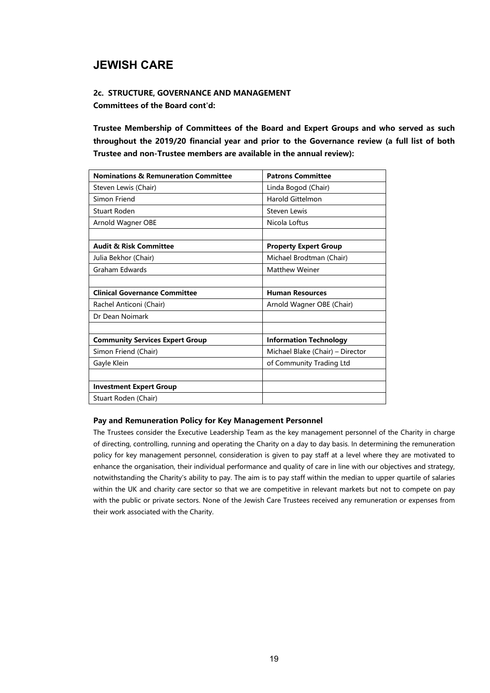## **2c. STRUCTURE, GOVERNANCE AND MANAGEMENT Committees of the Board cont'd:**

**Trustee Membership of Committees of the Board and Expert Groups and who served as such throughout the 2019/20 financial year and prior to the Governance review (a full list of both Trustee and non-Trustee members are available in the annual review):**

| <b>Nominations &amp; Remuneration Committee</b> | <b>Patrons Committee</b>         |
|-------------------------------------------------|----------------------------------|
| Steven Lewis (Chair)                            | Linda Bogod (Chair)              |
| Simon Friend                                    | Harold Gittelmon                 |
| Stuart Roden                                    | <b>Steven Lewis</b>              |
| Arnold Wagner OBE                               | Nicola Loftus                    |
|                                                 |                                  |
| <b>Audit &amp; Risk Committee</b>               | <b>Property Expert Group</b>     |
| Julia Bekhor (Chair)                            | Michael Brodtman (Chair)         |
| <b>Graham Edwards</b>                           | <b>Matthew Weiner</b>            |
|                                                 |                                  |
| <b>Clinical Governance Committee</b>            | <b>Human Resources</b>           |
| Rachel Anticoni (Chair)                         | Arnold Wagner OBE (Chair)        |
| Dr Dean Noimark                                 |                                  |
|                                                 |                                  |
| <b>Community Services Expert Group</b>          | <b>Information Technology</b>    |
| Simon Friend (Chair)                            | Michael Blake (Chair) - Director |
| Gayle Klein                                     | of Community Trading Ltd         |
|                                                 |                                  |
| <b>Investment Expert Group</b>                  |                                  |
| Stuart Roden (Chair)                            |                                  |

## **Pay and Remuneration Policy for Key Management Personnel**

The Trustees consider the Executive Leadership Team as the key management personnel of the Charity in charge of directing, controlling, running and operating the Charity on a day to day basis. In determining the remuneration policy for key management personnel, consideration is given to pay staff at a level where they are motivated to enhance the organisation, their individual performance and quality of care in line with our objectives and strategy, notwithstanding the Charity's ability to pay. The aim is to pay staff within the median to upper quartile of salaries within the UK and charity care sector so that we are competitive in relevant markets but not to compete on pay with the public or private sectors. None of the Jewish Care Trustees received any remuneration or expenses from their work associated with the Charity.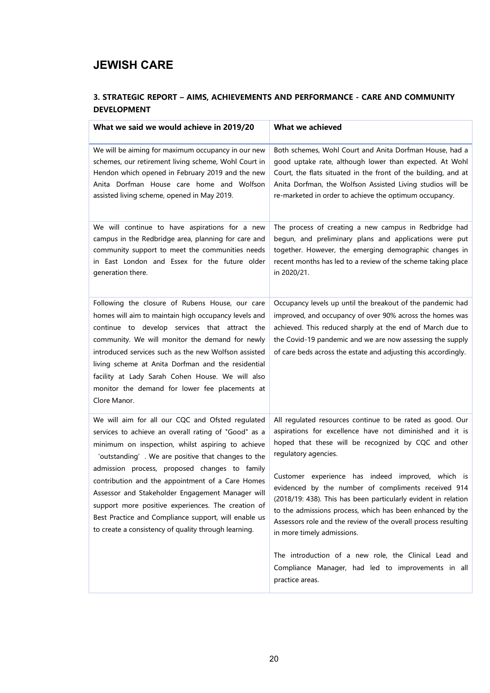## **3. STRATEGIC REPORT – AIMS, ACHIEVEMENTS AND PERFORMANCE - CARE AND COMMUNITY DEVELOPMENT**

| What we said we would achieve in 2019/20                                                                                                                                                                                                                                                                                                                                                                                                                                                                                                           | What we achieved                                                                                                                                                                                                                                                                                                                                                                                                                                                                                                                                                                                                                                                                   |
|----------------------------------------------------------------------------------------------------------------------------------------------------------------------------------------------------------------------------------------------------------------------------------------------------------------------------------------------------------------------------------------------------------------------------------------------------------------------------------------------------------------------------------------------------|------------------------------------------------------------------------------------------------------------------------------------------------------------------------------------------------------------------------------------------------------------------------------------------------------------------------------------------------------------------------------------------------------------------------------------------------------------------------------------------------------------------------------------------------------------------------------------------------------------------------------------------------------------------------------------|
| We will be aiming for maximum occupancy in our new<br>schemes, our retirement living scheme, Wohl Court in<br>Hendon which opened in February 2019 and the new<br>Anita Dorfman House care home and Wolfson<br>assisted living scheme, opened in May 2019.                                                                                                                                                                                                                                                                                         | Both schemes, Wohl Court and Anita Dorfman House, had a<br>good uptake rate, although lower than expected. At Wohl<br>Court, the flats situated in the front of the building, and at<br>Anita Dorfman, the Wolfson Assisted Living studios will be<br>re-marketed in order to achieve the optimum occupancy.                                                                                                                                                                                                                                                                                                                                                                       |
| We will continue to have aspirations for a new<br>campus in the Redbridge area, planning for care and<br>community support to meet the communities needs<br>in East London and Essex for the future older<br>generation there.                                                                                                                                                                                                                                                                                                                     | The process of creating a new campus in Redbridge had<br>begun, and preliminary plans and applications were put<br>together. However, the emerging demographic changes in<br>recent months has led to a review of the scheme taking place<br>in 2020/21.                                                                                                                                                                                                                                                                                                                                                                                                                           |
| Following the closure of Rubens House, our care<br>homes will aim to maintain high occupancy levels and<br>continue to develop services that attract the<br>community. We will monitor the demand for newly<br>introduced services such as the new Wolfson assisted<br>living scheme at Anita Dorfman and the residential<br>facility at Lady Sarah Cohen House. We will also<br>monitor the demand for lower fee placements at<br>Clore Manor.                                                                                                    | Occupancy levels up until the breakout of the pandemic had<br>improved, and occupancy of over 90% across the homes was<br>achieved. This reduced sharply at the end of March due to<br>the Covid-19 pandemic and we are now assessing the supply<br>of care beds across the estate and adjusting this accordingly.                                                                                                                                                                                                                                                                                                                                                                 |
| We will aim for all our CQC and Ofsted regulated<br>services to achieve an overall rating of "Good" as a<br>minimum on inspection, whilst aspiring to achieve<br>'outstanding'. We are positive that changes to the<br>admission process, proposed changes to family<br>contribution and the appointment of a Care Homes<br>Assessor and Stakeholder Engagement Manager will<br>support more positive experiences. The creation of<br>Best Practice and Compliance support, will enable us<br>to create a consistency of quality through learning. | All regulated resources continue to be rated as good. Our<br>aspirations for excellence have not diminished and it is<br>hoped that these will be recognized by CQC and other<br>regulatory agencies.<br>Customer experience has indeed improved, which is<br>evidenced by the number of compliments received 914<br>(2018/19: 438). This has been particularly evident in relation<br>to the admissions process, which has been enhanced by the<br>Assessors role and the review of the overall process resulting<br>in more timely admissions.<br>The introduction of a new role, the Clinical Lead and<br>Compliance Manager, had led to improvements in all<br>practice areas. |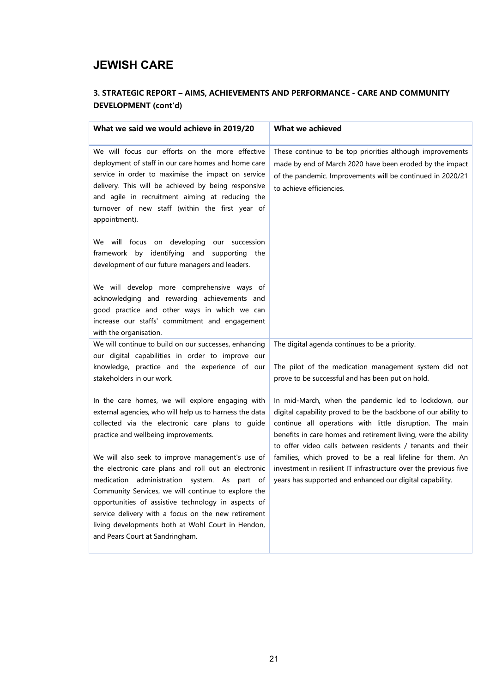## **3. STRATEGIC REPORT – AIMS, ACHIEVEMENTS AND PERFORMANCE - CARE AND COMMUNITY DEVELOPMENT (cont'd)**

| What we said we would achieve in 2019/20                                                                                                                                                                                                                                                                                                                                                                              | What we achieved                                                                                                                                                                                                                                                                                                   |
|-----------------------------------------------------------------------------------------------------------------------------------------------------------------------------------------------------------------------------------------------------------------------------------------------------------------------------------------------------------------------------------------------------------------------|--------------------------------------------------------------------------------------------------------------------------------------------------------------------------------------------------------------------------------------------------------------------------------------------------------------------|
| We will focus our efforts on the more effective<br>deployment of staff in our care homes and home care<br>service in order to maximise the impact on service<br>delivery. This will be achieved by being responsive<br>and agile in recruitment aiming at reducing the<br>turnover of new staff (within the first year of<br>appointment).                                                                            | These continue to be top priorities although improvements<br>made by end of March 2020 have been eroded by the impact<br>of the pandemic. Improvements will be continued in 2020/21<br>to achieve efficiencies.                                                                                                    |
| We will focus on developing our succession<br>framework by identifying and supporting the<br>development of our future managers and leaders.                                                                                                                                                                                                                                                                          |                                                                                                                                                                                                                                                                                                                    |
| We will develop more comprehensive ways of<br>acknowledging and rewarding achievements and<br>good practice and other ways in which we can<br>increase our staffs' commitment and engagement<br>with the organisation.                                                                                                                                                                                                |                                                                                                                                                                                                                                                                                                                    |
| We will continue to build on our successes, enhancing<br>our digital capabilities in order to improve our                                                                                                                                                                                                                                                                                                             | The digital agenda continues to be a priority.                                                                                                                                                                                                                                                                     |
| knowledge, practice and the experience of our<br>stakeholders in our work.                                                                                                                                                                                                                                                                                                                                            | The pilot of the medication management system did not<br>prove to be successful and has been put on hold.                                                                                                                                                                                                          |
| In the care homes, we will explore engaging with<br>external agencies, who will help us to harness the data<br>collected via the electronic care plans to guide<br>practice and wellbeing improvements.                                                                                                                                                                                                               | In mid-March, when the pandemic led to lockdown, our<br>digital capability proved to be the backbone of our ability to<br>continue all operations with little disruption. The main<br>benefits in care homes and retirement living, were the ability<br>to offer video calls between residents / tenants and their |
| We will also seek to improve management's use of<br>the electronic care plans and roll out an electronic<br>medication administration system. As part of<br>Community Services, we will continue to explore the<br>opportunities of assistive technology in aspects of<br>service delivery with a focus on the new retirement<br>living developments both at Wohl Court in Hendon,<br>and Pears Court at Sandringham. | families, which proved to be a real lifeline for them. An<br>investment in resilient IT infrastructure over the previous five<br>years has supported and enhanced our digital capability.                                                                                                                          |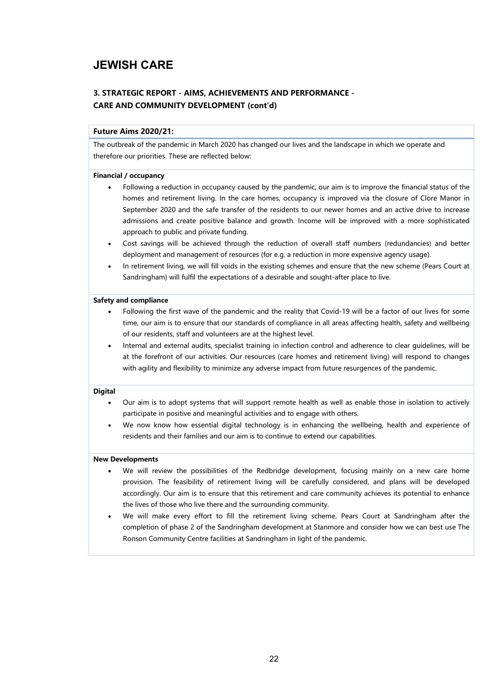## **3. STRATEGIC REPORT - AIMS, ACHIEVEMENTS AND PERFORMANCE - CARE AND COMMUNITY DEVELOPMENT (cont'd)**

## **Future Aims 2020/21:**

The outbreak of the pandemic in March 2020 has changed our lives and the landscape in which we operate and therefore our priorities. These are reflected below:

## **Financial / occupancy**

- Following a reduction in occupancy caused by the pandemic, our aim is to improve the financial status of the homes and retirement living. In the care homes, occupancy is improved via the closure of Clore Manor in September 2020 and the safe transfer of the residents to our newer homes and an active drive to increase admissions and create positive balance and growth. Income will be improved with a more sophisticated approach to public and private funding.
- Cost savings will be achieved through the reduction of overall staff numbers (redundancies) and better deployment and management of resources (for e.g. a reduction in more expensive agency usage).
- In retirement living, we will fill voids in the existing schemes and ensure that the new scheme (Pears Court at Sandringham) will fulfil the expectations of a desirable and sought-after place to live.

#### **Safety and compliance**

- Following the first wave of the pandemic and the reality that Covid-19 will be a factor of our lives for some time, our aim is to ensure that our standards of compliance in all areas affecting health, safety and wellbeing of our residents, staff and volunteers are at the highest level.
- Internal and external audits, specialist training in infection control and adherence to clear guidelines, will be at the forefront of our activities. Our resources (care homes and retirement living) will respond to changes with agility and flexibility to minimize any adverse impact from future resurgences of the pandemic.

## **Digital**

- Our aim is to adopt systems that will support remote health as well as enable those in isolation to actively participate in positive and meaningful activities and to engage with others.
- We now know how essential digital technology is in enhancing the wellbeing, health and experience of residents and their families and our aim is to continue to extend our capabilities.

#### **New Developments**

- We will review the possibilities of the Redbridge development, focusing mainly on a new care home provision. The feasibility of retirement living will be carefully considered, and plans will be developed accordingly. Our aim is to ensure that this retirement and care community achieves its potential to enhance the lives of those who live there and the surrounding community.
- We will make every effort to fill the retirement living scheme, Pears Court at Sandringham after the completion of phase 2 of the Sandringham development at Stanmore and consider how we can best use The Ronson Community Centre facilities at Sandringham in light of the pandemic.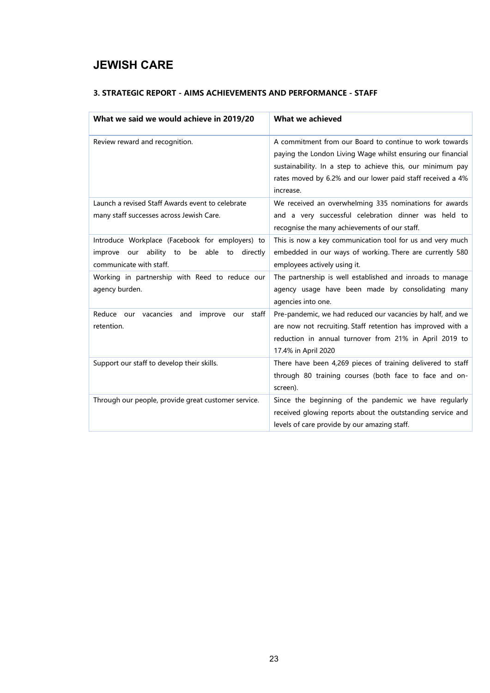## **3. STRATEGIC REPORT - AIMS ACHIEVEMENTS AND PERFORMANCE - STAFF**

| What we said we would achieve in 2019/20                                                                                       | What we achieved                                                                                                                                                                                                                                                |
|--------------------------------------------------------------------------------------------------------------------------------|-----------------------------------------------------------------------------------------------------------------------------------------------------------------------------------------------------------------------------------------------------------------|
| Review reward and recognition.                                                                                                 | A commitment from our Board to continue to work towards<br>paying the London Living Wage whilst ensuring our financial<br>sustainability. In a step to achieve this, our minimum pay<br>rates moved by 6.2% and our lower paid staff received a 4%<br>increase. |
| Launch a revised Staff Awards event to celebrate<br>many staff successes across Jewish Care.                                   | We received an overwhelming 335 nominations for awards<br>and a very successful celebration dinner was held to<br>recognise the many achievements of our staff.                                                                                                 |
| Introduce Workplace (Facebook for employers) to<br>improve our ability to<br>be able to<br>directly<br>communicate with staff. | This is now a key communication tool for us and very much<br>embedded in our ways of working. There are currently 580<br>employees actively using it.                                                                                                           |
| Working in partnership with Reed to reduce our<br>agency burden.                                                               | The partnership is well established and inroads to manage<br>agency usage have been made by consolidating many<br>agencies into one.                                                                                                                            |
| Reduce our vacancies and<br>improve<br>staff<br>our<br>retention.                                                              | Pre-pandemic, we had reduced our vacancies by half, and we<br>are now not recruiting. Staff retention has improved with a<br>reduction in annual turnover from 21% in April 2019 to<br>17.4% in April 2020                                                      |
| Support our staff to develop their skills.                                                                                     | There have been 4,269 pieces of training delivered to staff<br>through 80 training courses (both face to face and on-<br>screen).                                                                                                                               |
| Through our people, provide great customer service.                                                                            | Since the beginning of the pandemic we have regularly<br>received glowing reports about the outstanding service and<br>levels of care provide by our amazing staff.                                                                                             |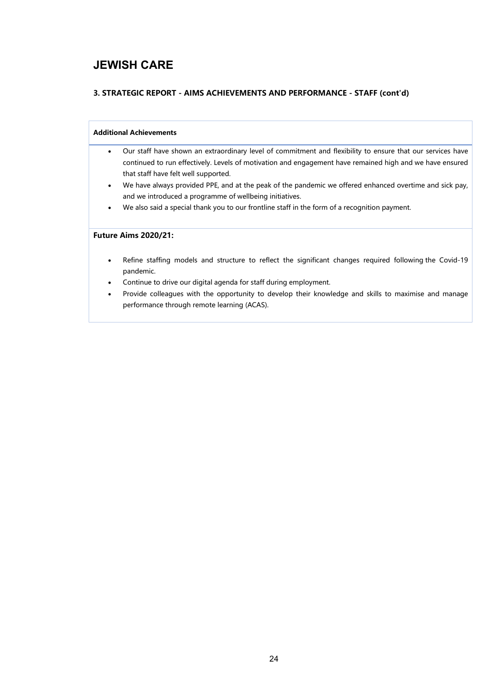## **3. STRATEGIC REPORT - AIMS ACHIEVEMENTS AND PERFORMANCE - STAFF (cont'd)**

# **Additional Achievements** Our staff have shown an extraordinary level of commitment and flexibility to ensure that our services have continued to run effectively. Levels of motivation and engagement have remained high and we have ensured that staff have felt well supported. We have always provided PPE, and at the peak of the pandemic we offered enhanced overtime and sick pay, and we introduced a programme of wellbeing initiatives. We also said a special thank you to our frontline staff in the form of a recognition payment. **Future Aims 2020/21:** Refine staffing models and structure to reflect the significant changes required following the Covid-19 pandemic. Continue to drive our digital agenda for staff during employment. Provide colleagues with the opportunity to develop their knowledge and skills to maximise and manage performance through remote learning (ACAS).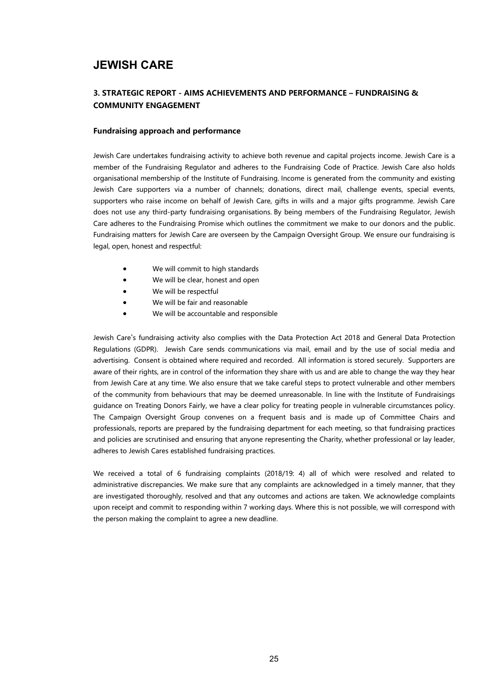## **3. STRATEGIC REPORT - AIMS ACHIEVEMENTS AND PERFORMANCE – FUNDRAISING & COMMUNITY ENGAGEMENT**

### **Fundraising approach and performance**

Jewish Care undertakes fundraising activity to achieve both revenue and capital projects income. Jewish Care is a member of the Fundraising Regulator and adheres to the Fundraising Code of Practice. Jewish Care also holds organisational membership of the Institute of Fundraising. Income is generated from the community and existing Jewish Care supporters via a number of channels; donations, direct mail, challenge events, special events, supporters who raise income on behalf of Jewish Care, gifts in wills and a major gifts programme. Jewish Care does not use any third-party fundraising organisations. By being members of the Fundraising Regulator, Jewish Care adheres to the Fundraising Promise which outlines the commitment we make to our donors and the public. Fundraising matters for Jewish Care are overseen by the Campaign Oversight Group. We ensure our fundraising is legal, open, honest and respectful:

- We will commit to high standards
- We will be clear, honest and open
- We will be respectful
- We will be fair and reasonable
- We will be accountable and responsible

Jewish Care's fundraising activity also complies with the Data Protection Act 2018 and General Data Protection Regulations (GDPR). Jewish Care sends communications via mail, email and by the use of social media and advertising. Consent is obtained where required and recorded. All information is stored securely. Supporters are aware of their rights, are in control of the information they share with us and are able to change the way they hear from Jewish Care at any time. We also ensure that we take careful steps to protect vulnerable and other members of the community from behaviours that may be deemed unreasonable. In line with the Institute of Fundraisings guidance on Treating Donors Fairly, we have a clear policy for treating people in vulnerable circumstances policy. The Campaign Oversight Group convenes on a frequent basis and is made up of Committee Chairs and professionals, reports are prepared by the fundraising department for each meeting, so that fundraising practices and policies are scrutinised and ensuring that anyone representing the Charity, whether professional or lay leader, adheres to Jewish Cares established fundraising practices.

We received a total of 6 fundraising complaints (2018/19: 4) all of which were resolved and related to administrative discrepancies. We make sure that any complaints are acknowledged in a timely manner, that they are investigated thoroughly, resolved and that any outcomes and actions are taken. We acknowledge complaints upon receipt and commit to responding within 7 working days. Where this is not possible, we will correspond with the person making the complaint to agree a new deadline.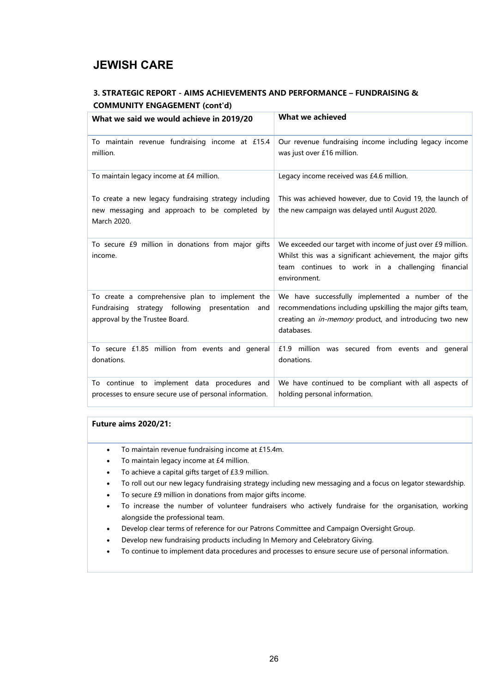## **3. STRATEGIC REPORT - AIMS ACHIEVEMENTS AND PERFORMANCE – FUNDRAISING & COMMUNITY ENGAGEMENT (cont'd)**

| What we said we would achieve in 2019/20                                                                                                   | What we achieved                                                                                                                                                                               |
|--------------------------------------------------------------------------------------------------------------------------------------------|------------------------------------------------------------------------------------------------------------------------------------------------------------------------------------------------|
| To maintain revenue fundraising income at £15.4<br>million.                                                                                | Our revenue fundraising income including legacy income<br>was just over £16 million.                                                                                                           |
| To maintain legacy income at £4 million.                                                                                                   | Legacy income received was £4.6 million.                                                                                                                                                       |
| To create a new legacy fundraising strategy including<br>new messaging and approach to be completed by<br>March 2020.                      | This was achieved however, due to Covid 19, the launch of<br>the new campaign was delayed until August 2020.                                                                                   |
| To secure £9 million in donations from major gifts<br>income.                                                                              | We exceeded our target with income of just over £9 million.<br>Whilst this was a significant achievement, the major gifts<br>team continues to work in a challenging financial<br>environment. |
| To create a comprehensive plan to implement the<br>Fundraising strategy following<br>presentation<br>and<br>approval by the Trustee Board. | We have successfully implemented a number of the<br>recommendations including upskilling the major gifts team,<br>creating an <i>in-memory</i> product, and introducing two new<br>databases.  |
| To secure £1.85 million from events and general<br>donations.                                                                              | £1.9 million was secured from events and general<br>donations.                                                                                                                                 |
| To continue to implement data procedures and<br>processes to ensure secure use of personal information.                                    | We have continued to be compliant with all aspects of<br>holding personal information.                                                                                                         |

## **Future aims 2020/21:**

- To maintain revenue fundraising income at £15.4m.
- To maintain legacy income at £4 million.
- To achieve a capital gifts target of £3.9 million.
- To roll out our new legacy fundraising strategy including new messaging and a focus on legator stewardship.
- To secure £9 million in donations from major gifts income.
- To increase the number of volunteer fundraisers who actively fundraise for the organisation, working alongside the professional team.
- Develop clear terms of reference for our Patrons Committee and Campaign Oversight Group.
- Develop new fundraising products including In Memory and Celebratory Giving.
- To continue to implement data procedures and processes to ensure secure use of personal information.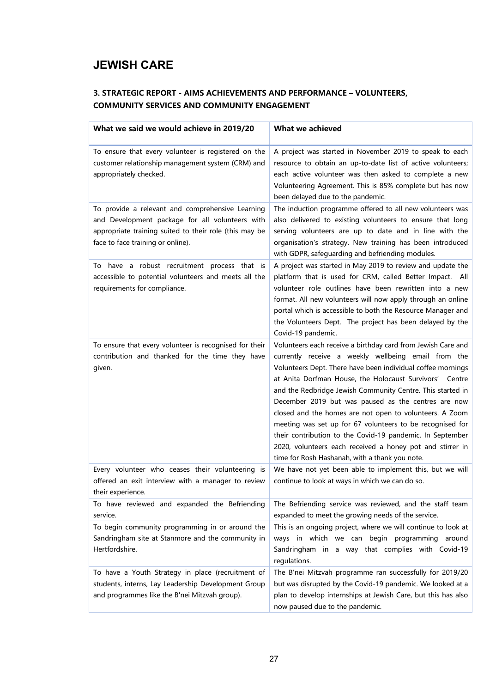## **3. STRATEGIC REPORT - AIMS ACHIEVEMENTS AND PERFORMANCE – VOLUNTEERS, COMMUNITY SERVICES AND COMMUNITY ENGAGEMENT**

| What we said we would achieve in 2019/20                                                                                                                                                           | What we achieved                                                                                                                                                                                                                                                                                                                                                                                                                                                                                                                                                                                                                                                       |
|----------------------------------------------------------------------------------------------------------------------------------------------------------------------------------------------------|------------------------------------------------------------------------------------------------------------------------------------------------------------------------------------------------------------------------------------------------------------------------------------------------------------------------------------------------------------------------------------------------------------------------------------------------------------------------------------------------------------------------------------------------------------------------------------------------------------------------------------------------------------------------|
| To ensure that every volunteer is registered on the<br>customer relationship management system (CRM) and<br>appropriately checked.                                                                 | A project was started in November 2019 to speak to each<br>resource to obtain an up-to-date list of active volunteers;<br>each active volunteer was then asked to complete a new<br>Volunteering Agreement. This is 85% complete but has now<br>been delayed due to the pandemic.                                                                                                                                                                                                                                                                                                                                                                                      |
| To provide a relevant and comprehensive Learning<br>and Development package for all volunteers with<br>appropriate training suited to their role (this may be<br>face to face training or online). | The induction programme offered to all new volunteers was<br>also delivered to existing volunteers to ensure that long<br>serving volunteers are up to date and in line with the<br>organisation's strategy. New training has been introduced<br>with GDPR, safeguarding and befriending modules.                                                                                                                                                                                                                                                                                                                                                                      |
| To have a robust recruitment process that is<br>accessible to potential volunteers and meets all the<br>requirements for compliance.                                                               | A project was started in May 2019 to review and update the<br>platform that is used for CRM, called Better Impact. All<br>volunteer role outlines have been rewritten into a new<br>format. All new volunteers will now apply through an online<br>portal which is accessible to both the Resource Manager and<br>the Volunteers Dept. The project has been delayed by the<br>Covid-19 pandemic.                                                                                                                                                                                                                                                                       |
| To ensure that every volunteer is recognised for their<br>contribution and thanked for the time they have<br>given.                                                                                | Volunteers each receive a birthday card from Jewish Care and<br>currently receive a weekly wellbeing email from the<br>Volunteers Dept. There have been individual coffee mornings<br>at Anita Dorfman House, the Holocaust Survivors' Centre<br>and the Redbridge Jewish Community Centre. This started in<br>December 2019 but was paused as the centres are now<br>closed and the homes are not open to volunteers. A Zoom<br>meeting was set up for 67 volunteers to be recognised for<br>their contribution to the Covid-19 pandemic. In September<br>2020, volunteers each received a honey pot and stirrer in<br>time for Rosh Hashanah, with a thank you note. |
| Every volunteer who ceases their volunteering is<br>offered an exit interview with a manager to review<br>their experience.                                                                        | We have not yet been able to implement this, but we will<br>continue to look at ways in which we can do so.                                                                                                                                                                                                                                                                                                                                                                                                                                                                                                                                                            |
| To have reviewed and expanded the Befriending<br>service.                                                                                                                                          | The Befriending service was reviewed, and the staff team<br>expanded to meet the growing needs of the service.                                                                                                                                                                                                                                                                                                                                                                                                                                                                                                                                                         |
| To begin community programming in or around the<br>Sandringham site at Stanmore and the community in<br>Hertfordshire.                                                                             | This is an ongoing project, where we will continue to look at<br>ways in which we can begin programming around<br>Sandringham in a way that complies with Covid-19<br>regulations.                                                                                                                                                                                                                                                                                                                                                                                                                                                                                     |
| To have a Youth Strategy in place (recruitment of<br>students, interns, Lay Leadership Development Group<br>and programmes like the B'nei Mitzvah group).                                          | The B'nei Mitzvah programme ran successfully for 2019/20<br>but was disrupted by the Covid-19 pandemic. We looked at a<br>plan to develop internships at Jewish Care, but this has also<br>now paused due to the pandemic.                                                                                                                                                                                                                                                                                                                                                                                                                                             |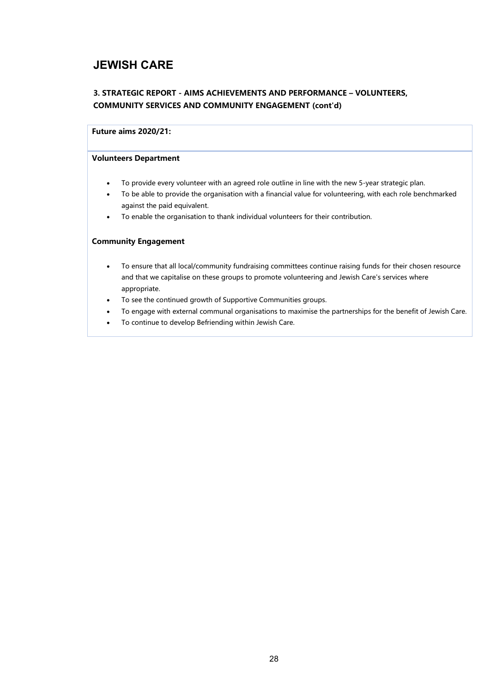## **3. STRATEGIC REPORT - AIMS ACHIEVEMENTS AND PERFORMANCE – VOLUNTEERS, COMMUNITY SERVICES AND COMMUNITY ENGAGEMENT (cont'd)**

**Future aims 2020/21:**

## **Volunteers Department**

- To provide every volunteer with an agreed role outline in line with the new 5-year strategic plan.
- To be able to provide the organisation with a financial value for volunteering, with each role benchmarked against the paid equivalent.
- To enable the organisation to thank individual volunteers for their contribution.

## **Community Engagement**

- To ensure that all local/community fundraising committees continue raising funds for their chosen resource and that we capitalise on these groups to promote volunteering and Jewish Care's services where appropriate.
- To see the continued growth of Supportive Communities groups.
- To engage with external communal organisations to maximise the partnerships for the benefit of Jewish Care.
- To continue to develop Befriending within Jewish Care.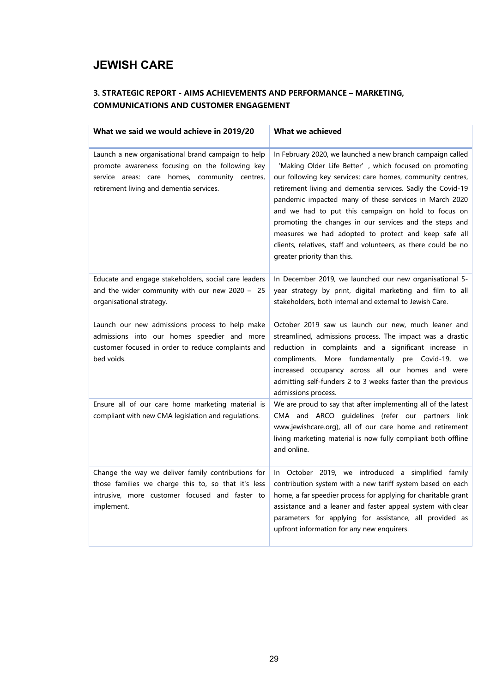## **3. STRATEGIC REPORT - AIMS ACHIEVEMENTS AND PERFORMANCE – MARKETING, COMMUNICATIONS AND CUSTOMER ENGAGEMENT**

| What we said we would achieve in 2019/20                                                                                                                                                           | What we achieved                                                                                                                                                                                                                                                                                                                                                                                                                                                                                                                                                                       |
|----------------------------------------------------------------------------------------------------------------------------------------------------------------------------------------------------|----------------------------------------------------------------------------------------------------------------------------------------------------------------------------------------------------------------------------------------------------------------------------------------------------------------------------------------------------------------------------------------------------------------------------------------------------------------------------------------------------------------------------------------------------------------------------------------|
| Launch a new organisational brand campaign to help<br>promote awareness focusing on the following key<br>service areas: care homes, community centres,<br>retirement living and dementia services. | In February 2020, we launched a new branch campaign called<br>'Making Older Life Better', which focused on promoting<br>our following key services; care homes, community centres,<br>retirement living and dementia services. Sadly the Covid-19<br>pandemic impacted many of these services in March 2020<br>and we had to put this campaign on hold to focus on<br>promoting the changes in our services and the steps and<br>measures we had adopted to protect and keep safe all<br>clients, relatives, staff and volunteers, as there could be no<br>greater priority than this. |
| Educate and engage stakeholders, social care leaders<br>and the wider community with our new $2020 - 25$<br>organisational strategy.                                                               | In December 2019, we launched our new organisational 5-<br>year strategy by print, digital marketing and film to all<br>stakeholders, both internal and external to Jewish Care.                                                                                                                                                                                                                                                                                                                                                                                                       |
| Launch our new admissions process to help make<br>admissions into our homes speedier and more<br>customer focused in order to reduce complaints and<br>bed voids.                                  | October 2019 saw us launch our new, much leaner and<br>streamlined, admissions process. The impact was a drastic<br>reduction in complaints and a significant increase in<br>compliments. More fundamentally pre Covid-19,<br>we<br>increased occupancy across all our homes and were<br>admitting self-funders 2 to 3 weeks faster than the previous<br>admissions process.                                                                                                                                                                                                           |
| Ensure all of our care home marketing material is<br>compliant with new CMA legislation and regulations.                                                                                           | We are proud to say that after implementing all of the latest<br>CMA and ARCO guidelines (refer our partners link<br>www.jewishcare.org), all of our care home and retirement<br>living marketing material is now fully compliant both offline<br>and online.                                                                                                                                                                                                                                                                                                                          |
| Change the way we deliver family contributions for<br>those families we charge this to, so that it's less<br>intrusive, more customer focused and faster to<br>implement.                          | In October 2019, we introduced a simplified family<br>contribution system with a new tariff system based on each<br>home, a far speedier process for applying for charitable grant<br>assistance and a leaner and faster appeal system with clear<br>parameters for applying for assistance, all provided as<br>upfront information for any new enquirers.                                                                                                                                                                                                                             |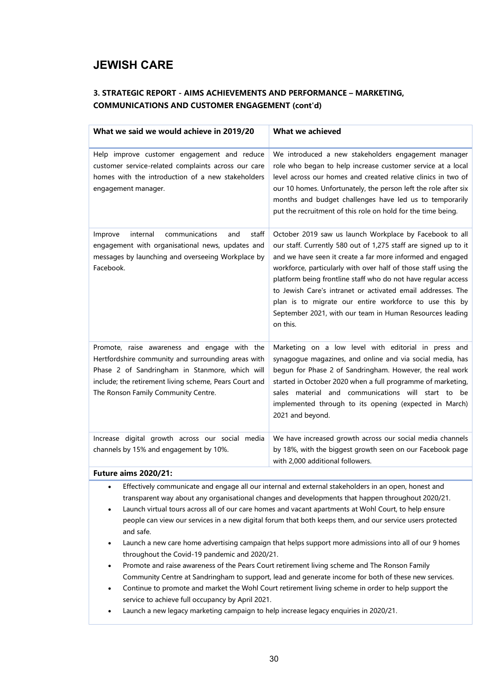## **3. STRATEGIC REPORT - AIMS ACHIEVEMENTS AND PERFORMANCE – MARKETING, COMMUNICATIONS AND CUSTOMER ENGAGEMENT (cont'd)**

| What we said we would achieve in 2019/20                                                                                                                                                                                                              | What we achieved                                                                                                                                                                                                                                                                                                                                                                                                                                                                                                              |
|-------------------------------------------------------------------------------------------------------------------------------------------------------------------------------------------------------------------------------------------------------|-------------------------------------------------------------------------------------------------------------------------------------------------------------------------------------------------------------------------------------------------------------------------------------------------------------------------------------------------------------------------------------------------------------------------------------------------------------------------------------------------------------------------------|
| Help improve customer engagement and reduce<br>customer service-related complaints across our care<br>homes with the introduction of a new stakeholders<br>engagement manager.                                                                        | We introduced a new stakeholders engagement manager<br>role who began to help increase customer service at a local<br>level across our homes and created relative clinics in two of<br>our 10 homes. Unfortunately, the person left the role after six<br>months and budget challenges have led us to temporarily<br>put the recruitment of this role on hold for the time being.                                                                                                                                             |
| communications<br>internal<br>and<br>staff<br>Improve<br>engagement with organisational news, updates and<br>messages by launching and overseeing Workplace by<br>Facebook.                                                                           | October 2019 saw us launch Workplace by Facebook to all<br>our staff. Currently 580 out of 1,275 staff are signed up to it<br>and we have seen it create a far more informed and engaged<br>workforce, particularly with over half of those staff using the<br>platform being frontline staff who do not have regular access<br>to Jewish Care's intranet or activated email addresses. The<br>plan is to migrate our entire workforce to use this by<br>September 2021, with our team in Human Resources leading<br>on this. |
| Promote, raise awareness and engage with the<br>Hertfordshire community and surrounding areas with<br>Phase 2 of Sandringham in Stanmore, which will<br>include; the retirement living scheme, Pears Court and<br>The Ronson Family Community Centre. | Marketing on a low level with editorial in press and<br>synagogue magazines, and online and via social media, has<br>begun for Phase 2 of Sandringham. However, the real work<br>started in October 2020 when a full programme of marketing,<br>sales material and communications will start to be<br>implemented through to its opening (expected in March)<br>2021 and beyond.                                                                                                                                              |
| Increase digital growth across our social media<br>channels by 15% and engagement by 10%.                                                                                                                                                             | We have increased growth across our social media channels<br>by 18%, with the biggest growth seen on our Facebook page<br>with 2,000 additional followers.                                                                                                                                                                                                                                                                                                                                                                    |
| <b>Future aims 2020/21:</b>                                                                                                                                                                                                                           |                                                                                                                                                                                                                                                                                                                                                                                                                                                                                                                               |

- Effectively communicate and engage all our internal and external stakeholders in an open, honest and transparent way about any organisational changes and developments that happen throughout 2020/21.
- Launch virtual tours across all of our care homes and vacant apartments at Wohl Court, to help ensure people can view our services in a new digital forum that both keeps them, and our service users protected and safe.
- Launch a new care home advertising campaign that helps support more admissions into all of our 9 homes throughout the Covid-19 pandemic and 2020/21.
- Promote and raise awareness of the Pears Court retirement living scheme and The Ronson Family Community Centre at Sandringham to support, lead and generate income for both of these new services.
- Continue to promote and market the Wohl Court retirement living scheme in order to help support the service to achieve full occupancy by April 2021.
- Launch a new legacy marketing campaign to help increase legacy enquiries in 2020/21.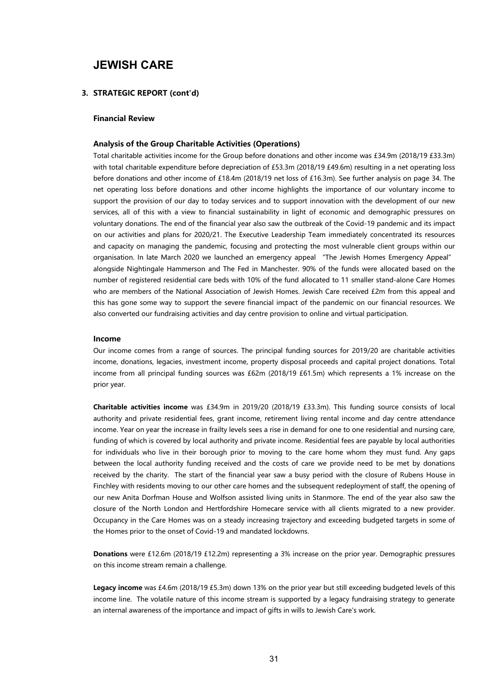### **3. STRATEGIC REPORT (cont'd)**

### **Financial Review**

#### **Analysis of the Group Charitable Activities (Operations)**

Total charitable activities income for the Group before donations and other income was £34.9m (2018/19 £33.3m) with total charitable expenditure before depreciation of £53.3m (2018/19 £49.6m) resulting in a net operating loss before donations and other income of £18.4m (2018/19 net loss of £16.3m). See further analysis on page 34. The net operating loss before donations and other income highlights the importance of our voluntary income to support the provision of our day to today services and to support innovation with the development of our new services, all of this with a view to financial sustainability in light of economic and demographic pressures on voluntary donations. The end of the financial year also saw the outbreak of the Covid-19 pandemic and its impact on our activities and plans for 2020/21. The Executive Leadership Team immediately concentrated its resources and capacity on managing the pandemic, focusing and protecting the most vulnerable client groups within our organisation. In late March 2020 we launched an emergency appeal "The Jewish Homes Emergency Appeal" alongside Nightingale Hammerson and The Fed in Manchester. 90% of the funds were allocated based on the number of registered residential care beds with 10% of the fund allocated to 11 smaller stand-alone Care Homes who are members of the National Association of Jewish Homes. Jewish Care received £2m from this appeal and this has gone some way to support the severe financial impact of the pandemic on our financial resources. We also converted our fundraising activities and day centre provision to online and virtual participation.

#### **Income**

Our income comes from a range of sources. The principal funding sources for 2019/20 are charitable activities income, donations, legacies, investment income, property disposal proceeds and capital project donations. Total income from all principal funding sources was £62m (2018/19 £61.5m) which represents a 1% increase on the prior year.

**Charitable activities income** was £34.9m in 2019/20 (2018/19 £33.3m). This funding source consists of local authority and private residential fees, grant income, retirement living rental income and day centre attendance income. Year on year the increase in frailty levels sees a rise in demand for one to one residential and nursing care, funding of which is covered by local authority and private income. Residential fees are payable by local authorities for individuals who live in their borough prior to moving to the care home whom they must fund. Any gaps between the local authority funding received and the costs of care we provide need to be met by donations received by the charity. The start of the financial year saw a busy period with the closure of Rubens House in Finchley with residents moving to our other care homes and the subsequent redeployment of staff, the opening of our new Anita Dorfman House and Wolfson assisted living units in Stanmore. The end of the year also saw the closure of the North London and Hertfordshire Homecare service with all clients migrated to a new provider. Occupancy in the Care Homes was on a steady increasing trajectory and exceeding budgeted targets in some of the Homes prior to the onset of Covid-19 and mandated lockdowns.

**Donations** were £12.6m (2018/19 £12.2m) representing a 3% increase on the prior year. Demographic pressures on this income stream remain a challenge.

**Legacy income** was £4.6m (2018/19 £5.3m) down 13% on the prior year but still exceeding budgeted levels of this income line. The volatile nature of this income stream is supported by a legacy fundraising strategy to generate an internal awareness of the importance and impact of gifts in wills to Jewish Care's work.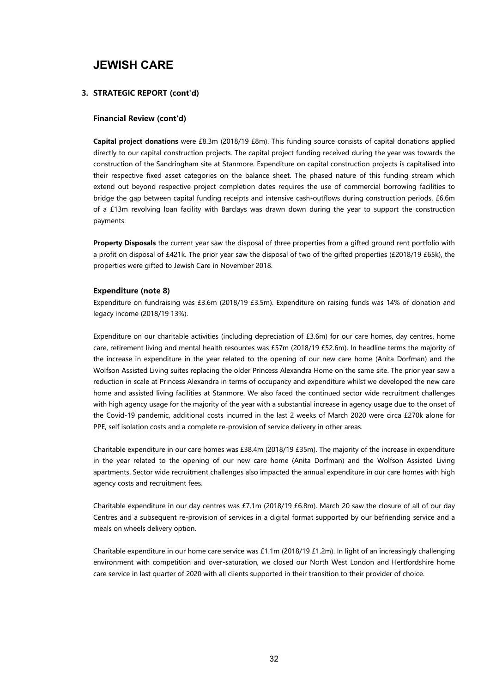## **3. STRATEGIC REPORT (cont'd)**

### **Financial Review (cont'd)**

**Capital project donations** were £8.3m (2018/19 £8m). This funding source consists of capital donations applied directly to our capital construction projects. The capital project funding received during the year was towards the construction of the Sandringham site at Stanmore. Expenditure on capital construction projects is capitalised into their respective fixed asset categories on the balance sheet. The phased nature of this funding stream which extend out beyond respective project completion dates requires the use of commercial borrowing facilities to bridge the gap between capital funding receipts and intensive cash-outflows during construction periods. £6.6m of a £13m revolving loan facility with Barclays was drawn down during the year to support the construction payments.

**Property Disposals** the current year saw the disposal of three properties from a gifted ground rent portfolio with a profit on disposal of £421k. The prior year saw the disposal of two of the gifted properties (£2018/19 £65k), the properties were gifted to Jewish Care in November 2018.

### **Expenditure (note 8)**

Expenditure on fundraising was £3.6m (2018/19 £3.5m). Expenditure on raising funds was 14% of donation and legacy income (2018/19 13%).

Expenditure on our charitable activities (including depreciation of £3.6m) for our care homes, day centres, home care, retirement living and mental health resources was £57m (2018/19 £52.6m). In headline terms the majority of the increase in expenditure in the year related to the opening of our new care home (Anita Dorfman) and the Wolfson Assisted Living suites replacing the older Princess Alexandra Home on the same site. The prior year saw a reduction in scale at Princess Alexandra in terms of occupancy and expenditure whilst we developed the new care home and assisted living facilities at Stanmore. We also faced the continued sector wide recruitment challenges with high agency usage for the majority of the year with a substantial increase in agency usage due to the onset of the Covid-19 pandemic, additional costs incurred in the last 2 weeks of March 2020 were circa £270k alone for PPE, self isolation costs and a complete re-provision of service delivery in other areas.

Charitable expenditure in our care homes was £38.4m (2018/19 £35m). The majority of the increase in expenditure in the year related to the opening of our new care home (Anita Dorfman) and the Wolfson Assisted Living apartments. Sector wide recruitment challenges also impacted the annual expenditure in our care homes with high agency costs and recruitment fees.

Charitable expenditure in our day centres was £7.1m (2018/19 £6.8m). March 20 saw the closure of all of our day Centres and a subsequent re-provision of services in a digital format supported by our befriending service and a meals on wheels delivery option.

Charitable expenditure in our home care service was £1.1m (2018/19 £1.2m). In light of an increasingly challenging environment with competition and over-saturation, we closed our North West London and Hertfordshire home care service in last quarter of 2020 with all clients supported in their transition to their provider of choice.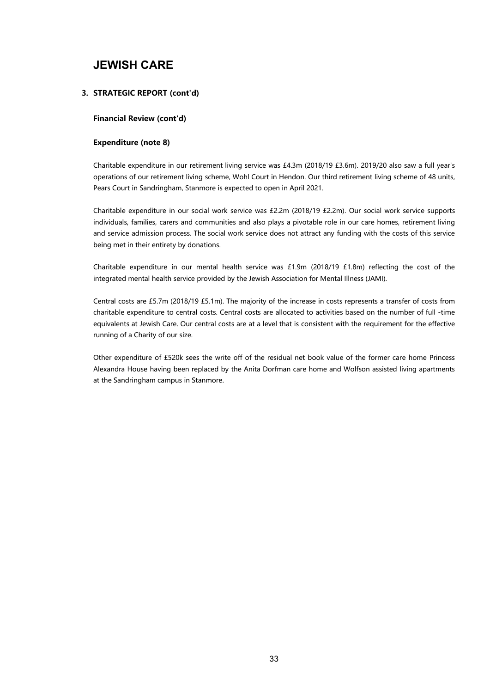## **3. STRATEGIC REPORT (cont'd)**

### **Financial Review (cont'd)**

### **Expenditure (note 8)**

Charitable expenditure in our retirement living service was £4.3m (2018/19 £3.6m). 2019/20 also saw a full year's operations of our retirement living scheme, Wohl Court in Hendon. Our third retirement living scheme of 48 units, Pears Court in Sandringham, Stanmore is expected to open in April 2021.

Charitable expenditure in our social work service was £2.2m (2018/19 £2.2m). Our social work service supports individuals, families, carers and communities and also plays a pivotable role in our care homes, retirement living and service admission process. The social work service does not attract any funding with the costs of this service being met in their entirety by donations.

Charitable expenditure in our mental health service was £1.9m (2018/19 £1.8m) reflecting the cost of the integrated mental health service provided by the Jewish Association for Mental Illness (JAMI).

Central costs are £5.7m (2018/19 £5.1m). The majority of the increase in costs represents a transfer of costs from charitable expenditure to central costs. Central costs are allocated to activities based on the number of full -time equivalents at Jewish Care. Our central costs are at a level that is consistent with the requirement for the effective running of a Charity of our size.

Other expenditure of £520k sees the write off of the residual net book value of the former care home Princess Alexandra House having been replaced by the Anita Dorfman care home and Wolfson assisted living apartments at the Sandringham campus in Stanmore.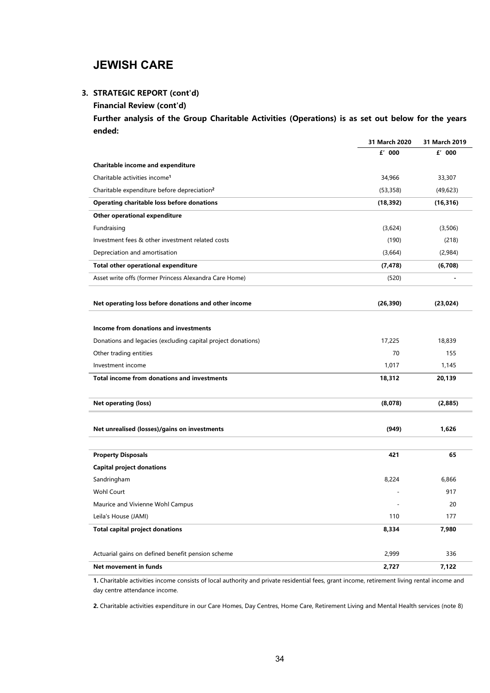**3. STRATEGIC REPORT (cont'd)**

**Financial Review (cont'd)**

**Further analysis of the Group Charitable Activities (Operations) is as set out below for the years ended:**

|                                                              | 31 March 2020 | 31 March 2019 |
|--------------------------------------------------------------|---------------|---------------|
|                                                              | $f'$ 000      | $f'$ 000      |
| Charitable income and expenditure                            |               |               |
| Charitable activities income <sup>1</sup>                    | 34,966        | 33,307        |
| Charitable expenditure before depreciation <sup>2</sup>      | (53, 358)     | (49, 623)     |
| Operating charitable loss before donations                   | (18, 392)     | (16, 316)     |
| Other operational expenditure                                |               |               |
| Fundraising                                                  | (3,624)       | (3,506)       |
| Investment fees & other investment related costs             | (190)         | (218)         |
| Depreciation and amortisation                                | (3,664)       | (2,984)       |
| Total other operational expenditure                          | (7, 478)      | (6, 708)      |
| Asset write offs (former Princess Alexandra Care Home)       | (520)         |               |
| Net operating loss before donations and other income         | (26, 390)     | (23, 024)     |
|                                                              |               |               |
| Income from donations and investments                        |               |               |
| Donations and legacies (excluding capital project donations) | 17,225        | 18,839        |
| Other trading entities                                       | 70            | 155           |
| Investment income                                            | 1,017         | 1,145         |
| Total income from donations and investments                  | 18,312        | 20,139        |
| <b>Net operating (loss)</b>                                  | (8,078)       | (2,885)       |
|                                                              |               |               |
| Net unrealised (losses)/gains on investments                 | (949)         | 1,626         |
| <b>Property Disposals</b>                                    | 421           | 65            |
| <b>Capital project donations</b>                             |               |               |
| Sandringham                                                  | 8,224         | 6,866         |
| <b>Wohl Court</b>                                            |               | 917           |
| Maurice and Vivienne Wohl Campus                             |               | 20            |
| Leila's House (JAMI)                                         | 110           | 177           |
| <b>Total capital project donations</b>                       | 8,334         | 7,980         |
|                                                              |               |               |
| Actuarial gains on defined benefit pension scheme            | 2,999         | 336           |
| Net movement in funds                                        | 2,727         | 7,122         |
|                                                              |               |               |

**1.** Charitable activities income consists of local authority and private residential fees, grant income, retirement living rental income and day centre attendance income.

**2.** Charitable activities expenditure in our Care Homes, Day Centres, Home Care, Retirement Living and Mental Health services (note 8)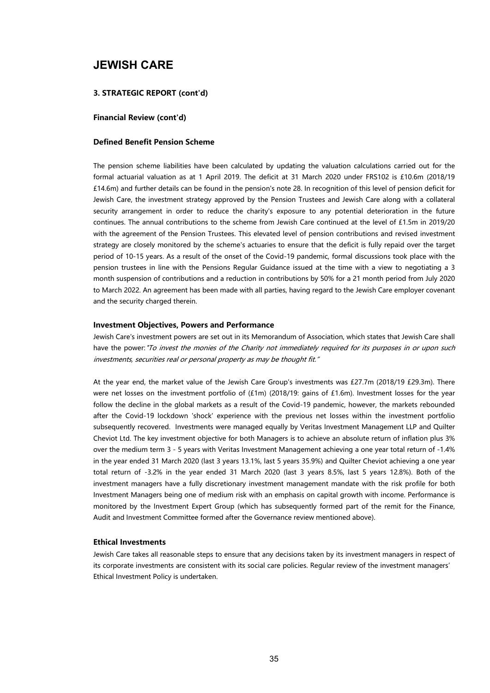### **3. STRATEGIC REPORT (cont'd)**

#### **Financial Review (cont'd)**

## **Defined Benefit Pension Scheme**

The pension scheme liabilities have been calculated by updating the valuation calculations carried out for the formal actuarial valuation as at 1 April 2019. The deficit at 31 March 2020 under FRS102 is £10.6m (2018/19 £14.6m) and further details can be found in the pension's note 28. In recognition of this level of pension deficit for Jewish Care, the investment strategy approved by the Pension Trustees and Jewish Care along with a collateral security arrangement in order to reduce the charity's exposure to any potential deterioration in the future continues. The annual contributions to the scheme from Jewish Care continued at the level of £1.5m in 2019/20 with the agreement of the Pension Trustees. This elevated level of pension contributions and revised investment strategy are closely monitored by the scheme's actuaries to ensure that the deficit is fully repaid over the target period of 10-15 years. As a result of the onset of the Covid-19 pandemic, formal discussions took place with the pension trustees in line with the Pensions Regular Guidance issued at the time with a view to negotiating a 3 month suspension of contributions and a reduction in contributions by 50% for a 21 month period from July 2020 to March 2022. An agreement has been made with all parties, having regard to the Jewish Care employer covenant and the security charged therein.

#### **Investment Objectives, Powers and Performance**

Jewish Care's investment powers are set out in its Memorandum of Association, which states that Jewish Care shall have the power: "To invest the monies of the Charity not immediately required for its purposes in or upon such investments, securities real or personal property as may be thought fit."

At the year end, the market value of the Jewish Care Group's investments was £27.7m (2018/19 £29.3m). There were net losses on the investment portfolio of (£1m) (2018/19: gains of £1.6m). Investment losses for the year follow the decline in the global markets as a result of the Covid-19 pandemic, however, the markets rebounded after the Covid-19 lockdown 'shock' experience with the previous net losses within the investment portfolio subsequently recovered. Investments were managed equally by Veritas Investment Management LLP and Quilter Cheviot Ltd. The key investment objective for both Managers is to achieve an absolute return of inflation plus 3% over the medium term 3 - 5 years with Veritas Investment Management achieving a one year total return of -1.4% in the year ended 31 March 2020 (last 3 years 13.1%, last 5 years 35.9%) and Quilter Cheviot achieving a one year total return of -3.2% in the year ended 31 March 2020 (last 3 years 8.5%, last 5 years 12.8%). Both of the investment managers have a fully discretionary investment management mandate with the risk profile for both Investment Managers being one of medium risk with an emphasis on capital growth with income. Performance is monitored by the Investment Expert Group (which has subsequently formed part of the remit for the Finance, Audit and Investment Committee formed after the Governance review mentioned above).

#### **Ethical Investments**

Jewish Care takes all reasonable steps to ensure that any decisions taken by its investment managers in respect of its corporate investments are consistent with its social care policies. Regular review of the investment managers' Ethical Investment Policy is undertaken.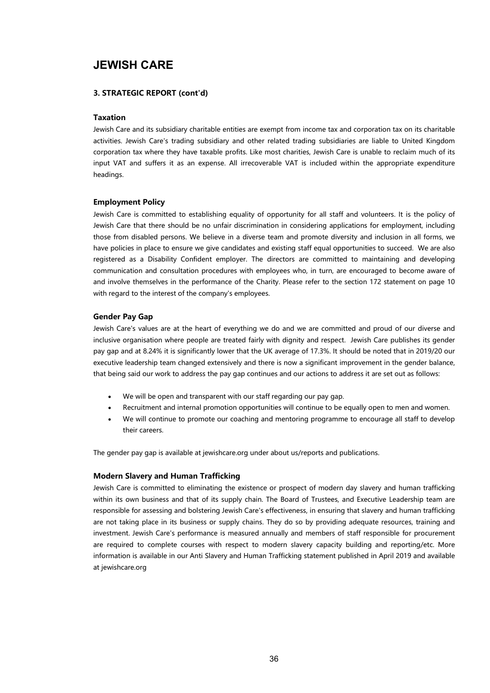#### **3. STRATEGIC REPORT (cont'd)**

#### **Taxation**

Jewish Care and its subsidiary charitable entities are exempt from income tax and corporation tax on its charitable activities. Jewish Care's trading subsidiary and other related trading subsidiaries are liable to United Kingdom corporation tax where they have taxable profits. Like most charities, Jewish Care is unable to reclaim much of its input VAT and suffers it as an expense. All irrecoverable VAT is included within the appropriate expenditure headings.

#### **Employment Policy**

Jewish Care is committed to establishing equality of opportunity for all staff and volunteers. It is the policy of Jewish Care that there should be no unfair discrimination in considering applications for employment, including those from disabled persons. We believe in a diverse team and promote diversity and inclusion in all forms, we have policies in place to ensure we give candidates and existing staff equal opportunities to succeed. We are also registered as a Disability Confident employer. The directors are committed to maintaining and developing communication and consultation procedures with employees who, in turn, are encouraged to become aware of and involve themselves in the performance of the Charity. Please refer to the section 172 statement on page 10 with regard to the interest of the company's employees.

#### **Gender Pay Gap**

Jewish Care's values are at the heart of everything we do and we are committed and proud of our diverse and inclusive organisation where people are treated fairly with dignity and respect. Jewish Care publishes its gender pay gap and at 8.24% it is significantly lower that the UK average of 17.3%. It should be noted that in 2019/20 our executive leadership team changed extensively and there is now a significant improvement in the gender balance, that being said our work to address the pay gap continues and our actions to address it are set out as follows:

- We will be open and transparent with our staff regarding our pay gap.
- Recruitment and internal promotion opportunities will continue to be equally open to men and women.
- We will continue to promote our coaching and mentoring programme to encourage all staff to develop their careers.

The gender pay gap is available at jewishcare.org under about us/reports and publications.

#### **Modern Slavery and Human Trafficking**

Jewish Care is committed to eliminating the existence or prospect of modern day slavery and human trafficking within its own business and that of its supply chain. The Board of Trustees, and Executive Leadership team are responsible for assessing and bolstering Jewish Care's effectiveness, in ensuring that slavery and human trafficking are not taking place in its business or supply chains. They do so by providing adequate resources, training and investment. Jewish Care's performance is measured annually and members of staff responsible for procurement are required to complete courses with respect to modern slavery capacity building and reporting/etc. More information is available in our Anti Slavery and Human Trafficking statement published in April 2019 and available at jewishcare.org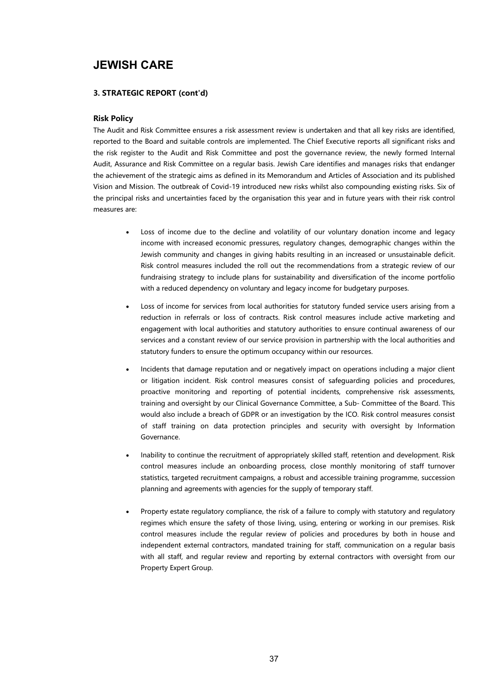#### **3. STRATEGIC REPORT (cont'd)**

#### **Risk Policy**

The Audit and Risk Committee ensures a risk assessment review is undertaken and that all key risks are identified, reported to the Board and suitable controls are implemented. The Chief Executive reports all significant risks and the risk register to the Audit and Risk Committee and post the governance review, the newly formed Internal Audit, Assurance and Risk Committee on a regular basis. Jewish Care identifies and manages risks that endanger the achievement of the strategic aims as defined in its Memorandum and Articles of Association and its published Vision and Mission. The outbreak of Covid-19 introduced new risks whilst also compounding existing risks. Six of the principal risks and uncertainties faced by the organisation this year and in future years with their risk control measures are:

- Loss of income due to the decline and volatility of our voluntary donation income and legacy income with increased economic pressures, regulatory changes, demographic changes within the Jewish community and changes in giving habits resulting in an increased or unsustainable deficit. Risk control measures included the roll out the recommendations from a strategic review of our fundraising strategy to include plans for sustainability and diversification of the income portfolio with a reduced dependency on voluntary and legacy income for budgetary purposes.
- Loss of income for services from local authorities for statutory funded service users arising from a reduction in referrals or loss of contracts. Risk control measures include active marketing and engagement with local authorities and statutory authorities to ensure continual awareness of our services and a constant review of our service provision in partnership with the local authorities and statutory funders to ensure the optimum occupancy within our resources.
- Incidents that damage reputation and or negatively impact on operations including a major client or litigation incident. Risk control measures consist of safeguarding policies and procedures, proactive monitoring and reporting of potential incidents, comprehensive risk assessments, training and oversight by our Clinical Governance Committee, a Sub- Committee of the Board. This would also include a breach of GDPR or an investigation by the ICO. Risk control measures consist of staff training on data protection principles and security with oversight by Information Governance.
- Inability to continue the recruitment of appropriately skilled staff, retention and development. Risk control measures include an onboarding process, close monthly monitoring of staff turnover statistics, targeted recruitment campaigns, a robust and accessible training programme, succession planning and agreements with agencies for the supply of temporary staff.
- Property estate regulatory compliance, the risk of a failure to comply with statutory and regulatory regimes which ensure the safety of those living, using, entering or working in our premises. Risk control measures include the regular review of policies and procedures by both in house and independent external contractors, mandated training for staff, communication on a regular basis with all staff, and regular review and reporting by external contractors with oversight from our Property Expert Group.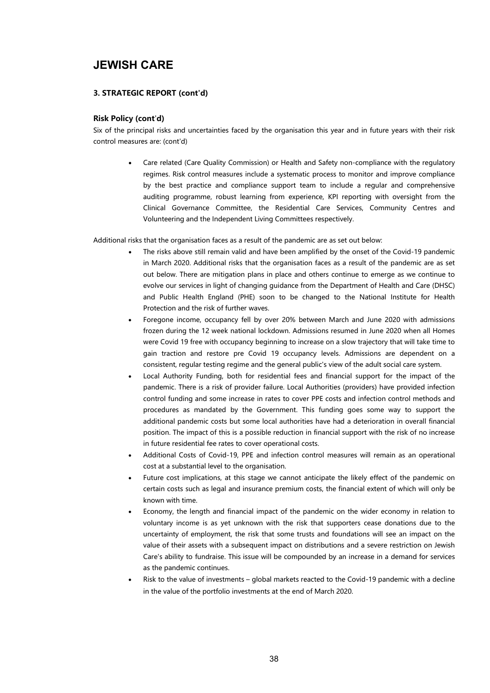#### **3. STRATEGIC REPORT (cont'd)**

#### **Risk Policy (cont**'**d)**

Six of the principal risks and uncertainties faced by the organisation this year and in future years with their risk control measures are: (cont'd)

 Care related (Care Quality Commission) or Health and Safety non-compliance with the regulatory regimes. Risk control measures include a systematic process to monitor and improve compliance by the best practice and compliance support team to include a regular and comprehensive auditing programme, robust learning from experience, KPI reporting with oversight from the Clinical Governance Committee, the Residential Care Services, Community Centres and Volunteering and the Independent Living Committees respectively.

Additional risks that the organisation faces as a result of the pandemic are as set out below:

- The risks above still remain valid and have been amplified by the onset of the Covid-19 pandemic in March 2020. Additional risks that the organisation faces as a result of the pandemic are as set out below. There are mitigation plans in place and others continue to emerge as we continue to evolve our services in light of changing guidance from the Department of Health and Care (DHSC) and Public Health England (PHE) soon to be changed to the National Institute for Health Protection and the risk of further waves.
- Foregone income, occupancy fell by over 20% between March and June 2020 with admissions frozen during the 12 week national lockdown. Admissions resumed in June 2020 when all Homes were Covid 19 free with occupancy beginning to increase on a slow trajectory that will take time to gain traction and restore pre Covid 19 occupancy levels. Admissions are dependent on a consistent, regular testing regime and the general public's view of the adult social care system.
- Local Authority Funding, both for residential fees and financial support for the impact of the pandemic. There is a risk of provider failure. Local Authorities (providers) have provided infection control funding and some increase in rates to cover PPE costs and infection control methods and procedures as mandated by the Government. This funding goes some way to support the additional pandemic costs but some local authorities have had a deterioration in overall financial position. The impact of this is a possible reduction in financial support with the risk of no increase in future residential fee rates to cover operational costs.
- Additional Costs of Covid-19, PPE and infection control measures will remain as an operational cost at a substantial level to the organisation.
- Future cost implications, at this stage we cannot anticipate the likely effect of the pandemic on certain costs such as legal and insurance premium costs, the financial extent of which will only be known with time.
- Economy, the length and financial impact of the pandemic on the wider economy in relation to voluntary income is as yet unknown with the risk that supporters cease donations due to the uncertainty of employment, the risk that some trusts and foundations will see an impact on the value of their assets with a subsequent impact on distributions and a severe restriction on Jewish Care's ability to fundraise. This issue will be compounded by an increase in a demand for services as the pandemic continues.
- Risk to the value of investments global markets reacted to the Covid-19 pandemic with a decline in the value of the portfolio investments at the end of March 2020.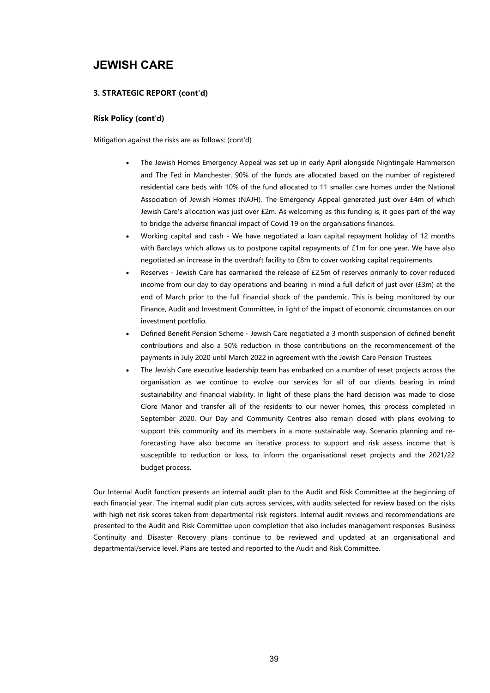#### **3. STRATEGIC REPORT (cont'd)**

#### **Risk Policy (cont**'**d)**

Mitigation against the risks are as follows: (cont'd)

- The Jewish Homes Emergency Appeal was set up in early April alongside Nightingale Hammerson and The Fed in Manchester. 90% of the funds are allocated based on the number of registered residential care beds with 10% of the fund allocated to 11 smaller care homes under the National Association of Jewish Homes (NAJH). The Emergency Appeal generated just over £4m of which Jewish Care's allocation was just over £2m. As welcoming as this funding is, it goes part of the way to bridge the adverse financial impact of Covid 19 on the organisations finances.
- Working capital and cash We have negotiated a loan capital repayment holiday of 12 months with Barclays which allows us to postpone capital repayments of £1m for one year. We have also negotiated an increase in the overdraft facility to £8m to cover working capital requirements.
- Reserves Jewish Care has earmarked the release of £2.5m of reserves primarily to cover reduced income from our day to day operations and bearing in mind a full deficit of just over  $(f3m)$  at the end of March prior to the full financial shock of the pandemic. This is being monitored by our Finance, Audit and Investment Committee, in light of the impact of economic circumstances on our investment portfolio.
- Defined Benefit Pension Scheme Jewish Care negotiated a 3 month suspension of defined benefit contributions and also a 50% reduction in those contributions on the recommencement of the payments in July 2020 until March 2022 in agreement with the Jewish Care Pension Trustees.
- The Jewish Care executive leadership team has embarked on a number of reset projects across the organisation as we continue to evolve our services for all of our clients bearing in mind sustainability and financial viability. In light of these plans the hard decision was made to close Clore Manor and transfer all of the residents to our newer homes, this process completed in September 2020. Our Day and Community Centres also remain closed with plans evolving to support this community and its members in a more sustainable way. Scenario planning and reforecasting have also become an iterative process to support and risk assess income that is susceptible to reduction or loss, to inform the organisational reset projects and the 2021/22 budget process.

Our Internal Audit function presents an internal audit plan to the Audit and Risk Committee at the beginning of each financial year. The internal audit plan cuts across services, with audits selected for review based on the risks with high net risk scores taken from departmental risk registers. Internal audit reviews and recommendations are presented to the Audit and Risk Committee upon completion that also includes management responses. Business Continuity and Disaster Recovery plans continue to be reviewed and updated at an organisational and departmental/service level. Plans are tested and reported to the Audit and Risk Committee.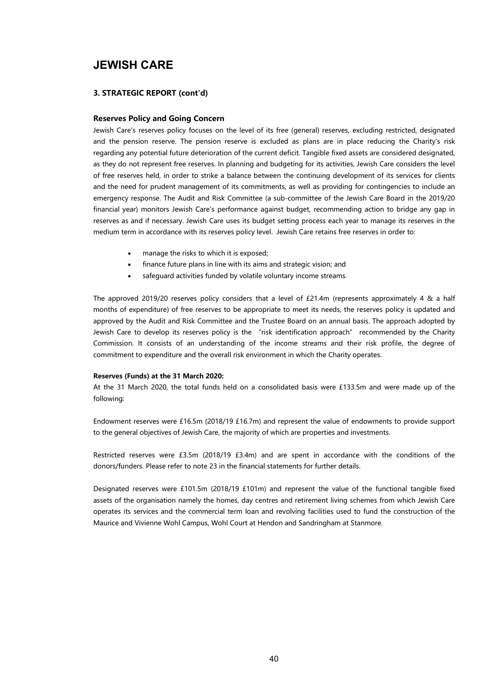#### **3. STRATEGIC REPORT (cont'd)**

#### **Reserves Policy and Going Concern**

Jewish Care's reserves policy focuses on the level of its free (general) reserves, excluding restricted, designated and the pension reserve. The pension reserve is excluded as plans are in place reducing the Charity's risk regarding any potential future deterioration of the current deficit. Tangible fixed assets are considered designated, as they do not represent free reserves. In planning and budgeting for its activities, Jewish Care considers the level of free reserves held, in order to strike a balance between the continuing development of its services for clients and the need for prudent management of its commitments, as well as providing for contingencies to include an emergency response. The Audit and Risk Committee (a sub-committee of the Jewish Care Board in the 2019/20 financial year) monitors Jewish Care's performance against budget, recommending action to bridge any gap in reserves as and if necessary. Jewish Care uses its budget setting process each year to manage its reserves in the medium term in accordance with its reserves policy level. Jewish Care retains free reserves in order to:

- manage the risks to which it is exposed;
- finance future plans in line with its aims and strategic vision; and
- safeguard activities funded by volatile voluntary income streams.

The approved 2019/20 reserves policy considers that a level of £21.4m (represents approximately 4 & a half months of expenditure) of free reserves to be appropriate to meet its needs, the reserves policy is updated and approved by the Audit and Risk Committee and the Trustee Board on an annual basis. The approach adopted by Jewish Care to develop its reserves policy is the "risk identification approach" recommended by the Charity Commission. It consists of an understanding of the income streams and their risk profile, the degree of commitment to expenditure and the overall risk environment in which the Charity operates.

#### **Reserves (Funds) at the 31 March 2020:**

At the 31 March 2020, the total funds held on a consolidated basis were £133.5m and were made up of the following:

Endowment reserves were £16.5m (2018/19 £16.7m) and represent the value of endowments to provide support to the general objectives of Jewish Care, the majority of which are properties and investments.

Restricted reserves were £3.5m (2018/19 £3.4m) and are spent in accordance with the conditions of the donors/funders. Please refer to note 23 in the financial statements for further details.

Designated reserves were £101.5m (2018/19 £101m) and represent the value of the functional tangible fixed assets of the organisation namely the homes, day centres and retirement living schemes from which Jewish Care operates its services and the commercial term loan and revolving facilities used to fund the construction of the Maurice and Vivienne Wohl Campus, Wohl Court at Hendon and Sandringham at Stanmore.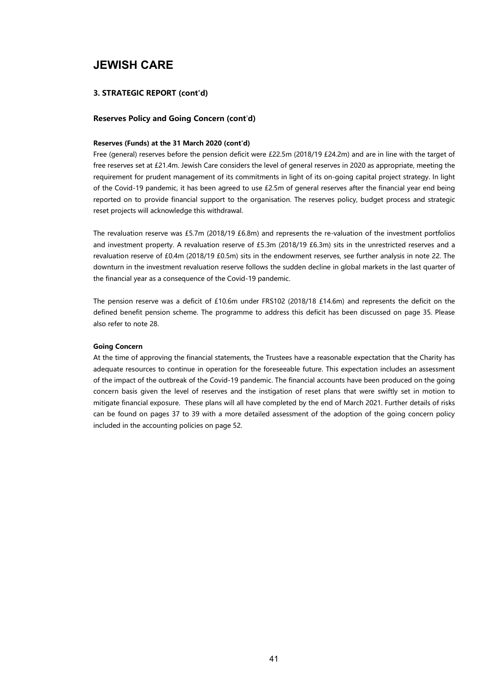#### **3. STRATEGIC REPORT (cont'd)**

#### **Reserves Policy and Going Concern (cont**'**d)**

#### **Reserves (Funds) at the 31 March 2020 (cont'd)**

Free (general) reserves before the pension deficit were £22.5m (2018/19 £24.2m) and are in line with the target of free reserves set at £21.4m. Jewish Care considers the level of general reserves in 2020 as appropriate, meeting the requirement for prudent management of its commitments in light of its on-going capital project strategy. In light of the Covid-19 pandemic, it has been agreed to use £2.5m of general reserves after the financial year end being reported on to provide financial support to the organisation. The reserves policy, budget process and strategic reset projects will acknowledge this withdrawal.

The revaluation reserve was £5.7m (2018/19 £6.8m) and represents the re-valuation of the investment portfolios and investment property. A revaluation reserve of £5.3m (2018/19 £6.3m) sits in the unrestricted reserves and a revaluation reserve of £0.4m (2018/19 £0.5m) sits in the endowment reserves, see further analysis in note 22. The downturn in the investment revaluation reserve follows the sudden decline in global markets in the last quarter of the financial year as a consequence of the Covid-19 pandemic.

The pension reserve was a deficit of £10.6m under FRS102 (2018/18 £14.6m) and represents the deficit on the defined benefit pension scheme. The programme to address this deficit has been discussed on page 35. Please also refer to note 28.

#### **Going Concern**

At the time of approving the financial statements, the Trustees have a reasonable expectation that the Charity has adequate resources to continue in operation for the foreseeable future. This expectation includes an assessment of the impact of the outbreak of the Covid-19 pandemic. The financial accounts have been produced on the going concern basis given the level of reserves and the instigation of reset plans that were swiftly set in motion to mitigate financial exposure. These plans will all have completed by the end of March 2021. Further details of risks can be found on pages 37 to 39 with a more detailed assessment of the adoption of the going concern policy included in the accounting policies on page 52.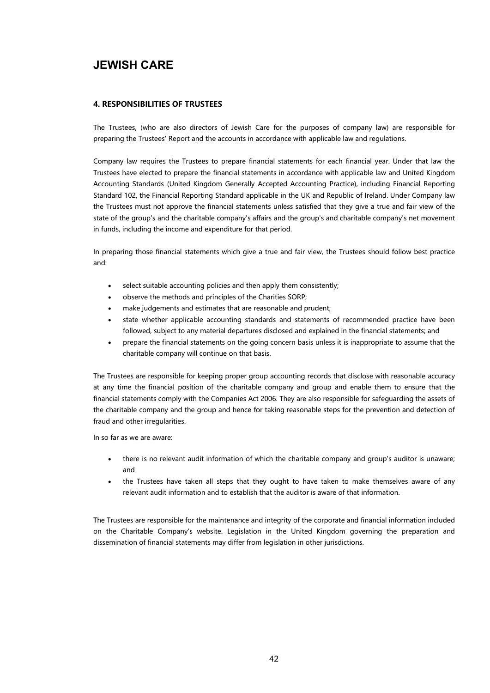#### **4. RESPONSIBILITIES OF TRUSTEES**

The Trustees, (who are also directors of Jewish Care for the purposes of company law) are responsible for preparing the Trustees' Report and the accounts in accordance with applicable law and regulations.

Company law requires the Trustees to prepare financial statements for each financial year. Under that law the Trustees have elected to prepare the financial statements in accordance with applicable law and United Kingdom Accounting Standards (United Kingdom Generally Accepted Accounting Practice), including Financial Reporting Standard 102, the Financial Reporting Standard applicable in the UK and Republic of Ireland. Under Company law the Trustees must not approve the financial statements unless satisfied that they give a true and fair view of the state of the group's and the charitable company's affairs and the group's and charitable company's net movement in funds, including the income and expenditure for that period.

In preparing those financial statements which give a true and fair view, the Trustees should follow best practice and:

- select suitable accounting policies and then apply them consistently;
- observe the methods and principles of the Charities SORP;
- make judgements and estimates that are reasonable and prudent;
- state whether applicable accounting standards and statements of recommended practice have been followed, subject to any material departures disclosed and explained in the financial statements; and
- prepare the financial statements on the going concern basis unless it is inappropriate to assume that the charitable company will continue on that basis.

The Trustees are responsible for keeping proper group accounting records that disclose with reasonable accuracy at any time the financial position of the charitable company and group and enable them to ensure that the financial statements comply with the Companies Act 2006. They are also responsible for safeguarding the assets of the charitable company and the group and hence for taking reasonable steps for the prevention and detection of fraud and other irregularities.

In so far as we are aware:

- there is no relevant audit information of which the charitable company and group's auditor is unaware; and
- the Trustees have taken all steps that they ought to have taken to make themselves aware of any relevant audit information and to establish that the auditor is aware of that information.

The Trustees are responsible for the maintenance and integrity of the corporate and financial information included on the Charitable Company's website. Legislation in the United Kingdom governing the preparation and dissemination of financial statements may differ from legislation in other jurisdictions.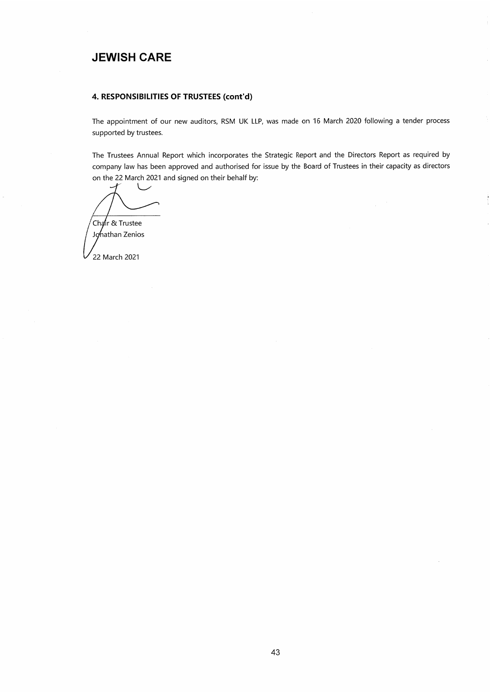#### 4. RESPONSIBILITIES OF TRUSTEES (cont'd)

The appointment of our new auditors, RSM UK LLP, was made on 16 March 2020 following a tender process supported by trustees.

The Trustees Annual Report which incorporates the Strategic Report and the Directors Report as required by company law has been approved and authorised for issue by the Board of Trustees in their capacity as directors on the 22 March 2021 and signed on their behalf by:

Chair & Trustee

Jonathan Zenios 22 March 2021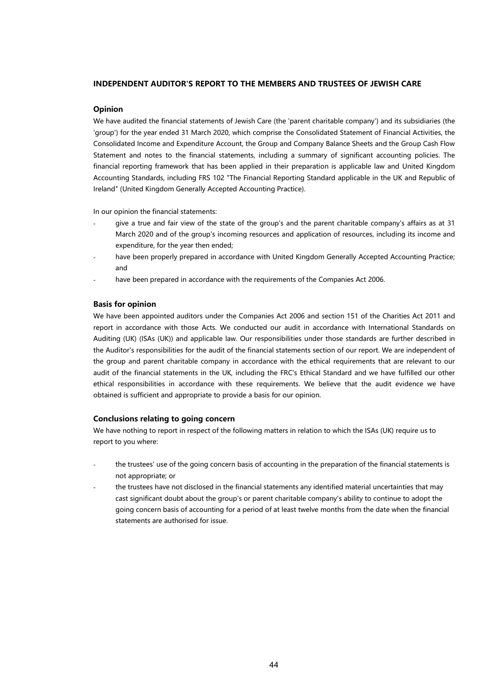#### **INDEPENDENT AUDITOR'S REPORT TO THE MEMBERS AND TRUSTEES OF JEWISH CARE**

#### **Opinion**

We have audited the financial statements of Jewish Care (the 'parent charitable company') and its subsidiaries (the 'group') for the year ended 31 March 2020, which comprise the Consolidated Statement of Financial Activities, the Consolidated Income and Expenditure Account, the Group and Company Balance Sheets and the Group Cash Flow Statement and notes to the financial statements, including a summary of significant accounting policies. The financial reporting framework that has been applied in their preparation is applicable law and United Kingdom Accounting Standards, including FRS 102 "The Financial Reporting Standard applicable in the UK and Republic of Ireland" (United Kingdom Generally Accepted Accounting Practice).

In our opinion the financial statements:

- give a true and fair view of the state of the group's and the parent charitable company's affairs as at 31 March 2020 and of the group's incoming resources and application of resources, including its income and expenditure, for the year then ended;
- have been properly prepared in accordance with United Kingdom Generally Accepted Accounting Practice; and
- have been prepared in accordance with the requirements of the Companies Act 2006.

#### **Basis for opinion**

We have been appointed auditors under the Companies Act 2006 and section 151 of the Charities Act 2011 and report in accordance with those Acts. We conducted our audit in accordance with International Standards on Auditing (UK) (ISAs (UK)) and applicable law. Our responsibilities under those standards are further described in the Auditor's responsibilities for the audit of the financial statements section of our report. We are independent of the group and parent charitable company in accordance with the ethical requirements that are relevant to our audit of the financial statements in the UK, including the FRC's Ethical Standard and we have fulfilled our other ethical responsibilities in accordance with these requirements. We believe that the audit evidence we have obtained is sufficient and appropriate to provide a basis for our opinion.

#### **Conclusions relating to going concern**

We have nothing to report in respect of the following matters in relation to which the ISAs (UK) require us to report to you where:

- the trustees' use of the going concern basis of accounting in the preparation of the financial statements is not appropriate; or
- the trustees have not disclosed in the financial statements any identified material uncertainties that may cast significant doubt about the group's or parent charitable company's ability to continue to adopt the going concern basis of accounting for a period of at least twelve months from the date when the financial statements are authorised for issue.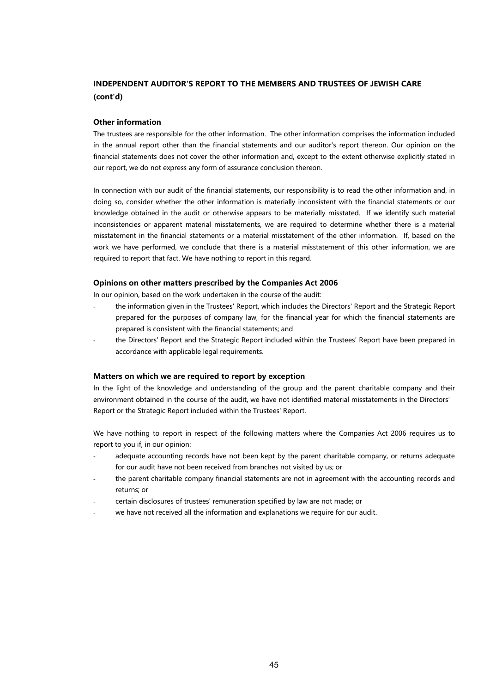### **INDEPENDENT AUDITOR'S REPORT TO THE MEMBERS AND TRUSTEES OF JEWISH CARE (cont'd)**

#### **Other information**

The trustees are responsible for the other information. The other information comprises the information included in the annual report other than the financial statements and our auditor's report thereon. Our opinion on the financial statements does not cover the other information and, except to the extent otherwise explicitly stated in our report, we do not express any form of assurance conclusion thereon.

In connection with our audit of the financial statements, our responsibility is to read the other information and, in doing so, consider whether the other information is materially inconsistent with the financial statements or our knowledge obtained in the audit or otherwise appears to be materially misstated. If we identify such material inconsistencies or apparent material misstatements, we are required to determine whether there is a material misstatement in the financial statements or a material misstatement of the other information. If, based on the work we have performed, we conclude that there is a material misstatement of this other information, we are required to report that fact. We have nothing to report in this regard.

#### **Opinions on other matters prescribed by the Companies Act 2006**

In our opinion, based on the work undertaken in the course of the audit:

- the information given in the Trustees' Report, which includes the Directors' Report and the Strategic Report prepared for the purposes of company law, for the financial year for which the financial statements are prepared is consistent with the financial statements; and
- the Directors' Report and the Strategic Report included within the Trustees' Report have been prepared in accordance with applicable legal requirements.

#### **Matters on which we are required to report by exception**

In the light of the knowledge and understanding of the group and the parent charitable company and their environment obtained in the course of the audit, we have not identified material misstatements in the Directors' Report or the Strategic Report included within the Trustees' Report.

We have nothing to report in respect of the following matters where the Companies Act 2006 requires us to report to you if, in our opinion:

- adequate accounting records have not been kept by the parent charitable company, or returns adequate for our audit have not been received from branches not visited by us; or
- the parent charitable company financial statements are not in agreement with the accounting records and returns; or
- certain disclosures of trustees' remuneration specified by law are not made; or
- we have not received all the information and explanations we require for our audit.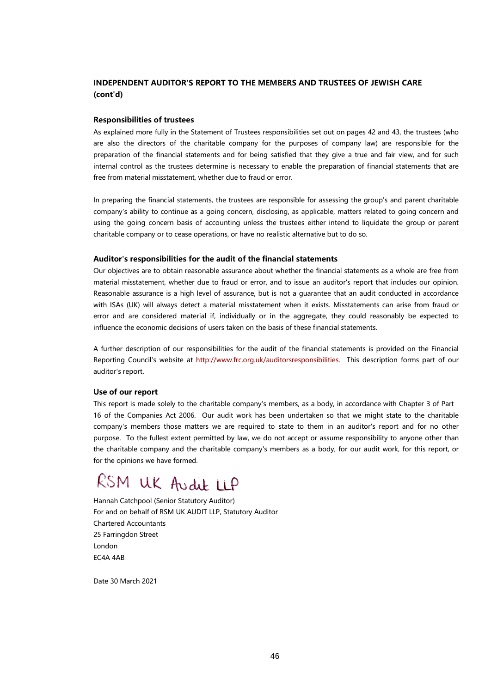### **INDEPENDENT AUDITOR'S REPORT TO THE MEMBERS AND TRUSTEES OF JEWISH CARE (cont'd)**

#### **Responsibilities of trustees**

As explained more fully in the Statement of Trustees responsibilities set out on pages 42 and 43, the trustees (who are also the directors of the charitable company for the purposes of company law) are responsible for the preparation of the financial statements and for being satisfied that they give a true and fair view, and for such internal control as the trustees determine is necessary to enable the preparation of financial statements that are free from material misstatement, whether due to fraud or error.

In preparing the financial statements, the trustees are responsible for assessing the group's and parent charitable company's ability to continue as a going concern, disclosing, as applicable, matters related to going concern and using the going concern basis of accounting unless the trustees either intend to liquidate the group or parent charitable company or to cease operations, or have no realistic alternative but to do so.

#### **Auditor's responsibilities for the audit of the financial statements**

Our objectives are to obtain reasonable assurance about whether the financial statements as a whole are free from material misstatement, whether due to fraud or error, and to issue an auditor's report that includes our opinion. Reasonable assurance is a high level of assurance, but is not a guarantee that an audit conducted in accordance with ISAs (UK) will always detect a material misstatement when it exists. Misstatements can arise from fraud or error and are considered material if, individually or in the aggregate, they could reasonably be expected to influence the economic decisions of users taken on the basis of these financial statements.

A further description of our responsibilities for the audit of the financial statements is provided on the Financial Reporting Council's website at [http://www.frc.org.uk/auditorsresponsibilities. T](http://www.frc.org.uk/auditorsresponsibilities)his description forms part of our auditor's report.

#### **Use of our report**

This report is made solely to the charitable company's members, as a body, in accordance with Chapter 3 of Part 16 of the Companies Act 2006. Our audit work has been undertaken so that we might state to the charitable company's members those matters we are required to state to them in an auditor's report and for no other purpose. To the fullest extent permitted by law, we do not accept or assume responsibility to anyone other than the charitable company and the charitable company's members as a body, for our audit work, for this report, or for the opinions we have formed.

# RSM UK Audit LLP

Hannah Catchpool (Senior Statutory Auditor) For and on behalf of RSM UK AUDIT LLP, Statutory Auditor Chartered Accountants 25 Farringdon Street London EC4A 4AB

Date 30 March 2021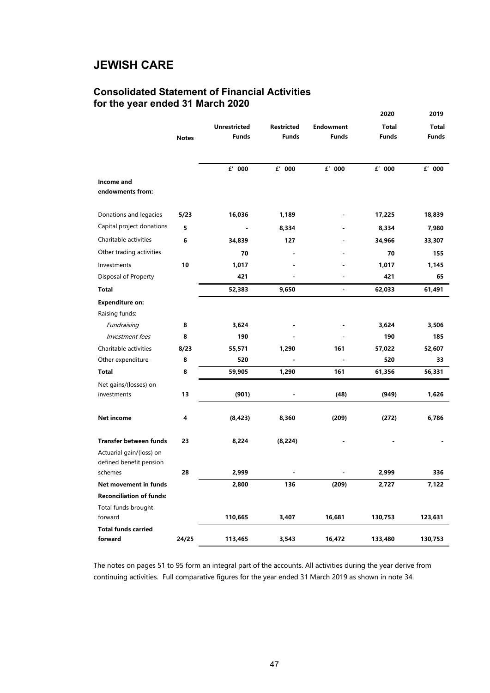### **Consolidated Statement of Financial Activities for the year ended 31 March 2020**

|                                      |              |                              |                   |                          | 2020         | 2019         |
|--------------------------------------|--------------|------------------------------|-------------------|--------------------------|--------------|--------------|
|                                      |              | <b>Unrestricted</b>          | <b>Restricted</b> | <b>Endowment</b>         | <b>Total</b> | Total        |
|                                      | <b>Notes</b> | <b>Funds</b>                 | Funds             | <b>Funds</b>             | <b>Funds</b> | <b>Funds</b> |
|                                      |              |                              |                   |                          |              |              |
|                                      |              | $f'$ 000                     | £' 000            | $E'$ 000                 | $E'$ 000     | $E'$ 000     |
| Income and                           |              |                              |                   |                          |              |              |
| endowments from:                     |              |                              |                   |                          |              |              |
| Donations and legacies               | 5/23         | 16,036                       | 1,189             |                          | 17,225       | 18,839       |
| Capital project donations            | 5            | $\qquad \qquad \blacksquare$ | 8,334             |                          | 8,334        | 7,980        |
| Charitable activities                | 6            | 34,839                       | 127               |                          | 34,966       | 33,307       |
| Other trading activities             |              | 70                           |                   |                          | 70           | 155          |
| Investments                          | 10           | 1,017                        |                   |                          | 1,017        | 1,145        |
| Disposal of Property                 |              | 421                          |                   |                          | 421          | 65           |
| Total                                |              | 52,383                       | 9,650             | $\overline{\phantom{a}}$ | 62,033       | 61,491       |
| <b>Expenditure on:</b>               |              |                              |                   |                          |              |              |
| Raising funds:                       |              |                              |                   |                          |              |              |
| Fundraising                          | 8            | 3,624                        |                   |                          | 3,624        | 3,506        |
| <b>Investment</b> fees               | 8            | 190                          |                   |                          | 190          | 185          |
| Charitable activities                | 8/23         | 55,571                       | 1,290             | 161                      | 57,022       | 52,607       |
| Other expenditure                    | 8            | 520                          |                   |                          | 520          | 33           |
| Total                                | 8            | 59,905                       | 1,290             | 161                      | 61,356       | 56,331       |
|                                      |              |                              |                   |                          |              |              |
| Net gains/(losses) on<br>investments | 13           | (901)                        |                   | (48)                     | (949)        | 1,626        |
|                                      |              |                              |                   |                          |              |              |
| Net income                           | 4            | (8, 423)                     | 8,360             | (209)                    | (272)        | 6,786        |
| <b>Transfer between funds</b>        | 23           | 8,224                        | (8, 224)          |                          |              |              |
| Actuarial gain/(loss) on             |              |                              |                   |                          |              |              |
| defined benefit pension              |              |                              |                   |                          |              |              |
| schemes                              | 28           | 2,999                        |                   |                          | 2,999        | 336          |
| Net movement in funds                |              | 2,800                        | 136               | (209)                    | 2,727        | 7,122        |
| <b>Reconciliation of funds:</b>      |              |                              |                   |                          |              |              |
| Total funds brought                  |              |                              |                   |                          |              |              |
| forward                              |              | 110,665                      | 3,407             | 16,681                   | 130,753      | 123,631      |
| <b>Total funds carried</b>           |              |                              |                   |                          |              |              |
| forward                              | 24/25        | 113,465                      | 3,543             | 16,472                   | 133,480      | 130,753      |

The notes on pages 51 to 95 form an integral part of the accounts. All activities during the year derive from continuing activities. Full comparative figures for the year ended 31 March 2019 as shown in note 34.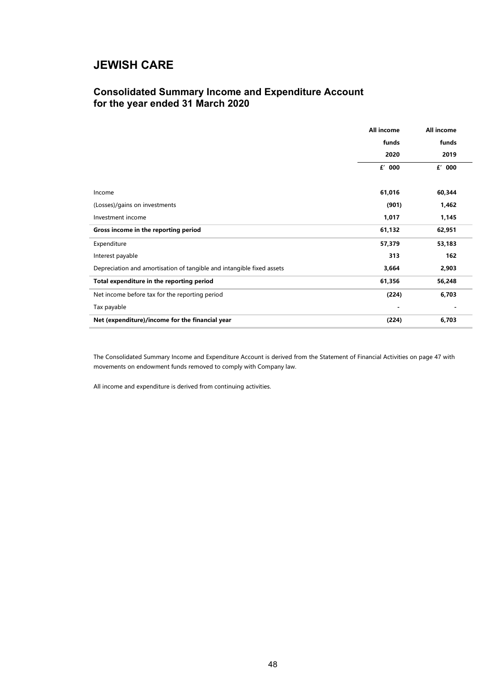### **Consolidated Summary Income and Expenditure Account for the year ended 31 March 2020**

|                                                                       | All income | All income |
|-----------------------------------------------------------------------|------------|------------|
|                                                                       | funds      | funds      |
|                                                                       | 2020       | 2019       |
|                                                                       | $E'$ 000   | $f'$ 000   |
|                                                                       |            |            |
| Income                                                                | 61,016     | 60,344     |
| (Losses)/gains on investments                                         | (901)      | 1,462      |
| Investment income                                                     | 1,017      | 1,145      |
| Gross income in the reporting period                                  | 61,132     | 62,951     |
| Expenditure                                                           | 57,379     | 53,183     |
| Interest payable                                                      | 313        | 162        |
| Depreciation and amortisation of tangible and intangible fixed assets | 3,664      | 2,903      |
| Total expenditure in the reporting period                             | 61,356     | 56,248     |
| Net income before tax for the reporting period                        | (224)      | 6,703      |
| Tax payable                                                           |            |            |
| Net (expenditure)/income for the financial year                       | (224)      | 6,703      |

The Consolidated Summary Income and Expenditure Account is derived from the Statement of Financial Activities on page 47 with movements on endowment funds removed to comply with Company law.

All income and expenditure is derived from continuing activities.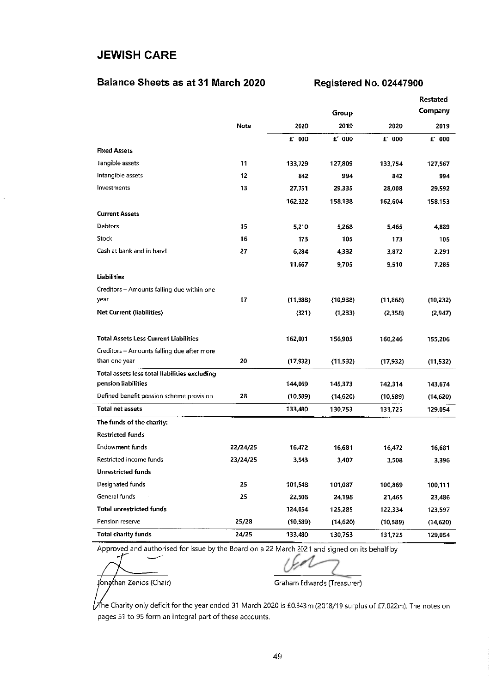### Balance Sheets as at 31 March 2020

### Registered No. 02447900

|                                               |             |           |           |           | <b>Restated</b>         |
|-----------------------------------------------|-------------|-----------|-----------|-----------|-------------------------|
|                                               |             |           | Group     |           | Company                 |
|                                               | <b>Note</b> | 2020      | 2019      | 2020      | 2019                    |
|                                               |             | £ 000     | £' 000    | £' 000    | $\pmb{\mathsf{E}}'$ 000 |
| <b>Fixed Assets</b>                           |             |           |           |           |                         |
| Tangible assets                               | 11          | 133,729   | 127,809   | 133 754   | 127,567                 |
| Intangible assets                             | 12          | 842       | 994       | 842       | 994                     |
| Investments                                   | 13          | 27,751    | 29,335    | 28,008    | 29,592                  |
|                                               |             | 162,322   | 158,138   | 162,604   | 158,153                 |
| <b>Current Assets</b>                         |             |           |           |           |                         |
| Debtors                                       | 15          | 5,210     | 5,268     | 5.465     | 4,889                   |
| Stock                                         | 16          | 173       | 105       | 173       | 105                     |
| Cash at bank and in hand                      | 27          | 6,284     | 4,332     | 3,872     | 2,291                   |
|                                               |             | 11,667    | 9,705     | 9,510     | 7,285                   |
| <b>Liabilities</b>                            |             |           |           |           |                         |
| Creditors - Amounts falling due within one    |             |           |           |           |                         |
| year                                          | 17          | (11,988)  | (10,938)  | (11, 868) | (10, 232)               |
| <b>Net Current (liabilities)</b>              |             | (321)     | (1, 233)  | (2, 358)  | (2.947)                 |
|                                               |             |           |           |           |                         |
| <b>Total Assets Less Current Liabilities</b>  |             | 162,001   | 156,905   | 160,246   | 155,206                 |
| Creditors - Amounts falling due after more    |             |           |           |           |                         |
| than one year                                 | 20          | (17, 932) | (11, 532) | (17, 932) | (11, 532)               |
| Total assets less total liabilities excluding |             |           |           |           |                         |
| pension liabilities                           |             | 144,069   | 145,373   | 142,314   | 143,674                 |
| Defined benefit pension scheme provision      | 28          | (10, 589) | (14, 620) | (10, 589) | (14.620)                |
| Total net assets                              |             | 133,480   | 130,753   | 131,725   | 129,054                 |
| The funds of the charity:                     |             |           |           |           |                         |
| <b>Restricted funds</b>                       |             |           |           |           |                         |
| Endowment funds                               | 22/24/25    | 16,472    | 16,681    | 16.472    | 16,681                  |
| Restricted income funds                       | 23/24/25    | 3,543     | 3,407     | 3,508     | 3,396                   |
| <b>Unrestricted funds</b>                     |             |           |           |           |                         |
| Designated funds                              | 25          | 101,548   | 101,087   | 100,869   | 100,111                 |
| General funds                                 | 25          | 22,506    | 24,198    | 21,465    | 23,486                  |
| <b>Total unrestricted funds</b>               |             | 124,054   | 125,285   | 122.334   | 123,597                 |
| Pension reserve                               | 25/28       | (10, 589) | (14, 620) | (10, 589) | (14, 620)               |
| <b>Total charity funds</b>                    | 24/25       | 133,480   | 130,753   | 131,725   | 129,054                 |

Approved and authorised for issue by the Board on a 22 March 2021 and signed on its behalf by

Jonathan Zenios (Chair)

Graham Edwards (Treasurer)

 $\int$  he Charity only deficit for the year ended 31 March 2020 is £0.343m (2018/19 surplus of £7.022m). The notes on pages 51 to 95 form an integral part of these accounts.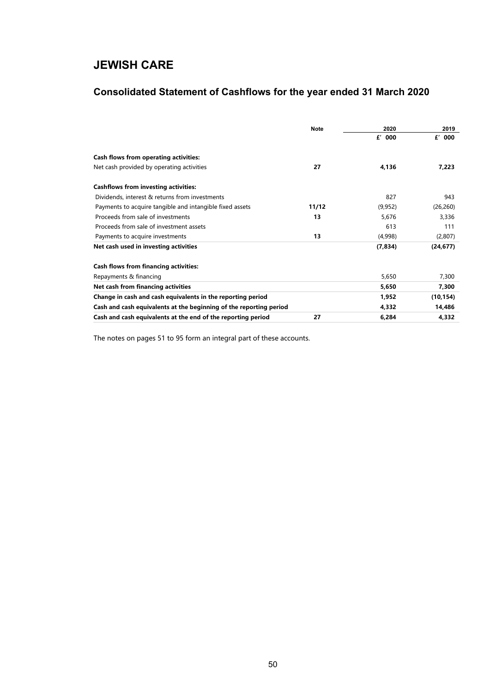## **Consolidated Statement of Cashflows for the year ended 31 March 2020**

|                                                                    | <b>Note</b> | 2020     | 2019      |
|--------------------------------------------------------------------|-------------|----------|-----------|
|                                                                    |             | $f'$ 000 | $f'$ 000  |
| Cash flows from operating activities:                              |             |          |           |
| Net cash provided by operating activities                          | 27          | 4,136    | 7,223     |
| <b>Cashflows from investing activities:</b>                        |             |          |           |
| Dividends, interest & returns from investments                     |             | 827      | 943       |
| Payments to acquire tangible and intangible fixed assets           | 11/12       | (9,952)  | (26, 260) |
| Proceeds from sale of investments                                  | 13          | 5,676    | 3,336     |
| Proceeds from sale of investment assets                            |             | 613      | 111       |
| Payments to acquire investments                                    | 13          | (4,998)  | (2,807)   |
| Net cash used in investing activities                              |             | (7, 834) | (24, 677) |
| Cash flows from financing activities:                              |             |          |           |
| Repayments & financing                                             |             | 5,650    | 7,300     |
| Net cash from financing activities                                 |             | 5,650    | 7,300     |
| Change in cash and cash equivalents in the reporting period        |             | 1,952    | (10, 154) |
| Cash and cash equivalents at the beginning of the reporting period |             | 4,332    | 14,486    |
| Cash and cash equivalents at the end of the reporting period       | 27          | 6,284    | 4,332     |

The notes on pages 51 to 95 form an integral part of these accounts.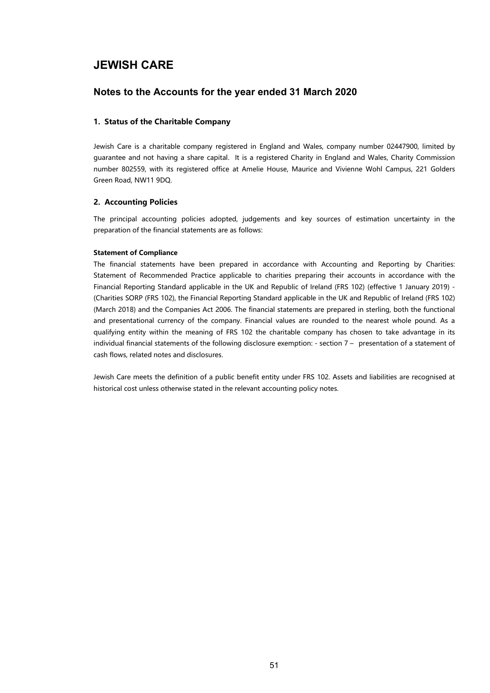### **Notes to the Accounts for the year ended 31 March 2020**

#### **1. Status of the Charitable Company**

Jewish Care is a charitable company registered in England and Wales, company number 02447900, limited by guarantee and not having a share capital. It is a registered Charity in England and Wales, Charity Commission number 802559, with its registered office at Amelie House, Maurice and Vivienne Wohl Campus, 221 Golders Green Road, NW11 9DQ.

#### **2. Accounting Policies**

The principal accounting policies adopted, judgements and key sources of estimation uncertainty in the preparation of the financial statements are as follows:

#### **Statement of Compliance**

The financial statements have been prepared in accordance with Accounting and Reporting by Charities: Statement of Recommended Practice applicable to charities preparing their accounts in accordance with the Financial Reporting Standard applicable in the UK and Republic of Ireland (FRS 102) (effective 1 January 2019) - (Charities SORP (FRS 102), the Financial Reporting Standard applicable in the UK and Republic of Ireland (FRS 102) (March 2018) and the Companies Act 2006. The financial statements are prepared in sterling, both the functional and presentational currency of the company. Financial values are rounded to the nearest whole pound. As a qualifying entity within the meaning of FRS 102 the charitable company has chosen to take advantage in its individual financial statements of the following disclosure exemption: - section 7 – presentation of a statement of cash flows, related notes and disclosures.

Jewish Care meets the definition of a public benefit entity under FRS 102. Assets and liabilities are recognised at historical cost unless otherwise stated in the relevant accounting policy notes.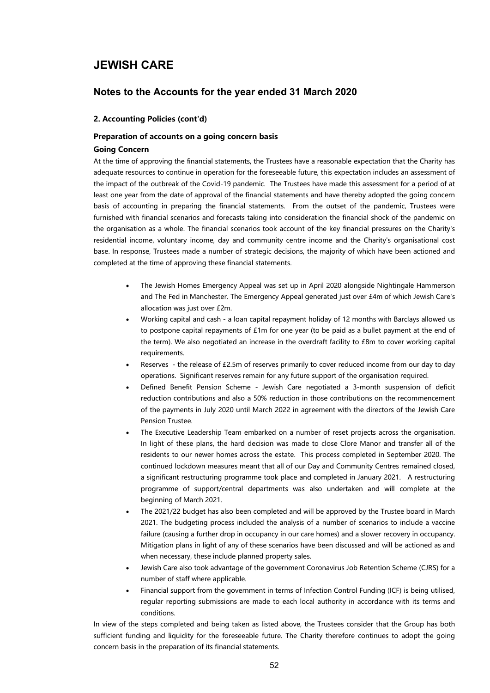### **Notes to the Accounts for the year ended 31 March 2020**

#### **2. Accounting Policies (cont'd)**

### **Preparation of accounts on a going concern basis Going Concern**

At the time of approving the financial statements, the Trustees have a reasonable expectation that the Charity has adequate resources to continue in operation for the foreseeable future, this expectation includes an assessment of the impact of the outbreak of the Covid-19 pandemic. The Trustees have made this assessment for a period of at least one year from the date of approval of the financial statements and have thereby adopted the going concern basis of accounting in preparing the financial statements. From the outset of the pandemic, Trustees were furnished with financial scenarios and forecasts taking into consideration the financial shock of the pandemic on the organisation as a whole. The financial scenarios took account of the key financial pressures on the Charity's residential income, voluntary income, day and community centre income and the Charity's organisational cost base. In response, Trustees made a number of strategic decisions, the majority of which have been actioned and completed at the time of approving these financial statements.

- The Jewish Homes Emergency Appeal was set up in April 2020 alongside Nightingale Hammerson and The Fed in Manchester. The Emergency Appeal generated just over £4m of which Jewish Care's allocation was just over £2m.
- Working capital and cash a loan capital repayment holiday of 12 months with Barclays allowed us to postpone capital repayments of £1m for one year (to be paid as a bullet payment at the end of the term). We also negotiated an increase in the overdraft facility to £8m to cover working capital requirements.
- Reserves the release of £2.5m of reserves primarily to cover reduced income from our day to day operations. Significant reserves remain for any future support of the organisation required.
- Defined Benefit Pension Scheme Jewish Care negotiated a 3-month suspension of deficit reduction contributions and also a 50% reduction in those contributions on the recommencement of the payments in July 2020 until March 2022 in agreement with the directors of the Jewish Care Pension Trustee.
- The Executive Leadership Team embarked on a number of reset projects across the organisation. In light of these plans, the hard decision was made to close Clore Manor and transfer all of the residents to our newer homes across the estate. This process completed in September 2020. The continued lockdown measures meant that all of our Day and Community Centres remained closed, a significant restructuring programme took place and completed in January 2021. A restructuring programme of support/central departments was also undertaken and will complete at the beginning of March 2021.
- The 2021/22 budget has also been completed and will be approved by the Trustee board in March 2021. The budgeting process included the analysis of a number of scenarios to include a vaccine failure (causing a further drop in occupancy in our care homes) and a slower recovery in occupancy. Mitigation plans in light of any of these scenarios have been discussed and will be actioned as and when necessary, these include planned property sales.
- Jewish Care also took advantage of the government Coronavirus Job Retention Scheme (CJRS) for a number of staff where applicable.
- Financial support from the government in terms of Infection Control Funding (ICF) is being utilised, regular reporting submissions are made to each local authority in accordance with its terms and conditions.

In view of the steps completed and being taken as listed above, the Trustees consider that the Group has both sufficient funding and liquidity for the foreseeable future. The Charity therefore continues to adopt the going concern basis in the preparation of its financial statements.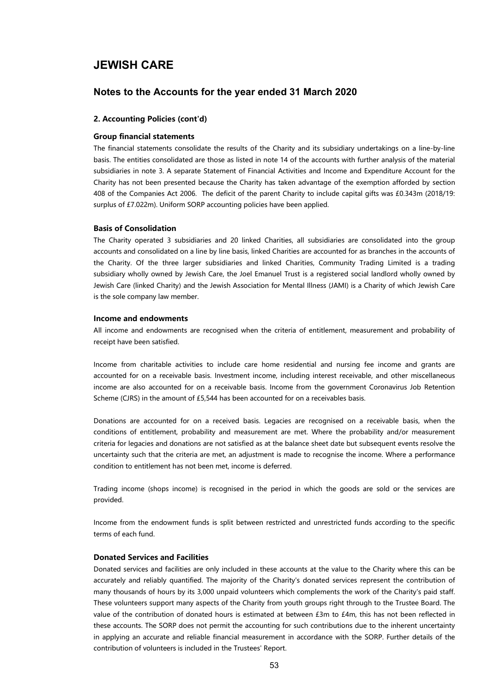### **Notes to the Accounts for the year ended 31 March 2020**

#### **2. Accounting Policies (cont'd)**

#### **Group financial statements**

The financial statements consolidate the results of the Charity and its subsidiary undertakings on a line-by-line basis. The entities consolidated are those as listed in note 14 of the accounts with further analysis of the material subsidiaries in note 3. A separate Statement of Financial Activities and Income and Expenditure Account for the Charity has not been presented because the Charity has taken advantage of the exemption afforded by section 408 of the Companies Act 2006. The deficit of the parent Charity to include capital gifts was £0.343m (2018/19: surplus of £7.022m). Uniform SORP accounting policies have been applied.

#### **Basis of Consolidation**

The Charity operated 3 subsidiaries and 20 linked Charities, all subsidiaries are consolidated into the group accounts and consolidated on a line by line basis, linked Charities are accounted for as branches in the accounts of the Charity. Of the three larger subsidiaries and linked Charities, Community Trading Limited is a trading subsidiary wholly owned by Jewish Care, the Joel Emanuel Trust is a registered social landlord wholly owned by Jewish Care (linked Charity) and the Jewish Association for Mental Illness (JAMI) is a Charity of which Jewish Care is the sole company law member.

#### **Income and endowments**

All income and endowments are recognised when the criteria of entitlement, measurement and probability of receipt have been satisfied.

Income from charitable activities to include care home residential and nursing fee income and grants are accounted for on a receivable basis. Investment income, including interest receivable, and other miscellaneous income are also accounted for on a receivable basis. Income from the government Coronavirus Job Retention Scheme (CJRS) in the amount of £5,544 has been accounted for on a receivables basis.

Donations are accounted for on a received basis. Legacies are recognised on a receivable basis, when the conditions of entitlement, probability and measurement are met. Where the probability and/or measurement criteria for legacies and donations are not satisfied as at the balance sheet date but subsequent events resolve the uncertainty such that the criteria are met, an adjustment is made to recognise the income. Where a performance condition to entitlement has not been met, income is deferred.

Trading income (shops income) is recognised in the period in which the goods are sold or the services are provided.

Income from the endowment funds is split between restricted and unrestricted funds according to the specific terms of each fund.

#### **Donated Services and Facilities**

Donated services and facilities are only included in these accounts at the value to the Charity where this can be accurately and reliably quantified. The majority of the Charity's donated services represent the contribution of many thousands of hours by its 3,000 unpaid volunteers which complements the work of the Charity's paid staff. These volunteers support many aspects of the Charity from youth groups right through to the Trustee Board. The value of the contribution of donated hours is estimated at between £3m to £4m, this has not been reflected in these accounts. The SORP does not permit the accounting for such contributions due to the inherent uncertainty in applying an accurate and reliable financial measurement in accordance with the SORP. Further details of the contribution of volunteers is included in the Trustees' Report.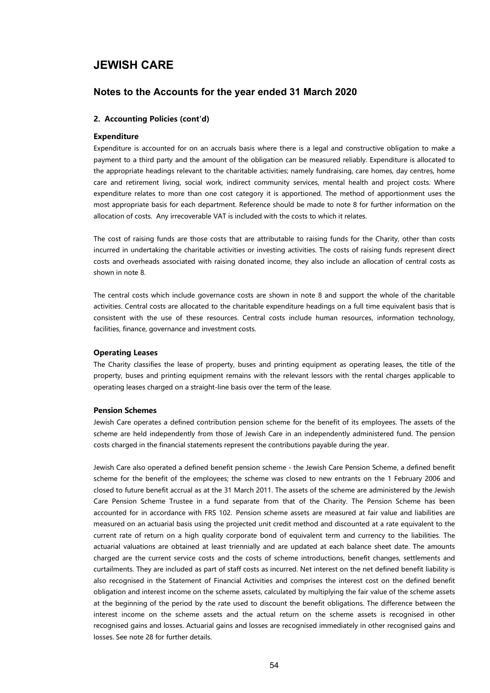### **Notes to the Accounts for the year ended 31 March 2020**

#### **2. Accounting Policies (cont'd)**

#### **Expenditure**

Expenditure is accounted for on an accruals basis where there is a legal and constructive obligation to make a payment to a third party and the amount of the obligation can be measured reliably. Expenditure is allocated to the appropriate headings relevant to the charitable activities; namely fundraising, care homes, day centres, home care and retirement living, social work, indirect community services, mental health and project costs. Where expenditure relates to more than one cost category it is apportioned. The method of apportionment uses the most appropriate basis for each department. Reference should be made to note 8 for further information on the allocation of costs. Any irrecoverable VAT is included with the costs to which it relates.

The cost of raising funds are those costs that are attributable to raising funds for the Charity, other than costs incurred in undertaking the charitable activities or investing activities. The costs of raising funds represent direct costs and overheads associated with raising donated income, they also include an allocation of central costs as shown in note 8.

The central costs which include governance costs are shown in note 8 and support the whole of the charitable activities. Central costs are allocated to the charitable expenditure headings on a full time equivalent basis that is consistent with the use of these resources. Central costs include human resources, information technology, facilities, finance, governance and investment costs.

#### **Operating Leases**

The Charity classifies the lease of property, buses and printing equipment as operating leases, the title of the property, buses and printing equipment remains with the relevant lessors with the rental charges applicable to operating leases charged on a straight-line basis over the term of the lease.

#### **Pension Schemes**

Jewish Care operates a defined contribution pension scheme for the benefit of its employees. The assets of the scheme are held independently from those of Jewish Care in an independently administered fund. The pension costs charged in the financial statements represent the contributions payable during the year.

Jewish Care also operated a defined benefit pension scheme - the Jewish Care Pension Scheme, a defined benefit scheme for the benefit of the employees; the scheme was closed to new entrants on the 1 February 2006 and closed to future benefit accrual as at the 31 March 2011. The assets of the scheme are administered by the Jewish Care Pension Scheme Trustee in a fund separate from that of the Charity. The Pension Scheme has been accounted for in accordance with FRS 102. Pension scheme assets are measured at fair value and liabilities are measured on an actuarial basis using the projected unit credit method and discounted at a rate equivalent to the current rate of return on a high quality corporate bond of equivalent term and currency to the liabilities. The actuarial valuations are obtained at least triennially and are updated at each balance sheet date. The amounts charged are the current service costs and the costs of scheme introductions, benefit changes, settlements and curtailments. They are included as part of staff costs as incurred. Net interest on the net defined benefit liability is also recognised in the Statement of Financial Activities and comprises the interest cost on the defined benefit obligation and interest income on the scheme assets, calculated by multiplying the fair value of the scheme assets at the beginning of the period by the rate used to discount the benefit obligations. The difference between the interest income on the scheme assets and the actual return on the scheme assets is recognised in other recognised gains and losses. Actuarial gains and losses are recognised immediately in other recognised gains and losses. See note 28 for further details.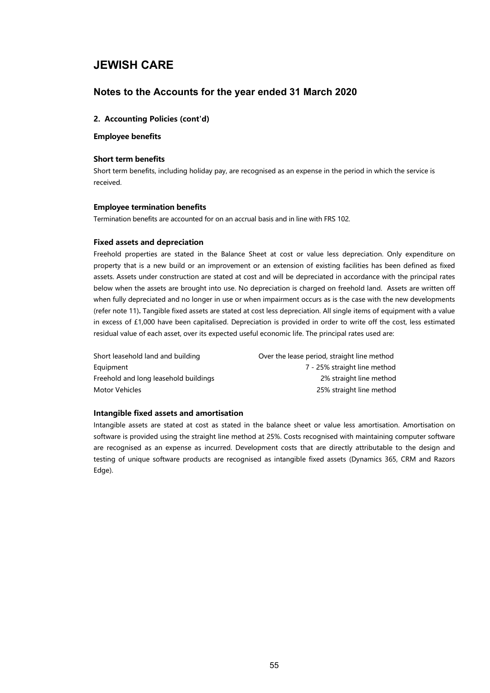### **Notes to the Accounts for the year ended 31 March 2020**

#### **2. Accounting Policies (cont'd)**

**Employee benefits** 

#### **Short term benefits**

Short term benefits, including holiday pay, are recognised as an expense in the period in which the service is received.

#### **Employee termination benefits**

Termination benefits are accounted for on an accrual basis and in line with FRS 102.

#### **Fixed assets and depreciation**

Freehold properties are stated in the Balance Sheet at cost or value less depreciation. Only expenditure on property that is a new build or an improvement or an extension of existing facilities has been defined as fixed assets. Assets under construction are stated at cost and will be depreciated in accordance with the principal rates below when the assets are brought into use. No depreciation is charged on freehold land. Assets are written off when fully depreciated and no longer in use or when impairment occurs as is the case with the new developments (refer note 11)**.** Tangible fixed assets are stated at cost less depreciation. All single items of equipment with a value in excess of £1,000 have been capitalised. Depreciation is provided in order to write off the cost, less estimated residual value of each asset, over its expected useful economic life. The principal rates used are:

| Short leasehold land and building     | Over the lease period, straight line method |
|---------------------------------------|---------------------------------------------|
| Equipment                             | 7 - 25% straight line method                |
| Freehold and long leasehold buildings | 2% straight line method                     |
| Motor Vehicles                        | 25% straight line method                    |

#### **Intangible fixed assets and amortisation**

Intangible assets are stated at cost as stated in the balance sheet or value less amortisation. Amortisation on software is provided using the straight line method at 25%. Costs recognised with maintaining computer software are recognised as an expense as incurred. Development costs that are directly attributable to the design and testing of unique software products are recognised as intangible fixed assets (Dynamics 365, CRM and Razors Edge).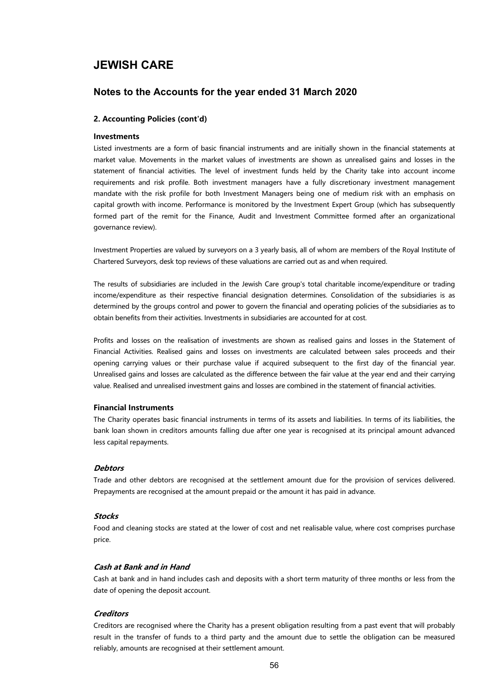### **Notes to the Accounts for the year ended 31 March 2020**

#### **2. Accounting Policies (cont'd)**

#### **Investments**

Listed investments are a form of basic financial instruments and are initially shown in the financial statements at market value. Movements in the market values of investments are shown as unrealised gains and losses in the statement of financial activities. The level of investment funds held by the Charity take into account income requirements and risk profile. Both investment managers have a fully discretionary investment management mandate with the risk profile for both Investment Managers being one of medium risk with an emphasis on capital growth with income. Performance is monitored by the Investment Expert Group (which has subsequently formed part of the remit for the Finance, Audit and Investment Committee formed after an organizational governance review).

Investment Properties are valued by surveyors on a 3 yearly basis, all of whom are members of the Royal Institute of Chartered Surveyors, desk top reviews of these valuations are carried out as and when required.

The results of subsidiaries are included in the Jewish Care group's total charitable income/expenditure or trading income/expenditure as their respective financial designation determines. Consolidation of the subsidiaries is as determined by the groups control and power to govern the financial and operating policies of the subsidiaries as to obtain benefits from their activities. Investments in subsidiaries are accounted for at cost.

Profits and losses on the realisation of investments are shown as realised gains and losses in the Statement of Financial Activities. Realised gains and losses on investments are calculated between sales proceeds and their opening carrying values or their purchase value if acquired subsequent to the first day of the financial year. Unrealised gains and losses are calculated as the difference between the fair value at the year end and their carrying value. Realised and unrealised investment gains and losses are combined in the statement of financial activities.

#### **Financial Instruments**

The Charity operates basic financial instruments in terms of its assets and liabilities. In terms of its liabilities, the bank loan shown in creditors amounts falling due after one year is recognised at its principal amount advanced less capital repayments.

#### **Debtors**

Trade and other debtors are recognised at the settlement amount due for the provision of services delivered. Prepayments are recognised at the amount prepaid or the amount it has paid in advance.

#### **Stocks**

Food and cleaning stocks are stated at the lower of cost and net realisable value, where cost comprises purchase price.

#### **Cash at Bank and in Hand**

Cash at bank and in hand includes cash and deposits with a short term maturity of three months or less from the date of opening the deposit account.

#### **Creditors**

Creditors are recognised where the Charity has a present obligation resulting from a past event that will probably result in the transfer of funds to a third party and the amount due to settle the obligation can be measured reliably, amounts are recognised at their settlement amount.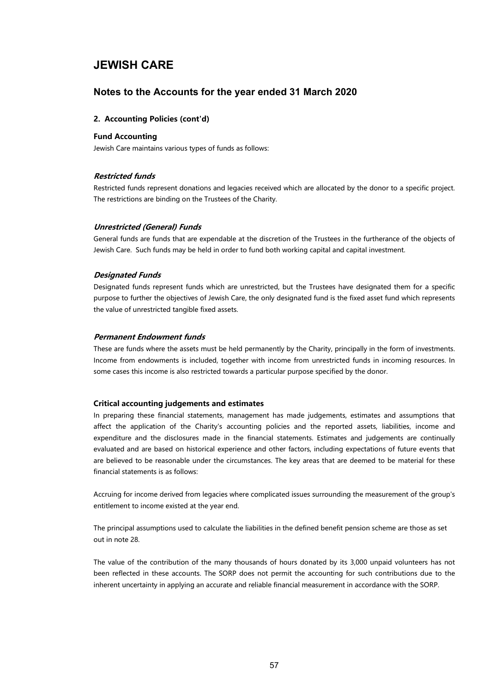### **Notes to the Accounts for the year ended 31 March 2020**

#### **2. Accounting Policies (cont'd)**

#### **Fund Accounting**

Jewish Care maintains various types of funds as follows:

#### **Restricted funds**

Restricted funds represent donations and legacies received which are allocated by the donor to a specific project. The restrictions are binding on the Trustees of the Charity.

#### **Unrestricted (General) Funds**

General funds are funds that are expendable at the discretion of the Trustees in the furtherance of the objects of Jewish Care. Such funds may be held in order to fund both working capital and capital investment.

#### **Designated Funds**

Designated funds represent funds which are unrestricted, but the Trustees have designated them for a specific purpose to further the objectives of Jewish Care, the only designated fund is the fixed asset fund which represents the value of unrestricted tangible fixed assets.

#### **Permanent Endowment funds**

These are funds where the assets must be held permanently by the Charity, principally in the form of investments. Income from endowments is included, together with income from unrestricted funds in incoming resources. In some cases this income is also restricted towards a particular purpose specified by the donor.

#### **Critical accounting judgements and estimates**

In preparing these financial statements, management has made judgements, estimates and assumptions that affect the application of the Charity's accounting policies and the reported assets, liabilities, income and expenditure and the disclosures made in the financial statements. Estimates and judgements are continually evaluated and are based on historical experience and other factors, including expectations of future events that are believed to be reasonable under the circumstances. The key areas that are deemed to be material for these financial statements is as follows:

Accruing for income derived from legacies where complicated issues surrounding the measurement of the group's entitlement to income existed at the year end.

The principal assumptions used to calculate the liabilities in the defined benefit pension scheme are those as set out in note 28.

The value of the contribution of the many thousands of hours donated by its 3,000 unpaid volunteers has not been reflected in these accounts. The SORP does not permit the accounting for such contributions due to the inherent uncertainty in applying an accurate and reliable financial measurement in accordance with the SORP.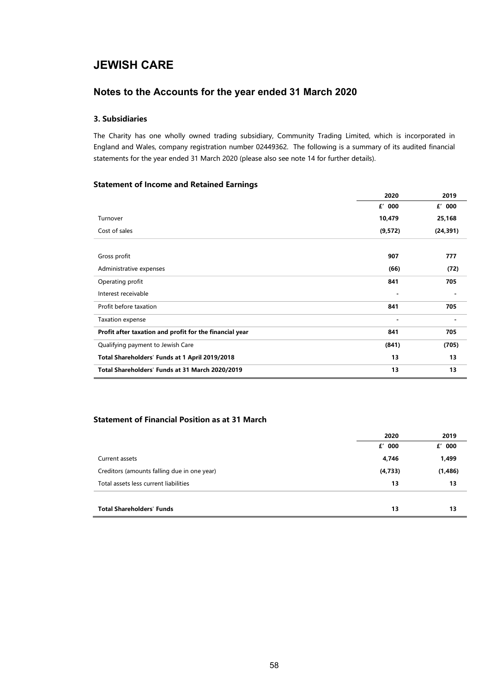### **Notes to the Accounts for the year ended 31 March 2020**

#### **3. Subsidiaries**

The Charity has one wholly owned trading subsidiary, Community Trading Limited, which is incorporated in England and Wales, company registration number 02449362. The following is a summary of its audited financial statements for the year ended 31 March 2020 (please also see note 14 for further details).

#### **Statement of Income and Retained Earnings**

|                                                         | 2020     | 2019      |
|---------------------------------------------------------|----------|-----------|
|                                                         | $f'$ 000 | $E'$ 000  |
| Turnover                                                | 10,479   | 25,168    |
| Cost of sales                                           | (9, 572) | (24, 391) |
|                                                         |          |           |
| Gross profit                                            | 907      | 777       |
| Administrative expenses                                 | (66)     | (72)      |
| Operating profit                                        | 841      | 705       |
| Interest receivable                                     |          | ٠         |
| Profit before taxation                                  | 841      | 705       |
| <b>Taxation expense</b>                                 |          | ٠         |
| Profit after taxation and profit for the financial year | 841      | 705       |
| Qualifying payment to Jewish Care                       | (841)    | (705)     |
| Total Shareholders' Funds at 1 April 2019/2018          | 13       | 13        |
| Total Shareholders' Funds at 31 March 2020/2019         | 13       | 13        |

### **Statement of Financial Position as at 31 March**

|                                             | 2020     | 2019     |
|---------------------------------------------|----------|----------|
|                                             | £' 000   | $E'$ 000 |
| Current assets                              | 4,746    | 1,499    |
| Creditors (amounts falling due in one year) | (4, 733) | (1, 486) |
| Total assets less current liabilities       | 13       | 13       |
|                                             |          |          |
| <b>Total Shareholders' Funds</b>            | 13       | 13       |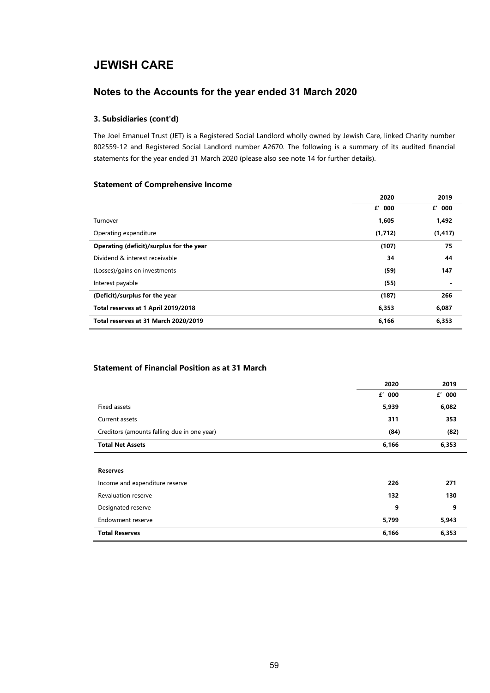### **Notes to the Accounts for the year ended 31 March 2020**

#### **3. Subsidiaries (cont'd)**

The Joel Emanuel Trust (JET) is a Registered Social Landlord wholly owned by Jewish Care, linked Charity number 802559-12 and Registered Social Landlord number A2670. The following is a summary of its audited financial statements for the year ended 31 March 2020 (please also see note 14 for further details).

#### **Statement of Comprehensive Income**

|                                          | 2020     | 2019     |
|------------------------------------------|----------|----------|
|                                          | $E'$ 000 | $E'$ 000 |
| Turnover                                 | 1,605    | 1,492    |
| Operating expenditure                    | (1, 712) | (1, 417) |
| Operating (deficit)/surplus for the year | (107)    | 75       |
| Dividend & interest receivable           | 34       | 44       |
| (Losses)/gains on investments            | (59)     | 147      |
| Interest payable                         | (55)     |          |
| (Deficit)/surplus for the year           | (187)    | 266      |
| Total reserves at 1 April 2019/2018      | 6,353    | 6,087    |
| Total reserves at 31 March 2020/2019     | 6,166    | 6,353    |

#### **Statement of Financial Position as at 31 March**

|                                             | 2020     | 2019     |
|---------------------------------------------|----------|----------|
|                                             | $f'$ 000 | $E'$ 000 |
| Fixed assets                                | 5,939    | 6,082    |
| Current assets                              | 311      | 353      |
| Creditors (amounts falling due in one year) | (84)     | (82)     |
| <b>Total Net Assets</b>                     | 6,166    | 6,353    |
|                                             |          |          |

| <b>Reserves</b>                |       |       |
|--------------------------------|-------|-------|
| Income and expenditure reserve | 226   | 271   |
| <b>Revaluation reserve</b>     | 132   | 130   |
| Designated reserve             | 9     | 9     |
| Endowment reserve              | 5,799 | 5,943 |
| <b>Total Reserves</b>          | 6,166 | 6,353 |
|                                |       |       |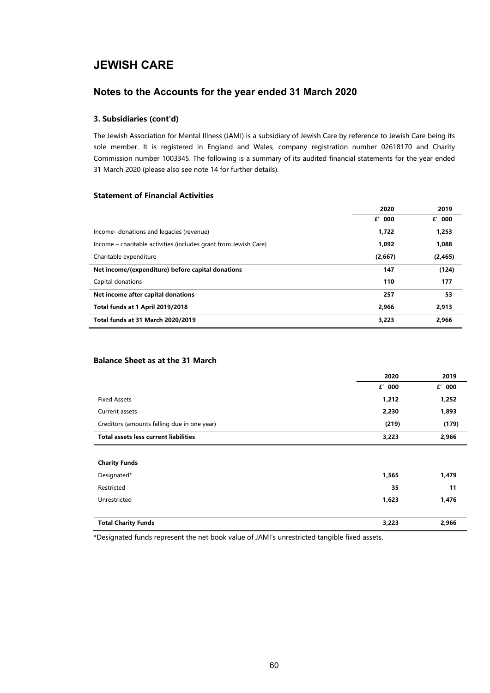### **Notes to the Accounts for the year ended 31 March 2020**

#### **3. Subsidiaries (cont'd)**

The Jewish Association for Mental Illness (JAMI) is a subsidiary of Jewish Care by reference to Jewish Care being its sole member. It is registered in England and Wales, company registration number 02618170 and Charity Commission number 1003345. The following is a summary of its audited financial statements for the year ended 31 March 2020 (please also see note 14 for further details).

### **Statement of Financial Activities**

|                                                                  | 2020     | 2019     |
|------------------------------------------------------------------|----------|----------|
|                                                                  | $f'$ 000 | $f'$ 000 |
| Income- donations and legacies (revenue)                         | 1,722    | 1,253    |
| Income – charitable activities (includes grant from Jewish Care) | 1,092    | 1,088    |
| Charitable expenditure                                           | (2,667)  | (2, 465) |
| Net income/(expenditure) before capital donations                | 147      | (124)    |
| Capital donations                                                | 110      | 177      |
| Net income after capital donations                               | 257      | 53       |
| Total funds at 1 April 2019/2018                                 | 2.966    | 2,913    |
| Total funds at 31 March 2020/2019                                | 3,223    | 2,966    |

### **Balance Sheet as at the 31 March**

|                                              | 2020     | 2019     |
|----------------------------------------------|----------|----------|
|                                              | $f'$ 000 | $E'$ 000 |
| <b>Fixed Assets</b>                          | 1,212    | 1,252    |
| Current assets                               | 2,230    | 1,893    |
| Creditors (amounts falling due in one year)  | (219)    | (179)    |
| <b>Total assets less current liabilities</b> | 3,223    | 2,966    |
|                                              |          |          |
| <b>Charity Funds</b>                         |          |          |
| Designated*                                  | 1,565    | 1,479    |
| Restricted                                   | 35       | 11       |
| Unrestricted                                 | 1,623    | 1,476    |
|                                              |          |          |
| <b>Total Charity Funds</b>                   | 3,223    | 2,966    |

\*Designated funds represent the net book value of JAMI's unrestricted tangible fixed assets.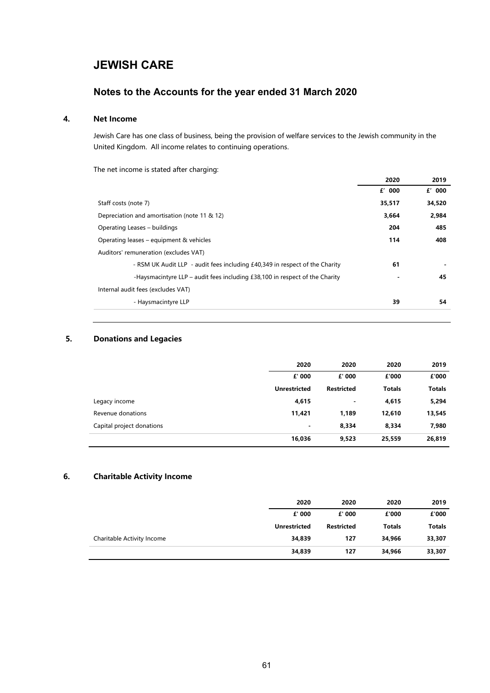### **Notes to the Accounts for the year ended 31 March 2020**

### **4. Net Income**

Jewish Care has one class of business, being the provision of welfare services to the Jewish community in the United Kingdom. All income relates to continuing operations.

The net income is stated after charging:

|                                                                             | 2020     | 2019   |
|-----------------------------------------------------------------------------|----------|--------|
|                                                                             | $f'$ 000 | £' 000 |
| Staff costs (note 7)                                                        | 35,517   | 34,520 |
| Depreciation and amortisation (note 11 & 12)                                | 3,664    | 2,984  |
| Operating Leases - buildings                                                | 204      | 485    |
| Operating leases – equipment & vehicles                                     | 114      | 408    |
| Auditors' remuneration (excludes VAT)                                       |          |        |
| - RSM UK Audit LLP - audit fees including £40,349 in respect of the Charity | 61       |        |
| -Haysmacintyre LLP - audit fees including £38,100 in respect of the Charity |          | 45     |
| Internal audit fees (excludes VAT)                                          |          |        |
| - Haysmacintyre LLP                                                         | 39       | 54     |
|                                                                             |          |        |

### **5. Donations and Legacies**

|                           | 2020                     | 2020              | 2020          | 2019          |
|---------------------------|--------------------------|-------------------|---------------|---------------|
|                           | £' 000                   | £' 000            | £'000         | £'000         |
|                           | <b>Unrestricted</b>      | <b>Restricted</b> | <b>Totals</b> | <b>Totals</b> |
| Legacy income             | 4,615                    | $\blacksquare$    | 4,615         | 5,294         |
| Revenue donations         | 11,421                   | 1,189             | 12,610        | 13,545        |
| Capital project donations | $\overline{\phantom{a}}$ | 8,334             | 8,334         | 7,980         |
|                           | 16,036                   | 9,523             | 25,559        | 26,819        |

#### **6. Charitable Activity Income**

|                            | 2020                | 2020              | 2020          | 2019          |
|----------------------------|---------------------|-------------------|---------------|---------------|
|                            | £' 000              | £' 000            | £'000         | £'000         |
|                            | <b>Unrestricted</b> | <b>Restricted</b> | <b>Totals</b> | <b>Totals</b> |
| Charitable Activity Income | 34,839              | 127               | 34,966        | 33,307        |
|                            | 34,839              | 127               | 34,966        | 33,307        |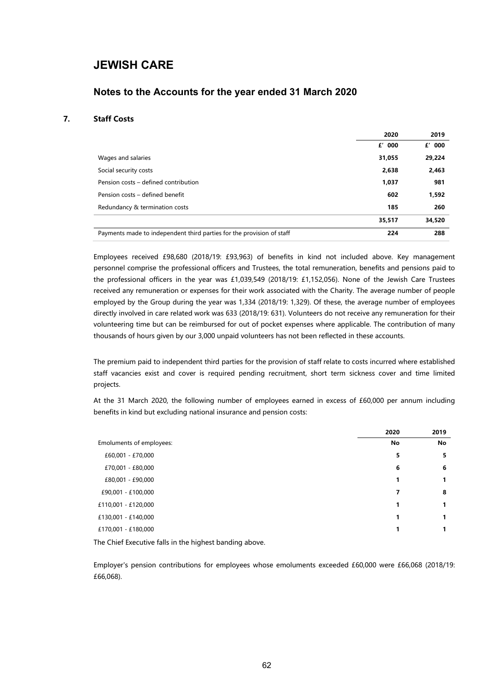### **Notes to the Accounts for the year ended 31 March 2020**

### **7. Staff Costs**

|                                                                       | 2020     | 2019     |
|-----------------------------------------------------------------------|----------|----------|
|                                                                       | $E'$ 000 | $f'$ 000 |
| Wages and salaries                                                    | 31,055   | 29,224   |
| Social security costs                                                 | 2,638    | 2,463    |
| Pension costs – defined contribution                                  | 1,037    | 981      |
| Pension costs – defined benefit                                       | 602      | 1,592    |
| Redundancy & termination costs                                        | 185      | 260      |
|                                                                       | 35,517   | 34,520   |
| Payments made to independent third parties for the provision of staff | 224      | 288      |

Employees received £98,680 (2018/19: £93,963) of benefits in kind not included above. Key management personnel comprise the professional officers and Trustees, the total remuneration, benefits and pensions paid to the professional officers in the year was £1,039,549 (2018/19: £1,152,056). None of the Jewish Care Trustees received any remuneration or expenses for their work associated with the Charity. The average number of people employed by the Group during the year was 1,334 (2018/19: 1,329). Of these, the average number of employees directly involved in care related work was 633 (2018/19: 631). Volunteers do not receive any remuneration for their volunteering time but can be reimbursed for out of pocket expenses where applicable. The contribution of many thousands of hours given by our 3,000 unpaid volunteers has not been reflected in these accounts.

The premium paid to independent third parties for the provision of staff relate to costs incurred where established staff vacancies exist and cover is required pending recruitment, short term sickness cover and time limited projects.

At the 31 March 2020, the following number of employees earned in excess of £60,000 per annum including benefits in kind but excluding national insurance and pension costs:

|                          | 2020 | 2019 |
|--------------------------|------|------|
| Emoluments of employees: | No   | No   |
| £60,001 - £70,000        | 5    | 5    |
| £70,001 - £80,000        | 6    | 6    |
| £80,001 - £90,000        |      |      |
| £90,001 - £100,000       | 7    | 8    |
| £110,001 - £120,000      |      |      |
| £130,001 - £140,000      |      |      |
| £170,001 - £180,000      |      |      |
|                          |      |      |

The Chief Executive falls in the highest banding above.

Employer's pension contributions for employees whose emoluments exceeded £60,000 were £66,068 (2018/19: £66,068).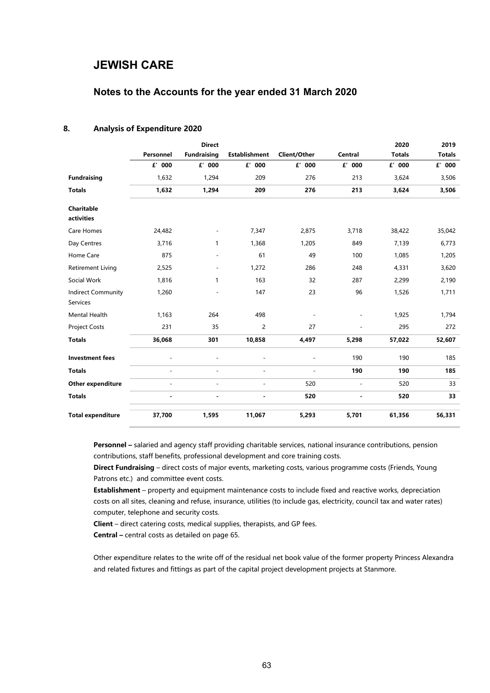### **Notes to the Accounts for the year ended 31 March 2020**

#### **8. Analysis of Expenditure 2020**

|                                       |           | <b>Direct</b>            |                          |                          |                          | 2020          | 2019          |
|---------------------------------------|-----------|--------------------------|--------------------------|--------------------------|--------------------------|---------------|---------------|
|                                       | Personnel | <b>Fundraising</b>       | <b>Establishment</b>     | Client/Other             | Central                  | <b>Totals</b> | <b>Totals</b> |
|                                       | £' 000    | £' 000                   | $E'$ 000                 | $E'$ 000                 | $E'$ 000                 | £' 000        | $E'$ 000      |
| <b>Fundraising</b>                    | 1,632     | 1,294                    | 209                      | 276                      | 213                      | 3,624         | 3,506         |
| <b>Totals</b>                         | 1,632     | 1,294                    | 209                      | 276                      | 213                      | 3,624         | 3,506         |
| Charitable<br>activities              |           |                          |                          |                          |                          |               |               |
| Care Homes                            | 24,482    |                          | 7,347                    | 2,875                    | 3,718                    | 38,422        | 35,042        |
| Day Centres                           | 3,716     | 1                        | 1,368                    | 1,205                    | 849                      | 7,139         | 6,773         |
| Home Care                             | 875       | $\overline{a}$           | 61                       | 49                       | 100                      | 1,085         | 1,205         |
| <b>Retirement Living</b>              | 2,525     | $\overline{a}$           | 1,272                    | 286                      | 248                      | 4,331         | 3,620         |
| Social Work                           | 1,816     | 1                        | 163                      | 32                       | 287                      | 2,299         | 2,190         |
| <b>Indirect Community</b><br>Services | 1,260     |                          | 147                      | 23                       | 96                       | 1,526         | 1,711         |
| Mental Health                         | 1,163     | 264                      | 498                      |                          |                          | 1,925         | 1,794         |
| <b>Project Costs</b>                  | 231       | 35                       | $\overline{c}$           | 27                       |                          | 295           | 272           |
| <b>Totals</b>                         | 36,068    | 301                      | 10,858                   | 4,497                    | 5,298                    | 57,022        | 52,607        |
| <b>Investment fees</b>                |           |                          |                          |                          | 190                      | 190           | 185           |
| <b>Totals</b>                         |           | $\overline{a}$           |                          | $\overline{\phantom{a}}$ | 190                      | 190           | 185           |
| <b>Other expenditure</b>              | ۰         | $\overline{a}$           | $\overline{\phantom{0}}$ | 520                      | $\overline{\phantom{a}}$ | 520           | 33            |
| <b>Totals</b>                         | ä,        | $\overline{\phantom{a}}$ | $\overline{\phantom{a}}$ | 520                      | ٠                        | 520           | 33            |
| <b>Total expenditure</b>              | 37,700    | 1,595                    | 11,067                   | 5,293                    | 5,701                    | 61,356        | 56,331        |

**Personnel –** salaried and agency staff providing charitable services, national insurance contributions, pension contributions, staff benefits, professional development and core training costs.

**Direct Fundraising** – direct costs of major events, marketing costs, various programme costs (Friends, Young Patrons etc.) and committee event costs.

**Establishment** – property and equipment maintenance costs to include fixed and reactive works, depreciation costs on all sites, cleaning and refuse, insurance, utilities (to include gas, electricity, council tax and water rates) computer, telephone and security costs.

**Client** – direct catering costs, medical supplies, therapists, and GP fees.

**Central –** central costs as detailed on page 65.

Other expenditure relates to the write off of the residual net book value of the former property Princess Alexandra and related fixtures and fittings as part of the capital project development projects at Stanmore.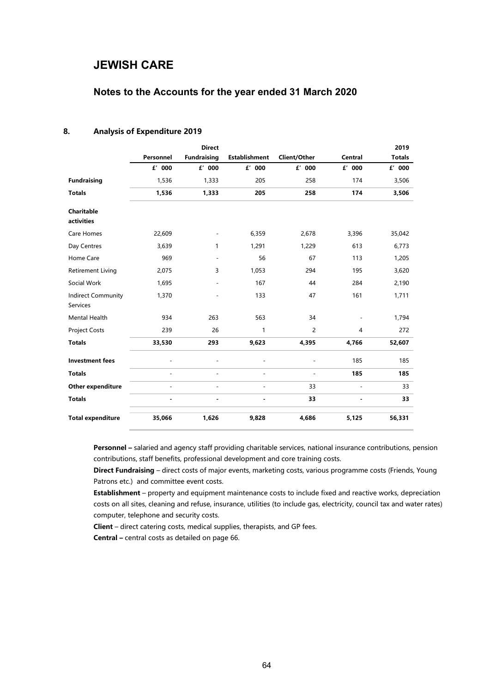### **Notes to the Accounts for the year ended 31 March 2020**

|                                              |                          | <b>Direct</b>            |                      |                |                          | 2019          |
|----------------------------------------------|--------------------------|--------------------------|----------------------|----------------|--------------------------|---------------|
|                                              | Personnel                | <b>Fundraising</b>       | <b>Establishment</b> | Client/Other   | Central                  | <b>Totals</b> |
|                                              | $E'$ 000                 | $E'$ 000                 | £' 000               | $f'$ 000       | $E'$ 000                 | $E'$ 000      |
| <b>Fundraising</b>                           | 1,536                    | 1,333                    | 205                  | 258            | 174                      | 3,506         |
| <b>Totals</b>                                | 1,536                    | 1,333                    | 205                  | 258            | 174                      | 3,506         |
| Charitable<br>activities                     |                          |                          |                      |                |                          |               |
| Care Homes                                   | 22,609                   |                          | 6,359                | 2,678          | 3,396                    | 35,042        |
| Day Centres                                  | 3,639                    | 1                        | 1,291                | 1,229          | 613                      | 6,773         |
| Home Care                                    | 969                      | $\overline{\phantom{a}}$ | 56                   | 67             | 113                      | 1,205         |
| <b>Retirement Living</b>                     | 2,075                    | 3                        | 1,053                | 294            | 195                      | 3,620         |
| Social Work                                  | 1,695                    |                          | 167                  | 44             | 284                      | 2,190         |
| <b>Indirect Community</b><br><b>Services</b> | 1,370                    |                          | 133                  | 47             | 161                      | 1,711         |
| Mental Health                                | 934                      | 263                      | 563                  | 34             |                          | 1,794         |
| <b>Project Costs</b>                         | 239                      | 26                       | $\mathbf{1}$         | $\overline{2}$ | 4                        | 272           |
| <b>Totals</b>                                | 33,530                   | 293                      | 9,623                | 4,395          | 4,766                    | 52,607        |
| <b>Investment fees</b>                       |                          |                          |                      |                | 185                      | 185           |
| <b>Totals</b>                                | $\overline{\phantom{a}}$ | $\overline{a}$           | L,                   | $\overline{a}$ | 185                      | 185           |
| <b>Other expenditure</b>                     | $\overline{\phantom{0}}$ | $\overline{\phantom{0}}$ | $\overline{a}$       | 33             | $\overline{a}$           | 33            |
| <b>Totals</b>                                | ä,                       | ä,                       |                      | 33             | $\overline{\phantom{a}}$ | 33            |
| <b>Total expenditure</b>                     | 35,066                   | 1,626                    | 9,828                | 4,686          | 5,125                    | 56,331        |

#### **8. Analysis of Expenditure 2019**

**Personnel –** salaried and agency staff providing charitable services, national insurance contributions, pension contributions, staff benefits, professional development and core training costs.

**Direct Fundraising** – direct costs of major events, marketing costs, various programme costs (Friends, Young Patrons etc.) and committee event costs.

**Establishment** – property and equipment maintenance costs to include fixed and reactive works, depreciation costs on all sites, cleaning and refuse, insurance, utilities (to include gas, electricity, council tax and water rates) computer, telephone and security costs.

**Client** – direct catering costs, medical supplies, therapists, and GP fees.

**Central –** central costs as detailed on page 66.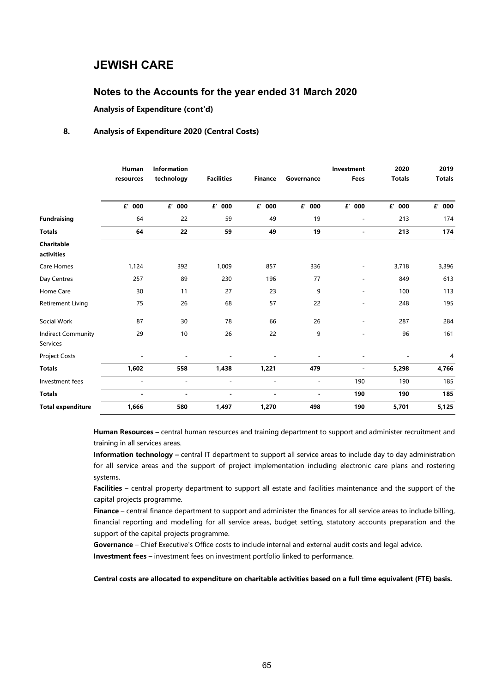### **Notes to the Accounts for the year ended 31 March 2020**

**Analysis of Expenditure (cont'd)**

#### **Human resources Information technology Facilities Finance Governance Investment Fees 2020 Totals 2019 Totals £'000 £'000 £'000 £'000 £'000 £'000 £'000 £'000 Fundraising** 64 22 59 49 19 - 213 174 **Totals 64 22 59 49 19 - 213 174 Charitable activities** Care Homes 1,124 392 1,009 857 336 - 3,718 3,396 Day Centres 257 89 230 196 77 - 849 613 Home Care 30 11 27 23 9 - 100 113 Retirement Living 75 26 68 57 22 - 248 195 Social Work 87 30 78 66 26 - 287 284 Indirect Community Services 29 10 26 22 9 - 96 161 Project Costs - - - - - - - 4 **Totals 1,602 558 1,438 1,221 479 - 5,298 4,766** Investment fees - - - - - 190 190 185 **Totals - - - - - 190 190 185 Total expenditure 1,666 580 1,497 1,270 498 190 5,701 5,125**

#### **8. Analysis of Expenditure 2020 (Central Costs)**

**Human Resources –** central human resources and training department to support and administer recruitment and training in all services areas.

**Information technology –** central IT department to support all service areas to include day to day administration for all service areas and the support of project implementation including electronic care plans and rostering systems.

**Facilities** – central property department to support all estate and facilities maintenance and the support of the capital projects programme.

**Finance** – central finance department to support and administer the finances for all service areas to include billing, financial reporting and modelling for all service areas, budget setting, statutory accounts preparation and the support of the capital projects programme.

**Governance** – Chief Executive's Office costs to include internal and external audit costs and legal advice.

**Investment fees** – investment fees on investment portfolio linked to performance.

**Central costs are allocated to expenditure on charitable activities based on a full time equivalent (FTE) basis.**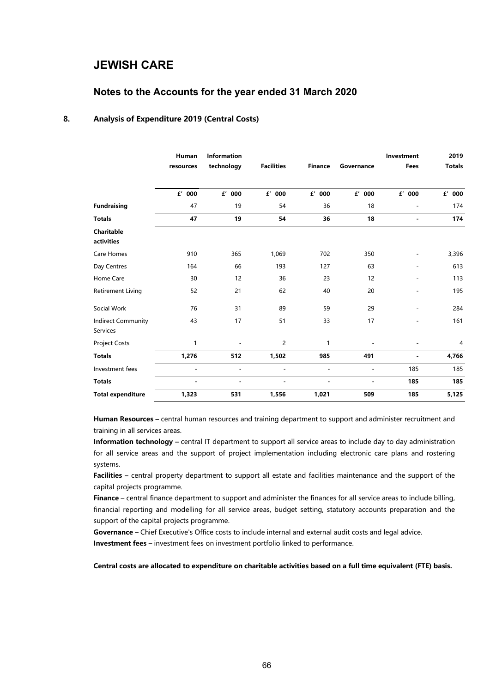### **Notes to the Accounts for the year ended 31 March 2020**

#### **8. Analysis of Expenditure 2019 (Central Costs)**

|                                       | Human                    | <b>Information</b> |                          |                |                          | Investment               | 2019                           |
|---------------------------------------|--------------------------|--------------------|--------------------------|----------------|--------------------------|--------------------------|--------------------------------|
|                                       | resources                | technology         | <b>Facilities</b>        | <b>Finance</b> | Governance               | Fees                     | <b>Totals</b>                  |
|                                       |                          |                    |                          |                |                          |                          |                                |
|                                       | $E'$ 000                 | £' 000             | $E'$ 000                 | £' 000         | $E'$ 000                 | $E'$ 000                 | $\boldsymbol{\mathsf{E}}'$ 000 |
| <b>Fundraising</b>                    | 47                       | 19                 | 54                       | 36             | 18                       |                          | 174                            |
| <b>Totals</b>                         | 47                       | 19                 | 54                       | 36             | 18                       | $\blacksquare$           | 174                            |
| <b>Charitable</b><br>activities       |                          |                    |                          |                |                          |                          |                                |
| Care Homes                            | 910                      | 365                | 1,069                    | 702            | 350                      |                          | 3,396                          |
| Day Centres                           | 164                      | 66                 | 193                      | 127            | 63                       | $\overline{\phantom{a}}$ | 613                            |
| Home Care                             | 30                       | 12                 | 36                       | 23             | 12                       | $\overline{\phantom{a}}$ | 113                            |
| <b>Retirement Living</b>              | 52                       | 21                 | 62                       | 40             | 20                       |                          | 195                            |
| Social Work                           | 76                       | 31                 | 89                       | 59             | 29                       |                          | 284                            |
| <b>Indirect Community</b><br>Services | 43                       | 17                 | 51                       | 33             | 17                       |                          | 161                            |
| Project Costs                         | $\mathbf{1}$             |                    | $\overline{2}$           | 1              |                          |                          | 4                              |
| <b>Totals</b>                         | 1,276                    | 512                | 1,502                    | 985            | 491                      |                          | 4,766                          |
| Investment fees                       | $\overline{a}$           | $\overline{a}$     | $\overline{a}$           | $\overline{a}$ | $\overline{a}$           | 185                      | 185                            |
| <b>Totals</b>                         | $\overline{\phantom{a}}$ |                    | $\overline{\phantom{a}}$ | ٠              | $\overline{\phantom{a}}$ | 185                      | 185                            |
| <b>Total expenditure</b>              | 1,323                    | 531                | 1,556                    | 1,021          | 509                      | 185                      | 5,125                          |

**Human Resources –** central human resources and training department to support and administer recruitment and training in all services areas.

**Information technology –** central IT department to support all service areas to include day to day administration for all service areas and the support of project implementation including electronic care plans and rostering systems.

**Facilities** – central property department to support all estate and facilities maintenance and the support of the capital projects programme.

**Finance** – central finance department to support and administer the finances for all service areas to include billing, financial reporting and modelling for all service areas, budget setting, statutory accounts preparation and the support of the capital projects programme.

**Governance** – Chief Executive's Office costs to include internal and external audit costs and legal advice.

**Investment fees** – investment fees on investment portfolio linked to performance.

**Central costs are allocated to expenditure on charitable activities based on a full time equivalent (FTE) basis.**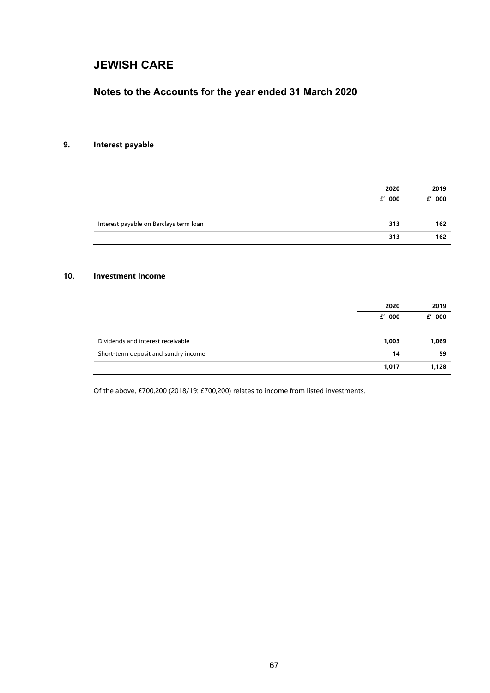## **Notes to the Accounts for the year ended 31 March 2020**

### **9. Interest payable**

|                                        | 2020   | 2019   |
|----------------------------------------|--------|--------|
|                                        | £' 000 | £' 000 |
| Interest payable on Barclays term loan | 313    | 162    |
|                                        | 313    | 162    |

### **10. Investment Income**

|                                      | 2020     | 2019     |
|--------------------------------------|----------|----------|
|                                      | $f'$ 000 | $f'$ 000 |
| Dividends and interest receivable    | 1,003    | 1,069    |
| Short-term deposit and sundry income | 14       | 59       |
|                                      | 1,017    | 1,128    |

Of the above, £700,200 (2018/19: £700,200) relates to income from listed investments.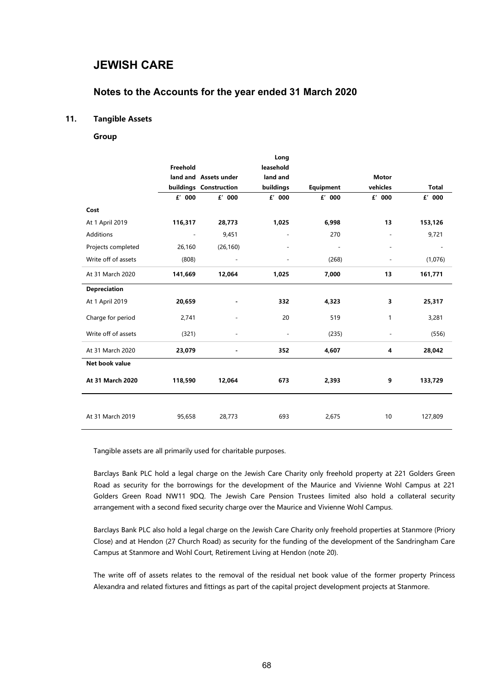### **Notes to the Accounts for the year ended 31 March 2020**

#### **11. Tangible Assets**

#### **Group**

|                     |                          |                        | Long                     |           |                          |              |
|---------------------|--------------------------|------------------------|--------------------------|-----------|--------------------------|--------------|
|                     | Freehold                 |                        | leasehold                |           |                          |              |
|                     |                          | land and Assets under  | land and                 |           | <b>Motor</b>             |              |
|                     |                          | buildings Construction | buildings                | Equipment | vehicles                 | <b>Total</b> |
|                     | £' 000                   | $E'$ 000               | $E'$ 000                 | $E'$ 000  | $f'$ 000                 | £' 000       |
| Cost                |                          |                        |                          |           |                          |              |
| At 1 April 2019     | 116,317                  | 28,773                 | 1,025                    | 6,998     | 13                       | 153,126      |
| <b>Additions</b>    | $\overline{\phantom{a}}$ | 9,451                  | $\overline{\phantom{a}}$ | 270       | $\overline{\phantom{a}}$ | 9,721        |
| Projects completed  | 26,160                   | (26, 160)              |                          |           | $\overline{\phantom{0}}$ |              |
| Write off of assets | (808)                    |                        | $\overline{a}$           | (268)     |                          | (1,076)      |
| At 31 March 2020    | 141,669                  | 12,064                 | 1,025                    | 7,000     | 13                       | 161,771      |
| <b>Depreciation</b> |                          |                        |                          |           |                          |              |
| At 1 April 2019     | 20,659                   |                        | 332                      | 4,323     | 3                        | 25,317       |
| Charge for period   | 2,741                    |                        | 20                       | 519       | 1                        | 3,281        |
| Write off of assets | (321)                    |                        | $\overline{\phantom{a}}$ | (235)     | $\overline{\phantom{a}}$ | (556)        |
| At 31 March 2020    | 23,079                   | ٠                      | 352                      | 4,607     | 4                        | 28,042       |
| Net book value      |                          |                        |                          |           |                          |              |
| At 31 March 2020    | 118,590                  | 12,064                 | 673                      | 2,393     | 9                        | 133,729      |
|                     |                          |                        |                          |           |                          |              |
| At 31 March 2019    | 95,658                   | 28,773                 | 693                      | 2,675     | 10                       | 127,809      |

Tangible assets are all primarily used for charitable purposes.

Barclays Bank PLC hold a legal charge on the Jewish Care Charity only freehold property at 221 Golders Green Road as security for the borrowings for the development of the Maurice and Vivienne Wohl Campus at 221 Golders Green Road NW11 9DQ. The Jewish Care Pension Trustees limited also hold a collateral security arrangement with a second fixed security charge over the Maurice and Vivienne Wohl Campus.

Barclays Bank PLC also hold a legal charge on the Jewish Care Charity only freehold properties at Stanmore (Priory Close) and at Hendon (27 Church Road) as security for the funding of the development of the Sandringham Care Campus at Stanmore and Wohl Court, Retirement Living at Hendon (note 20).

The write off of assets relates to the removal of the residual net book value of the former property Princess Alexandra and related fixtures and fittings as part of the capital project development projects at Stanmore.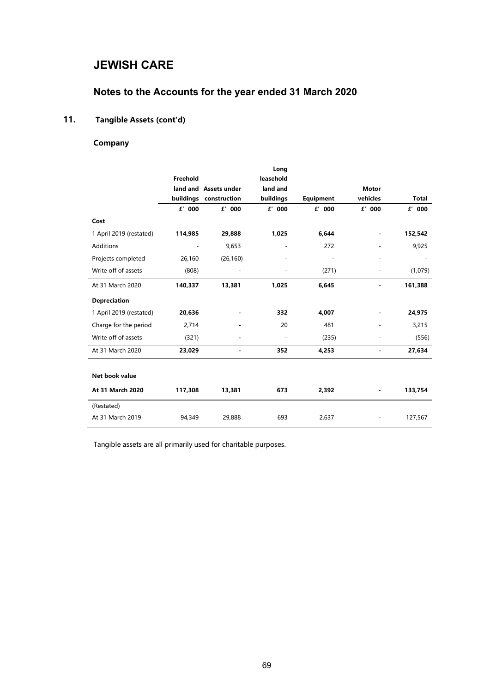## **Notes to the Accounts for the year ended 31 March 2020**

### **11. Tangible Assets (cont'd)**

### **Company**

|                         |          |                          | Long           |           |                          |              |
|-------------------------|----------|--------------------------|----------------|-----------|--------------------------|--------------|
|                         | Freehold |                          | leasehold      |           |                          |              |
|                         |          | land and Assets under    | land and       |           | <b>Motor</b>             |              |
|                         |          | buildings construction   | buildings      | Equipment | vehicles                 | <b>Total</b> |
|                         | $E'$ 000 | £' 000                   | £' 000         | $E'$ 000  | $f'$ 000                 | $f'$ 000     |
| Cost                    |          |                          |                |           |                          |              |
| 1 April 2019 (restated) | 114,985  | 29,888                   | 1,025          | 6,644     |                          | 152,542      |
| <b>Additions</b>        |          | 9,653                    | $\overline{a}$ | 272       |                          | 9,925        |
| Projects completed      | 26,160   | (26, 160)                |                |           | $\overline{a}$           |              |
| Write off of assets     | (808)    | $\overline{\phantom{a}}$ |                | (271)     | $\overline{\phantom{0}}$ | (1,079)      |
| At 31 March 2020        | 140,337  | 13,381                   | 1,025          | 6,645     |                          | 161,388      |
| <b>Depreciation</b>     |          |                          |                |           |                          |              |
| 1 April 2019 (restated) | 20,636   |                          | 332            | 4,007     |                          | 24,975       |
| Charge for the period   | 2,714    |                          | 20             | 481       |                          | 3,215        |
| Write off of assets     | (321)    |                          | $\overline{a}$ | (235)     | $\qquad \qquad -$        | (556)        |
| At 31 March 2020        | 23,029   | -                        | 352            | 4,253     | -                        | 27,634       |
|                         |          |                          |                |           |                          |              |
| Net book value          |          |                          |                |           |                          |              |
| At 31 March 2020        | 117,308  | 13,381                   | 673            | 2,392     |                          | 133,754      |
| (Restated)              |          |                          |                |           |                          |              |
| At 31 March 2019        | 94,349   | 29,888                   | 693            | 2,637     |                          | 127,567      |

Tangible assets are all primarily used for charitable purposes.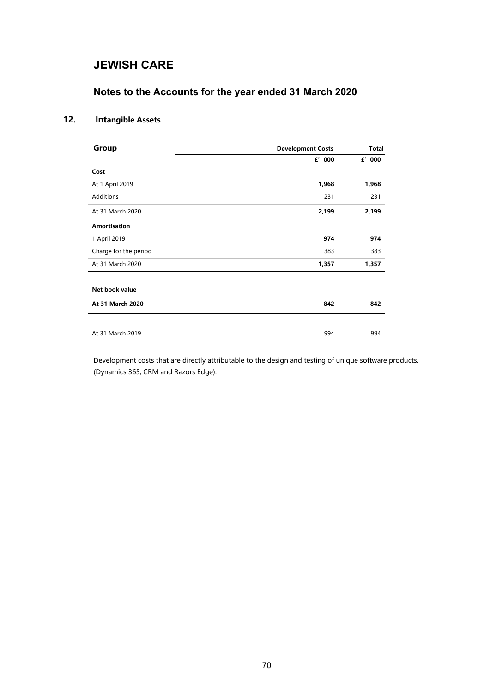**Notes to the Accounts for the year ended 31 March 2020**

### **12. Intangible Assets**

| Group                 | <b>Development Costs</b> | <b>Total</b> |  |
|-----------------------|--------------------------|--------------|--|
|                       | $E'$ 000                 | $E'$ 000     |  |
| Cost                  |                          |              |  |
| At 1 April 2019       | 1,968                    | 1,968        |  |
| <b>Additions</b>      | 231                      | 231          |  |
| At 31 March 2020      | 2,199                    | 2,199        |  |
| <b>Amortisation</b>   |                          |              |  |
| 1 April 2019          | 974                      | 974          |  |
| Charge for the period | 383                      | 383          |  |
| At 31 March 2020      | 1,357                    | 1,357        |  |
| Net book value        |                          |              |  |
| At 31 March 2020      | 842                      | 842          |  |
|                       |                          |              |  |
| At 31 March 2019      | 994                      | 994          |  |

Development costs that are directly attributable to the design and testing of unique software products. (Dynamics 365, CRM and Razors Edge).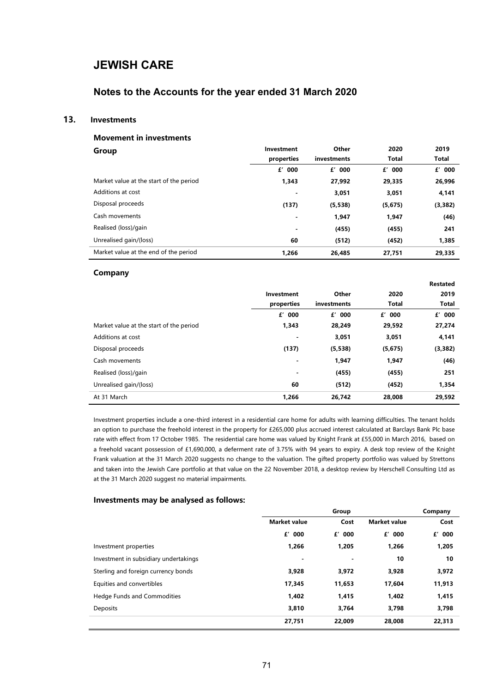### **Notes to the Accounts for the year ended 31 March 2020**

#### **13. Investments**

### **Movement in investments**

| Group                                   | Investment               | Other       | 2020     | 2019         |
|-----------------------------------------|--------------------------|-------------|----------|--------------|
|                                         | properties               | investments | Total    | <b>Total</b> |
|                                         | $E'$ 000                 | $f'$ 000    | $f'$ 000 | $f'$ 000     |
| Market value at the start of the period | 1,343                    | 27,992      | 29,335   | 26,996       |
| Additions at cost                       |                          | 3,051       | 3,051    | 4,141        |
| Disposal proceeds                       | (137)                    | (5, 538)    | (5,675)  | (3, 382)     |
| Cash movements                          | $\overline{\phantom{0}}$ | 1,947       | 1,947    | (46)         |
| Realised (loss)/gain                    | ٠                        | (455)       | (455)    | 241          |
| Unrealised gain/(loss)                  | 60                       | (512)       | (452)    | 1,385        |
| Market value at the end of the period   | 1,266                    | 26.485      | 27,751   | 29,335       |

#### **Company**

|                                         |                          |             |          | Restated     |
|-----------------------------------------|--------------------------|-------------|----------|--------------|
|                                         | Investment               | Other       | 2020     | 2019         |
|                                         | properties               | investments | Total    | <b>Total</b> |
|                                         | $E'$ 000                 | $E'$ 000    | $f'$ 000 | $f'$ 000     |
| Market value at the start of the period | 1,343                    | 28,249      | 29,592   | 27,274       |
| Additions at cost                       |                          | 3,051       | 3,051    | 4,141        |
| Disposal proceeds                       | (137)                    | (5, 538)    | (5,675)  | (3, 382)     |
| Cash movements                          | ٠                        | 1,947       | 1,947    | (46)         |
| Realised (loss)/gain                    | $\overline{\phantom{a}}$ | (455)       | (455)    | 251          |
| Unrealised gain/(loss)                  | 60                       | (512)       | (452)    | 1,354        |
| At 31 March                             | 1,266                    | 26,742      | 28,008   | 29,592       |

Investment properties include a one-third interest in a residential care home for adults with learning difficulties. The tenant holds an option to purchase the freehold interest in the property for £265,000 plus accrued interest calculated at Barclays Bank Plc base rate with effect from 17 October 1985. The residential care home was valued by Knight Frank at £55,000 in March 2016, based on a freehold vacant possession of £1,690,000, a deferment rate of 3.75% with 94 years to expiry. A desk top review of the Knight Frank valuation at the 31 March 2020 suggests no change to the valuation. The gifted property portfolio was valued by Strettons and taken into the Jewish Care portfolio at that value on the 22 November 2018, a desktop review by Herschell Consulting Ltd as at the 31 March 2020 suggest no material impairments.

#### **Investments may be analysed as follows:**

|                                       | Group               |          |                     | Company  |  |
|---------------------------------------|---------------------|----------|---------------------|----------|--|
|                                       | <b>Market value</b> | Cost     | <b>Market value</b> | Cost     |  |
|                                       | $f'$ 000            | $f'$ 000 | $E'$ 000            | $f'$ 000 |  |
| Investment properties                 | 1,266               | 1,205    | 1,266               | 1,205    |  |
| Investment in subsidiary undertakings | ٠                   |          | 10                  | 10       |  |
| Sterling and foreign currency bonds   | 3,928               | 3,972    | 3,928               | 3,972    |  |
| Equities and convertibles             | 17,345              | 11,653   | 17,604              | 11,913   |  |
| <b>Hedge Funds and Commodities</b>    | 1,402               | 1,415    | 1,402               | 1,415    |  |
| Deposits                              | 3,810               | 3,764    | 3,798               | 3,798    |  |
|                                       | 27,751              | 22,009   | 28,008              | 22,313   |  |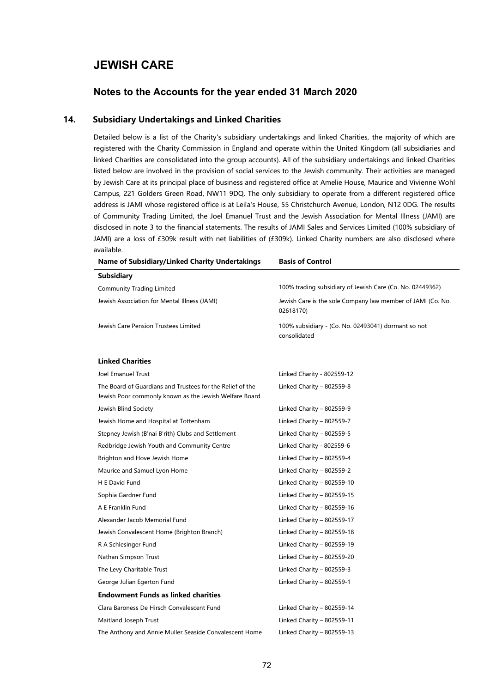### **Notes to the Accounts for the year ended 31 March 2020**

#### **14. Subsidiary Undertakings and Linked Charities**

Detailed below is a list of the Charity's subsidiary undertakings and linked Charities, the majority of which are registered with the Charity Commission in England and operate within the United Kingdom (all subsidiaries and linked Charities are consolidated into the group accounts). All of the subsidiary undertakings and linked Charities listed below are involved in the provision of social services to the Jewish community. Their activities are managed by Jewish Care at its principal place of business and registered office at Amelie House, Maurice and Vivienne Wohl Campus, 221 Golders Green Road, NW11 9DQ. The only subsidiary to operate from a different registered office address is JAMI whose registered office is at Leila's House, 55 Christchurch Avenue, London, N12 0DG. The results of Community Trading Limited, the Joel Emanuel Trust and the Jewish Association for Mental Illness (JAMI) are disclosed in note 3 to the financial statements. The results of JAMI Sales and Services Limited (100% subsidiary of JAMI) are a loss of £309k result with net liabilities of (£309k). Linked Charity numbers are also disclosed where available.

| Name of Subsidiary/Linked Charity Undertakings                                                                      | <b>Basis of Control</b>                                                  |
|---------------------------------------------------------------------------------------------------------------------|--------------------------------------------------------------------------|
| <b>Subsidiary</b>                                                                                                   |                                                                          |
| Community Trading Limited                                                                                           | 100% trading subsidiary of Jewish Care (Co. No. 02449362)                |
| Jewish Association for Mental Illness (JAMI)                                                                        | Jewish Care is the sole Company law member of JAMI (Co. No.<br>02618170) |
| Jewish Care Pension Trustees Limited                                                                                | 100% subsidiary - (Co. No. 02493041) dormant so not<br>consolidated      |
| <b>Linked Charities</b>                                                                                             |                                                                          |
| <b>Joel Emanuel Trust</b>                                                                                           | Linked Charity - 802559-12                                               |
| The Board of Guardians and Trustees for the Relief of the<br>Jewish Poor commonly known as the Jewish Welfare Board | Linked Charity $-$ 802559-8                                              |
| Jewish Blind Society                                                                                                | Linked Charity $-$ 802559-9                                              |
| Jewish Home and Hospital at Tottenham                                                                               | Linked Charity $-$ 802559-7                                              |
| Stepney Jewish (B'nai B'rith) Clubs and Settlement                                                                  | Linked Charity $-$ 802559-5                                              |
| Redbridge Jewish Youth and Community Centre                                                                         | Linked Charity - 802559-6                                                |
| Brighton and Hove Jewish Home                                                                                       | Linked Charity - $802559 - 4$                                            |
| Maurice and Samuel Lyon Home                                                                                        | Linked Charity $-$ 802559-2                                              |
| H E David Fund                                                                                                      | Linked Charity - 802559-10                                               |
| Sophia Gardner Fund                                                                                                 | Linked Charity $-$ 802559-15                                             |
| A E Franklin Fund                                                                                                   | Linked Charity $-$ 802559-16                                             |
| Alexander Jacob Memorial Fund                                                                                       | Linked Charity $-$ 802559-17                                             |
| Jewish Convalescent Home (Brighton Branch)                                                                          | Linked Charity $-$ 802559-18                                             |
| R A Schlesinger Fund                                                                                                | Linked Charity - 802559-19                                               |
| Nathan Simpson Trust                                                                                                | Linked Charity - 802559-20                                               |
| The Levy Charitable Trust                                                                                           | Linked Charity $-$ 802559-3                                              |
| George Julian Egerton Fund                                                                                          | Linked Charity $-$ 802559-1                                              |
| <b>Endowment Funds as linked charities</b>                                                                          |                                                                          |
| Clara Baroness De Hirsch Convalescent Fund                                                                          | Linked Charity - 802559-14                                               |
| Maitland Joseph Trust                                                                                               | Linked Charity - 802559-11                                               |
| The Anthony and Annie Muller Seaside Convalescent Home                                                              | Linked Charity $-$ 802559-13                                             |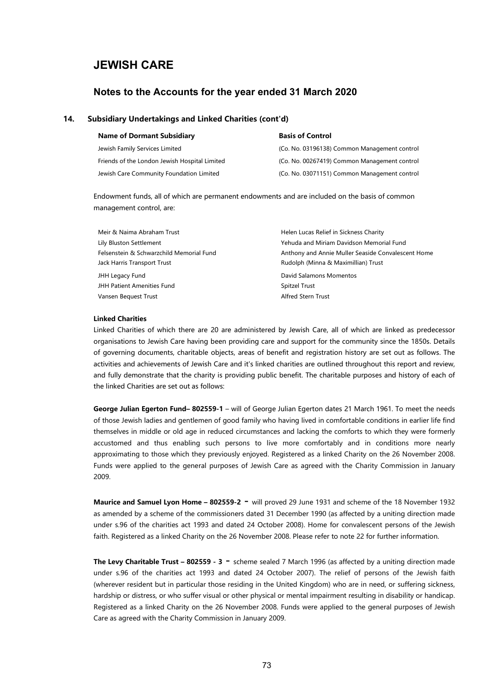### **Notes to the Accounts for the year ended 31 March 2020**

#### **14. Subsidiary Undertakings and Linked Charities (cont'd)**

| <b>Name of Dormant Subsidiary</b>             | <b>Basis of Control</b>                      |
|-----------------------------------------------|----------------------------------------------|
| Jewish Family Services Limited                | (Co. No. 03196138) Common Management control |
| Friends of the London Jewish Hospital Limited | (Co. No. 00267419) Common Management control |
| Jewish Care Community Foundation Limited      | (Co. No. 03071151) Common Management control |

Endowment funds, all of which are permanent endowments and are included on the basis of common management control, are:

| Meir & Naima Abraham Trust               | Helen Lucas Relief in Sickness Charity             |
|------------------------------------------|----------------------------------------------------|
| Lily Bluston Settlement                  | Yehuda and Miriam Davidson Memorial Fund           |
| Felsenstein & Schwarzchild Memorial Fund | Anthony and Annie Muller Seaside Convalescent Home |
| Jack Harris Transport Trust              | Rudolph (Minna & Maximillian) Trust                |
|                                          |                                                    |
| JHH Legacy Fund                          | David Salamons Momentos                            |
| JHH Patient Amenities Fund               | Spitzel Trust                                      |
| Vansen Bequest Trust                     | Alfred Stern Trust                                 |

#### **Linked Charities**

Linked Charities of which there are 20 are administered by Jewish Care, all of which are linked as predecessor organisations to Jewish Care having been providing care and support for the community since the 1850s. Details of governing documents, charitable objects, areas of benefit and registration history are set out as follows. The activities and achievements of Jewish Care and it's linked charities are outlined throughout this report and review, and fully demonstrate that the charity is providing public benefit. The charitable purposes and history of each of the linked Charities are set out as follows:

**George Julian Egerton Fund– 802559-1** – will of George Julian Egerton dates 21 March 1961. To meet the needs of those Jewish ladies and gentlemen of good family who having lived in comfortable conditions in earlier life find themselves in middle or old age in reduced circumstances and lacking the comforts to which they were formerly accustomed and thus enabling such persons to live more comfortably and in conditions more nearly approximating to those which they previously enjoyed. Registered as a linked Charity on the 26 November 2008. Funds were applied to the general purposes of Jewish Care as agreed with the Charity Commission in January 2009.

**Maurice and Samuel Lyon Home – 802559-2** - will proved 29 June 1931 and scheme of the 18 November 1932 as amended by a scheme of the commissioners dated 31 December 1990 (as affected by a uniting direction made under s.96 of the charities act 1993 and dated 24 October 2008). Home for convalescent persons of the Jewish faith. Registered as a linked Charity on the 26 November 2008. Please refer to note 22 for further information.

**The Levy Charitable Trust – 802559 - <sup>3</sup>** - scheme sealed 7 March 1996 (as affected by a uniting direction made under s.96 of the charities act 1993 and dated 24 October 2007). The relief of persons of the Jewish faith (wherever resident but in particular those residing in the United Kingdom) who are in need, or suffering sickness, hardship or distress, or who suffer visual or other physical or mental impairment resulting in disability or handicap. Registered as a linked Charity on the 26 November 2008. Funds were applied to the general purposes of Jewish Care as agreed with the Charity Commission in January 2009.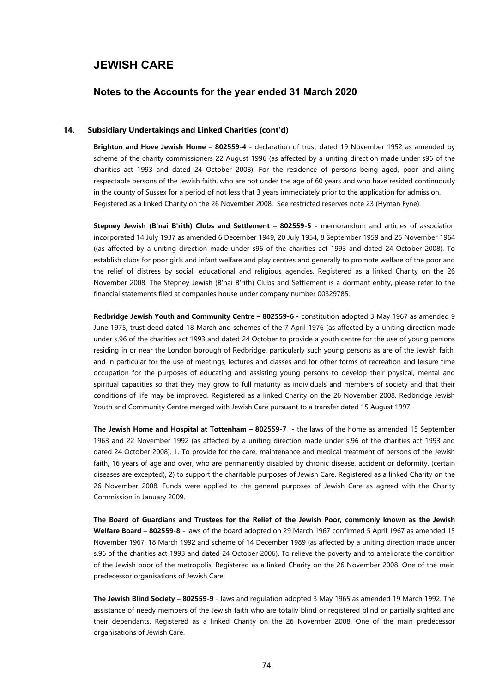### **Notes to the Accounts for the year ended 31 March 2020**

#### **14. Subsidiary Undertakings and Linked Charities (cont'd)**

**Brighton and Hove Jewish Home – 802559-4 -** declaration of trust dated 19 November 1952 as amended by scheme of the charity commissioners 22 August 1996 (as affected by a uniting direction made under s96 of the charities act 1993 and dated 24 October 2008). For the residence of persons being aged, poor and ailing respectable persons of the Jewish faith, who are not under the age of 60 years and who have resided continuously in the county of Sussex for a period of not less that 3 years immediately prior to the application for admission. Registered as a linked Charity on the 26 November 2008. See restricted reserves note 23 (Hyman Fyne).

**Stepney Jewish (B'nai B'rith) Clubs and Settlement – 802559-5 -** memorandum and articles of association incorporated 14 July 1937 as amended 6 December 1949, 20 July 1954, 8 September 1959 and 25 November 1964 ((as affected by a uniting direction made under s96 of the charities act 1993 and dated 24 October 2008). To establish clubs for poor girls and infant welfare and play centres and generally to promote welfare of the poor and the relief of distress by social, educational and religious agencies. Registered as a linked Charity on the 26 November 2008. The Stepney Jewish (B'nai B'rith) Clubs and Settlement is a dormant entity, please refer to the financial statements filed at companies house under company number 00329785.

**Redbridge Jewish Youth and Community Centre – 802559-6 -** constitution adopted 3 May 1967 as amended 9 June 1975, trust deed dated 18 March and schemes of the 7 April 1976 (as affected by a uniting direction made under s.96 of the charities act 1993 and dated 24 October to provide a youth centre for the use of young persons residing in or near the London borough of Redbridge, particularly such young persons as are of the Jewish faith, and in particular for the use of meetings, lectures and classes and for other forms of recreation and leisure time occupation for the purposes of educating and assisting young persons to develop their physical, mental and spiritual capacities so that they may grow to full maturity as individuals and members of society and that their conditions of life may be improved. Registered as a linked Charity on the 26 November 2008. Redbridge Jewish Youth and Community Centre merged with Jewish Care pursuant to a transfer dated 15 August 1997.

**The Jewish Home and Hospital at Tottenham – 802559-7 -** the laws of the home as amended 15 September 1963 and 22 November 1992 (as affected by a uniting direction made under s.96 of the charities act 1993 and dated 24 October 2008). 1. To provide for the care, maintenance and medical treatment of persons of the Jewish faith, 16 years of age and over, who are permanently disabled by chronic disease, accident or deformity. (certain diseases are excepted), 2) to support the charitable purposes of Jewish Care. Registered as a linked Charity on the 26 November 2008. Funds were applied to the general purposes of Jewish Care as agreed with the Charity Commission in January 2009.

**The Board of Guardians and Trustees for the Relief of the Jewish Poor, commonly known as the Jewish Welfare Board – 802559-8 -** laws of the board adopted on 29 March 1967 confirmed 5 April 1967 as amended 15 November 1967, 18 March 1992 and scheme of 14 December 1989 (as affected by a uniting direction made under s.96 of the charities act 1993 and dated 24 October 2006). To relieve the poverty and to ameliorate the condition of the Jewish poor of the metropolis. Registered as a linked Charity on the 26 November 2008. One of the main predecessor organisations of Jewish Care.

**The Jewish Blind Society – 802559-9** - laws and regulation adopted 3 May 1965 as amended 19 March 1992. The assistance of needy members of the Jewish faith who are totally blind or registered blind or partially sighted and their dependants. Registered as a linked Charity on the 26 November 2008. One of the main predecessor organisations of Jewish Care.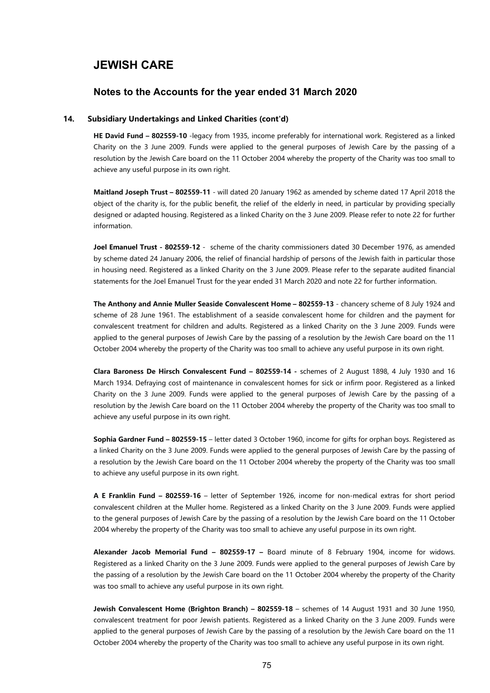### **Notes to the Accounts for the year ended 31 March 2020**

#### **14. Subsidiary Undertakings and Linked Charities (cont'd)**

**HE David Fund – 802559-10** -legacy from 1935, income preferably for international work. Registered as a linked Charity on the 3 June 2009. Funds were applied to the general purposes of Jewish Care by the passing of a resolution by the Jewish Care board on the 11 October 2004 whereby the property of the Charity was too small to achieve any useful purpose in its own right.

**Maitland Joseph Trust – 802559-11** - will dated 20 January 1962 as amended by scheme dated 17 April 2018 the object of the charity is, for the public benefit, the relief of the elderly in need, in particular by providing specially designed or adapted housing. Registered as a linked Charity on the 3 June 2009. Please refer to note 22 for further information.

**Joel Emanuel Trust - 802559-12** - scheme of the charity commissioners dated 30 December 1976, as amended by scheme dated 24 January 2006, the relief of financial hardship of persons of the Jewish faith in particular those in housing need. Registered as a linked Charity on the 3 June 2009. Please refer to the separate audited financial statements for the Joel Emanuel Trust for the year ended 31 March 2020 and note 22 for further information.

**The Anthony and Annie Muller Seaside Convalescent Home – 802559-13** - chancery scheme of 8 July 1924 and scheme of 28 June 1961. The establishment of a seaside convalescent home for children and the payment for convalescent treatment for children and adults. Registered as a linked Charity on the 3 June 2009. Funds were applied to the general purposes of Jewish Care by the passing of a resolution by the Jewish Care board on the 11 October 2004 whereby the property of the Charity was too small to achieve any useful purpose in its own right.

**Clara Baroness De Hirsch Convalescent Fund – 802559-14 -** schemes of 2 August 1898, 4 July 1930 and 16 March 1934. Defraying cost of maintenance in convalescent homes for sick or infirm poor. Registered as a linked Charity on the 3 June 2009. Funds were applied to the general purposes of Jewish Care by the passing of a resolution by the Jewish Care board on the 11 October 2004 whereby the property of the Charity was too small to achieve any useful purpose in its own right.

**Sophia Gardner Fund – 802559-15** – letter dated 3 October 1960, income for gifts for orphan boys. Registered as a linked Charity on the 3 June 2009. Funds were applied to the general purposes of Jewish Care by the passing of a resolution by the Jewish Care board on the 11 October 2004 whereby the property of the Charity was too small to achieve any useful purpose in its own right.

**A E Franklin Fund – 802559-16** – letter of September 1926, income for non-medical extras for short period convalescent children at the Muller home. Registered as a linked Charity on the 3 June 2009. Funds were applied to the general purposes of Jewish Care by the passing of a resolution by the Jewish Care board on the 11 October 2004 whereby the property of the Charity was too small to achieve any useful purpose in its own right.

**Alexander Jacob Memorial Fund – 802559-17 –** Board minute of 8 February 1904, income for widows. Registered as a linked Charity on the 3 June 2009. Funds were applied to the general purposes of Jewish Care by the passing of a resolution by the Jewish Care board on the 11 October 2004 whereby the property of the Charity was too small to achieve any useful purpose in its own right.

**Jewish Convalescent Home (Brighton Branch) – 802559-18** – schemes of 14 August 1931 and 30 June 1950, convalescent treatment for poor Jewish patients. Registered as a linked Charity on the 3 June 2009. Funds were applied to the general purposes of Jewish Care by the passing of a resolution by the Jewish Care board on the 11 October 2004 whereby the property of the Charity was too small to achieve any useful purpose in its own right.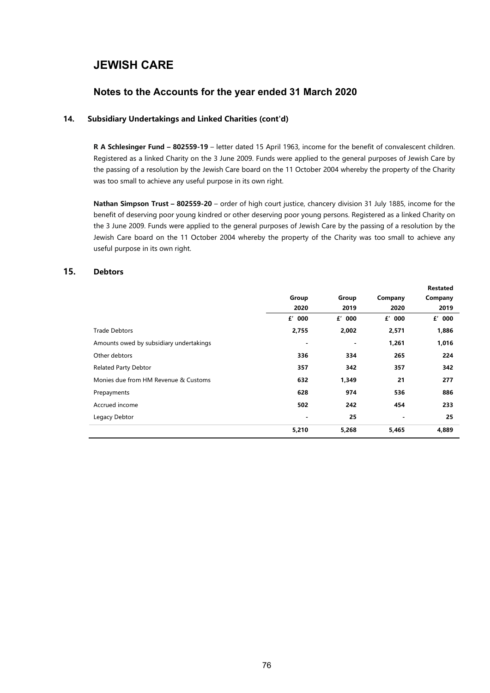## **Notes to the Accounts for the year ended 31 March 2020**

#### **14. Subsidiary Undertakings and Linked Charities (cont'd)**

**R A Schlesinger Fund – 802559-19** – letter dated 15 April 1963, income for the benefit of convalescent children. Registered as a linked Charity on the 3 June 2009. Funds were applied to the general purposes of Jewish Care by the passing of a resolution by the Jewish Care board on the 11 October 2004 whereby the property of the Charity was too small to achieve any useful purpose in its own right.

**Nathan Simpson Trust – 802559-20** – order of high court justice, chancery division 31 July 1885, income for the benefit of deserving poor young kindred or other deserving poor young persons. Registered as a linked Charity on the 3 June 2009. Funds were applied to the general purposes of Jewish Care by the passing of a resolution by the Jewish Care board on the 11 October 2004 whereby the property of the Charity was too small to achieve any useful purpose in its own right.

#### **15. Debtors**

|                                         |          |          |          | <b>Restated</b> |
|-----------------------------------------|----------|----------|----------|-----------------|
|                                         | Group    | Group    | Company  | Company         |
|                                         | 2020     | 2019     | 2020     | 2019            |
|                                         | $f'$ 000 | $f'$ 000 | $f'$ 000 | $f'$ 000        |
| <b>Trade Debtors</b>                    | 2,755    | 2,002    | 2,571    | 1,886           |
| Amounts owed by subsidiary undertakings | ٠        |          | 1,261    | 1,016           |
| Other debtors                           | 336      | 334      | 265      | 224             |
| <b>Related Party Debtor</b>             | 357      | 342      | 357      | 342             |
| Monies due from HM Revenue & Customs    | 632      | 1,349    | 21       | 277             |
| Prepayments                             | 628      | 974      | 536      | 886             |
| Accrued income                          | 502      | 242      | 454      | 233             |
| Legacy Debtor                           |          | 25       | ۰        | 25              |
|                                         | 5,210    | 5,268    | 5,465    | 4,889           |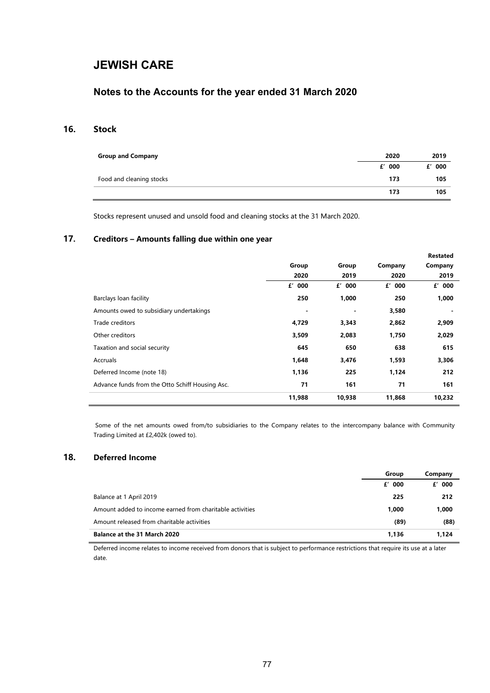# **Notes to the Accounts for the year ended 31 March 2020**

#### **16. Stock**

| <b>Group and Company</b> | 2020     | 2019     |
|--------------------------|----------|----------|
|                          | $f'$ 000 | $f'$ 000 |
| Food and cleaning stocks | 173      | 105      |
|                          | 173      | 105      |

Stocks represent unused and unsold food and cleaning stocks at the 31 March 2020.

### **17. Creditors – Amounts falling due within one year**

|                                                 |          |          |          | Restated |
|-------------------------------------------------|----------|----------|----------|----------|
|                                                 | Group    | Group    | Company  | Company  |
|                                                 | 2020     | 2019     | 2020     | 2019     |
|                                                 | $f'$ 000 | $f'$ 000 | $f'$ 000 | $f'$ 000 |
| Barclays Ioan facility                          | 250      | 1,000    | 250      | 1,000    |
| Amounts owed to subsidiary undertakings         | ٠        |          | 3,580    |          |
| Trade creditors                                 | 4,729    | 3,343    | 2,862    | 2,909    |
| Other creditors                                 | 3,509    | 2,083    | 1,750    | 2,029    |
| Taxation and social security                    | 645      | 650      | 638      | 615      |
| Accruals                                        | 1,648    | 3,476    | 1,593    | 3,306    |
| Deferred Income (note 18)                       | 1,136    | 225      | 1,124    | 212      |
| Advance funds from the Otto Schiff Housing Asc. | 71       | 161      | 71       | 161      |
|                                                 | 11,988   | 10,938   | 11,868   | 10,232   |

Some of the net amounts owed from/to subsidiaries to the Company relates to the intercompany balance with Community Trading Limited at £2,402k (owed to).

### **18. Deferred Income**

|                                                          | Group    | Company |
|----------------------------------------------------------|----------|---------|
|                                                          | $f'$ 000 | £′ 000  |
| Balance at 1 April 2019                                  | 225      | 212     |
| Amount added to income earned from charitable activities | 1.000    | 1.000   |
| Amount released from charitable activities               | (89)     | (88)    |
| <b>Balance at the 31 March 2020</b>                      | 1.136    | 1.124   |

Deferred income relates to income received from donors that is subject to performance restrictions that require its use at a later date.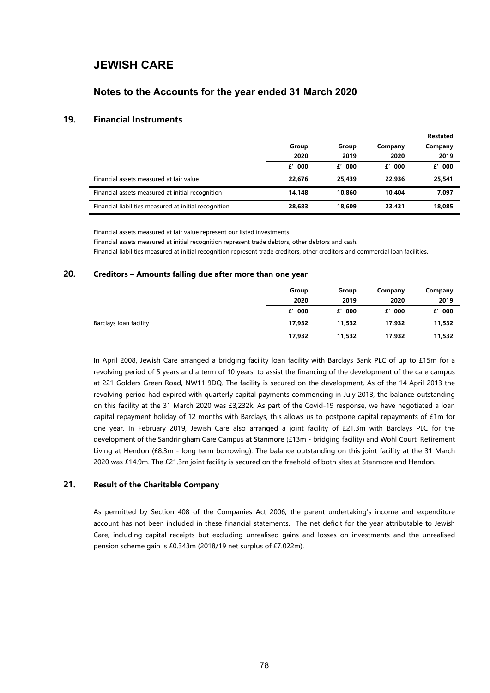## **Notes to the Accounts for the year ended 31 March 2020**

### **19. Financial Instruments**

|                                                       |          |          |          | <b>Restated</b> |
|-------------------------------------------------------|----------|----------|----------|-----------------|
|                                                       | Group    | Group    | Company  | Company         |
|                                                       | 2020     | 2019     | 2020     | 2019            |
|                                                       | $f'$ 000 | $f'$ 000 | $E'$ 000 | $f'$ 000        |
| Financial assets measured at fair value               | 22,676   | 25.439   | 22.936   | 25,541          |
| Financial assets measured at initial recognition      | 14.148   | 10.860   | 10.404   | 7,097           |
| Financial liabilities measured at initial recognition | 28,683   | 18.609   | 23.431   | 18,085          |

Financial assets measured at fair value represent our listed investments.

Financial assets measured at initial recognition represent trade debtors, other debtors and cash.

Financial liabilities measured at initial recognition represent trade creditors, other creditors and commercial loan facilities.

#### **20. Creditors – Amounts falling due after more than one year**

|                        | Group  | Group    | Company  | Company  |
|------------------------|--------|----------|----------|----------|
|                        | 2020   | 2019     | 2020     | 2019     |
|                        | £' 000 | $f'$ 000 | $f'$ 000 | $f'$ 000 |
| Barclays Ioan facility | 17,932 | 11,532   | 17,932   | 11,532   |
|                        | 17,932 | 11,532   | 17,932   | 11,532   |

In April 2008, Jewish Care arranged a bridging facility loan facility with Barclays Bank PLC of up to £15m for a revolving period of 5 years and a term of 10 years, to assist the financing of the development of the care campus at 221 Golders Green Road, NW11 9DQ. The facility is secured on the development. As of the 14 April 2013 the revolving period had expired with quarterly capital payments commencing in July 2013, the balance outstanding on this facility at the 31 March 2020 was £3,232k. As part of the Covid-19 response, we have negotiated a loan capital repayment holiday of 12 months with Barclays, this allows us to postpone capital repayments of £1m for one year. In February 2019, Jewish Care also arranged a joint facility of £21.3m with Barclays PLC for the development of the Sandringham Care Campus at Stanmore (£13m - bridging facility) and Wohl Court, Retirement Living at Hendon (£8.3m - long term borrowing). The balance outstanding on this joint facility at the 31 March 2020 was £14.9m. The £21.3m joint facility is secured on the freehold of both sites at Stanmore and Hendon.

### **21. Result of the Charitable Company**

As permitted by Section 408 of the Companies Act 2006, the parent undertaking's income and expenditure account has not been included in these financial statements. The net deficit for the year attributable to Jewish Care, including capital receipts but excluding unrealised gains and losses on investments and the unrealised pension scheme gain is £0.343m (2018/19 net surplus of £7.022m).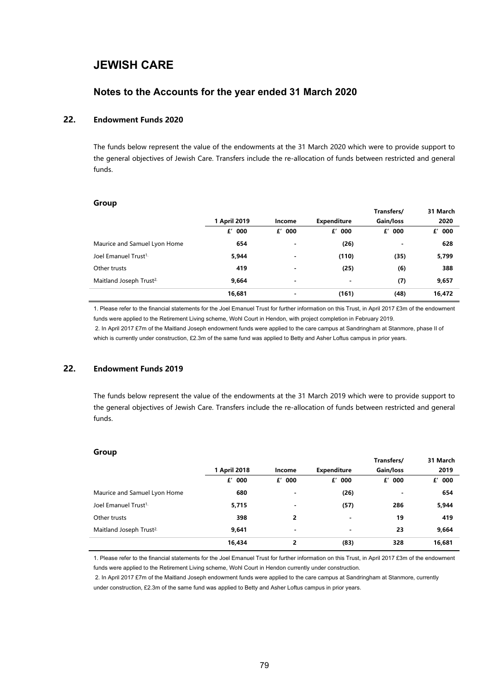### **Notes to the Accounts for the year ended 31 March 2020**

#### **22. Endowment Funds 2020**

The funds below represent the value of the endowments at the 31 March 2020 which were to provide support to the general objectives of Jewish Care. Transfers include the re-allocation of funds between restricted and general funds.

#### **Group**

|                                                                                                                         |              |                |                                              | Transfers/  | 31 March            |
|-------------------------------------------------------------------------------------------------------------------------|--------------|----------------|----------------------------------------------|-------------|---------------------|
|                                                                                                                         | 1 April 2019 | Income         | <b>Expenditure</b>                           | Gain/loss   | 2020                |
|                                                                                                                         | $E'$ 000     | $f'$ 000       | $f'$ 000                                     | $f'$ 000    | $E'$ 000            |
| Maurice and Samuel Lyon Home<br>Joel Emanuel Trust <sup>1.</sup><br>Other trusts<br>Maitland Joseph Trust <sup>2.</sup> | 654          | ٠              | (26)<br>(110)<br>٠<br>(25)<br>$\blacksquare$ | (35)<br>(6) | 628<br>5,799<br>388 |
|                                                                                                                         | 5,944        |                |                                              |             |                     |
|                                                                                                                         | 419          |                |                                              |             |                     |
|                                                                                                                         | 9,664        | $\blacksquare$ | $\blacksquare$                               | (7)         | 9,657               |
|                                                                                                                         | 16,681       | ٠              | (161)                                        | (48)        | 16,472              |

1. Please refer to the financial statements for the Joel Emanuel Trust for further information on this Trust, in April 2017 £3m of the endowment funds were applied to the Retirement Living scheme, Wohl Court in Hendon, with project completion in February 2019.

2. In April 2017 £7m of the Maitland Joseph endowment funds were applied to the care campus at Sandringham at Stanmore, phase II of which is currently under construction, £2.3m of the same fund was applied to Betty and Asher Loftus campus in prior years.

#### **22. Endowment Funds 2019**

The funds below represent the value of the endowments at the 31 March 2019 which were to provide support to the general objectives of Jewish Care. Transfers include the re-allocation of funds between restricted and general funds.

#### **Group**

| -----                               |              |                          |                          | Transfers/ | 31 March |
|-------------------------------------|--------------|--------------------------|--------------------------|------------|----------|
|                                     | 1 April 2018 | Income                   | <b>Expenditure</b>       | Gain/loss  | 2019     |
|                                     | $E'$ 000     | $f'$ 000                 | $f'$ 000                 | $f'$ 000   | $f'$ 000 |
| Maurice and Samuel Lyon Home        | 680          | ٠                        | (26)                     |            | 654      |
| Joel Emanuel Trust <sup>1.</sup>    | 5,715        | ٠                        | (57)                     | 286        | 5,944    |
| Other trusts                        | 398          | 2                        | $\overline{\phantom{a}}$ | 19         | 419      |
| Maitland Joseph Trust <sup>2.</sup> | 9,641        | $\overline{\phantom{a}}$ | $\overline{\phantom{a}}$ | 23         | 9,664    |
|                                     | 16,434       | 2                        | (83)                     | 328        | 16,681   |

1. Please refer to the financial statements for the Joel Emanuel Trust for further information on this Trust, in April 2017 £3m of the endowment funds were applied to the Retirement Living scheme, Wohl Court in Hendon currently under construction.

2. In April 2017 £7m of the Maitland Joseph endowment funds were applied to the care campus at Sandringham at Stanmore, currently under construction, £2.3m of the same fund was applied to Betty and Asher Loftus campus in prior years.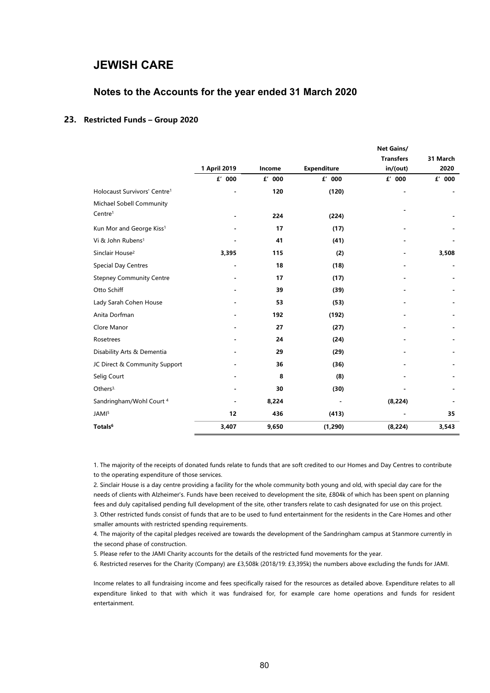### **Notes to the Accounts for the year ended 31 March 2020**

#### **23. Restricted Funds – Group 2020**

|                                          |              |          |                    | Net Gains/       |          |
|------------------------------------------|--------------|----------|--------------------|------------------|----------|
|                                          |              |          |                    | <b>Transfers</b> | 31 March |
|                                          | 1 April 2019 | Income   | <b>Expenditure</b> | in/(out)         | 2020     |
|                                          | $E'$ 000     | $f'$ 000 | £' 000             | $E'$ 000         | $E'$ 000 |
| Holocaust Survivors' Centre <sup>1</sup> |              | 120      | (120)              |                  |          |
| Michael Sobell Community                 |              |          |                    |                  |          |
| Centre <sup>1</sup>                      |              | 224      | (224)              |                  |          |
| Kun Mor and George Kiss <sup>1</sup>     |              | 17       | (17)               |                  |          |
| Vi & John Rubens <sup>1</sup>            |              | 41       | (41)               |                  |          |
| Sinclair House <sup>2</sup>              | 3,395        | 115      | (2)                |                  | 3,508    |
| <b>Special Day Centres</b>               |              | 18       | (18)               |                  |          |
| <b>Stepney Community Centre</b>          |              | 17       | (17)               |                  |          |
| Otto Schiff                              |              | 39       | (39)               |                  |          |
| Lady Sarah Cohen House                   |              | 53       | (53)               |                  |          |
| Anita Dorfman                            |              | 192      | (192)              |                  |          |
| Clore Manor                              |              | 27       | (27)               |                  |          |
| Rosetrees                                |              | 24       | (24)               |                  |          |
| Disability Arts & Dementia               |              | 29       | (29)               |                  |          |
| JC Direct & Community Support            |              | 36       | (36)               |                  |          |
| Selig Court                              |              | 8        | (8)                |                  |          |
| Others <sup>3.</sup>                     |              | 30       | (30)               |                  |          |
| Sandringham/Wohl Court 4                 |              | 8,224    |                    | (8, 224)         |          |
| JAM <sub>I5</sub>                        | 12           | 436      | (413)              |                  | 35       |
| Totals <sup>6</sup>                      | 3,407        | 9,650    | (1, 290)           | (8, 224)         | 3,543    |

1. The majority of the receipts of donated funds relate to funds that are soft credited to our Homes and Day Centres to contribute to the operating expenditure of those services.

2. Sinclair House is a day centre providing a facility for the whole community both young and old, with special day care for the needs of clients with Alzheimer's. Funds have been received to development the site, £804k of which has been spent on planning fees and duly capitalised pending full development of the site, other transfers relate to cash designated for use on this project. 3. Other restricted funds consist of funds that are to be used to fund entertainment for the residents in the Care Homes and other smaller amounts with restricted spending requirements.

4. The majority of the capital pledges received are towards the development of the Sandringham campus at Stanmore currently in the second phase of construction.

5. Please refer to the JAMI Charity accounts for the details of the restricted fund movements for the year.

6. Restricted reserves for the Charity (Company) are £3,508k (2018/19: £3,395k) the numbers above excluding the funds for JAMI.

Income relates to all fundraising income and fees specifically raised for the resources as detailed above. Expenditure relates to all expenditure linked to that with which it was fundraised for, for example care home operations and funds for resident entertainment.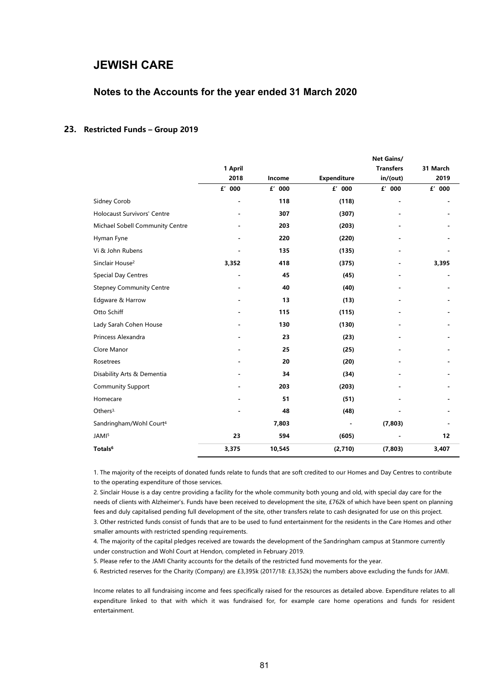### **Notes to the Accounts for the year ended 31 March 2020**

#### **23. Restricted Funds – Group 2019**

|                                     |          |          |                    | <b>Net Gains/</b> |          |
|-------------------------------------|----------|----------|--------------------|-------------------|----------|
|                                     | 1 April  |          |                    | <b>Transfers</b>  | 31 March |
|                                     | 2018     | Income   | <b>Expenditure</b> | in/(out)          | 2019     |
|                                     | $E'$ 000 | $f'$ 000 | $f'$ 000           | $E'$ 000          | £' 000   |
| Sidney Corob                        |          | 118      | (118)              |                   |          |
| <b>Holocaust Survivors' Centre</b>  |          | 307      | (307)              |                   |          |
| Michael Sobell Community Centre     |          | 203      | (203)              |                   |          |
| Hyman Fyne                          |          | 220      | (220)              |                   |          |
| Vi & John Rubens                    |          | 135      | (135)              |                   |          |
| Sinclair House <sup>2</sup>         | 3,352    | 418      | (375)              |                   | 3,395    |
| <b>Special Day Centres</b>          |          | 45       | (45)               |                   |          |
| <b>Stepney Community Centre</b>     |          | 40       | (40)               |                   |          |
| Edgware & Harrow                    |          | 13       | (13)               |                   |          |
| Otto Schiff                         |          | 115      | (115)              |                   |          |
| Lady Sarah Cohen House              |          | 130      | (130)              |                   |          |
| Princess Alexandra                  |          | 23       | (23)               |                   |          |
| Clore Manor                         |          | 25       | (25)               |                   |          |
| Rosetrees                           |          | 20       | (20)               |                   |          |
| Disability Arts & Dementia          |          | 34       | (34)               |                   |          |
| <b>Community Support</b>            |          | 203      | (203)              |                   |          |
| Homecare                            |          | 51       | (51)               |                   |          |
| Others <sup>3.</sup>                |          | 48       | (48)               |                   |          |
| Sandringham/Wohl Court <sup>4</sup> |          | 7,803    |                    | (7, 803)          |          |
| JAM <sub>15</sub>                   | 23       | 594      | (605)              |                   | 12       |
| Totals <sup>6</sup>                 | 3,375    | 10,545   | (2,710)            | (7, 803)          | 3,407    |

1. The majority of the receipts of donated funds relate to funds that are soft credited to our Homes and Day Centres to contribute to the operating expenditure of those services.

2. Sinclair House is a day centre providing a facility for the whole community both young and old, with special day care for the needs of clients with Alzheimer's. Funds have been received to development the site, £762k of which have been spent on planning fees and duly capitalised pending full development of the site, other transfers relate to cash designated for use on this project. 3. Other restricted funds consist of funds that are to be used to fund entertainment for the residents in the Care Homes and other smaller amounts with restricted spending requirements.

4. The majority of the capital pledges received are towards the development of the Sandringham campus at Stanmore currently under construction and Wohl Court at Hendon, completed in February 2019.

5. Please refer to the JAMI Charity accounts for the details of the restricted fund movements for the year.

6. Restricted reserves for the Charity (Company) are £3,395k (2017/18: £3,352k) the numbers above excluding the funds for JAMI.

Income relates to all fundraising income and fees specifically raised for the resources as detailed above. Expenditure relates to all expenditure linked to that with which it was fundraised for, for example care home operations and funds for resident entertainment.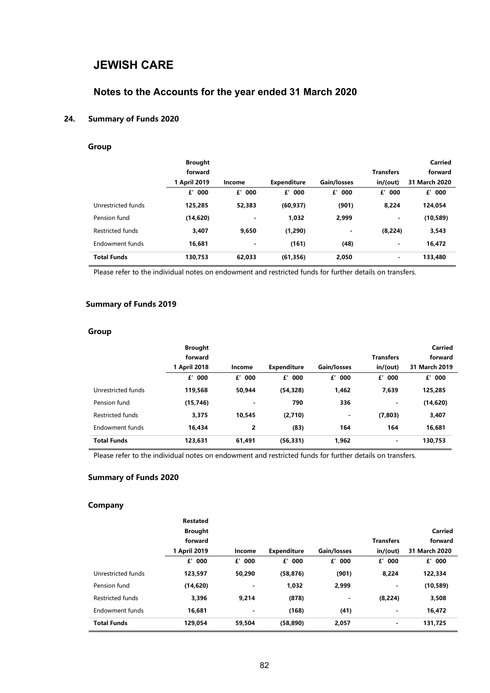# **Notes to the Accounts for the year ended 31 March 2020**

### **24. Summary of Funds 2020**

### **Group**

|                    | <b>Brought</b><br>forward |          |                    |             | <b>Transfers</b> | <b>Carried</b><br>forward |
|--------------------|---------------------------|----------|--------------------|-------------|------------------|---------------------------|
|                    | 1 April 2019              | Income   | <b>Expenditure</b> | Gain/losses | in/(out)         | 31 March 2020             |
|                    | $E'$ 000                  | $E'$ 000 | $f'$ 000           | £′<br>000   | $f'$ 000         | $f'$ 000                  |
| Unrestricted funds | 125.285                   | 52,383   | (60, 937)          | (901)       | 8.224            | 124.054                   |
| Pension fund       | (14, 620)                 | ۰        | 1,032              | 2,999       | ۰                | (10, 589)                 |
| Restricted funds   | 3,407                     | 9,650    | (1,290)            | ٠           | (8, 224)         | 3,543                     |
| Endowment funds    | 16,681                    | ۰        | (161)              | (48)        | ٠                | 16,472                    |
| <b>Total Funds</b> | 130.753                   | 62.033   | (61, 356)          | 2,050       | ٠                | 133,480                   |

Please refer to the individual notes on endowment and restricted funds for further details on transfers.

### **Summary of Funds 2019**

## **Group**

|                    | <b>Brought</b> |          |                    |             |                          | Carried       |
|--------------------|----------------|----------|--------------------|-------------|--------------------------|---------------|
|                    | forward        |          |                    |             | <b>Transfers</b>         | forward       |
|                    | 1 April 2018   | Income   | <b>Expenditure</b> | Gain/losses | in/(out)                 | 31 March 2019 |
|                    | $E'$ 000       | $f'$ 000 | $f'$ 000           | $E'$ 000    | $f'$ 000                 | $E'$ 000      |
| Unrestricted funds | 119,568        | 50,944   | (54, 328)          | 1,462       | 7,639                    | 125,285       |
| Pension fund       | (15, 746)      | ٠        | 790                | 336         | $\overline{\phantom{a}}$ | (14,620)      |
| Restricted funds   | 3,375          | 10.545   | (2,710)            | ۰.          | (7,803)                  | 3,407         |
| Endowment funds    | 16,434         | 2        | (83)               | 164         | 164                      | 16,681        |
| <b>Total Funds</b> | 123,631        | 61,491   | (56, 331)          | 1,962       | $\overline{\phantom{a}}$ | 130,753       |

Please refer to the individual notes on endowment and restricted funds for further details on transfers.

### **Summary of Funds 2020**

### **Company**

|                    | <b>Restated</b><br><b>Brought</b> |                          |                    |                          |                              | Carried                  |
|--------------------|-----------------------------------|--------------------------|--------------------|--------------------------|------------------------------|--------------------------|
|                    | forward<br>1 April 2019           | Income                   | <b>Expenditure</b> | Gain/losses              | <b>Transfers</b><br>in/(out) | forward<br>31 March 2020 |
|                    | $E'$ 000                          | $f'$ 000                 | $E'$ 000           | $E'$ 000                 | $E'$ 000                     | $E'$ 000                 |
| Unrestricted funds | 123,597                           | 50,290                   | (58, 876)          | (901)                    | 8,224                        | 122,334                  |
| Pension fund       | (14,620)                          | $\overline{\phantom{a}}$ | 1,032              | 2.999                    | $\overline{\phantom{a}}$     | (10, 589)                |
| Restricted funds   | 3,396                             | 9.214                    | (878)              | $\overline{\phantom{a}}$ | (8, 224)                     | 3,508                    |
| Endowment funds    | 16.681                            | $\blacksquare$           | (168)              | (41)                     | ۰                            | 16,472                   |
| <b>Total Funds</b> | 129,054                           | 59,504                   | (58, 890)          | 2,057                    | ٠                            | 131,725                  |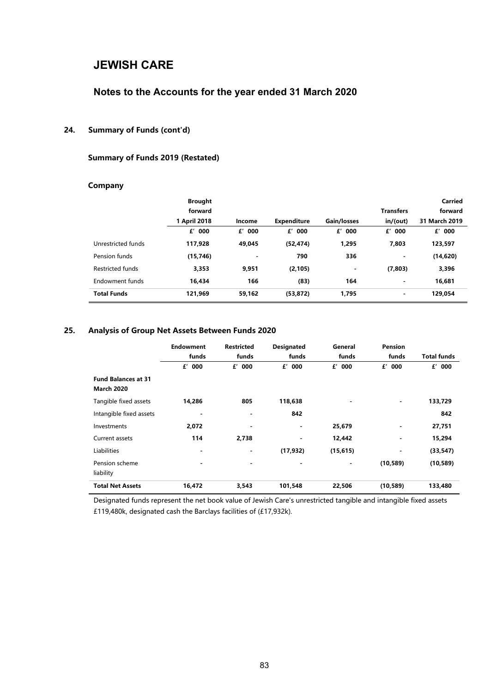# **Notes to the Accounts for the year ended 31 March 2020**

### **24. Summary of Funds (cont'd)**

## **Summary of Funds 2019 (Restated)**

### **Company**

|                    | <b>Brought</b> |          |                    |                          |                          | Carried       |
|--------------------|----------------|----------|--------------------|--------------------------|--------------------------|---------------|
|                    | forward        |          |                    |                          | <b>Transfers</b>         | forward       |
|                    | 1 April 2018   | Income   | <b>Expenditure</b> | Gain/losses              | $in/$ (out)              | 31 March 2019 |
|                    | $E'$ 000       | $E'$ 000 | $f'$ 000           | £′<br>000                | $E'$ 000                 | $E'$ 000      |
| Unrestricted funds | 117,928        | 49,045   | (52, 474)          | 1,295                    | 7,803                    | 123,597       |
| Pension funds      | (15, 746)      | ٠        | 790                | 336                      | $\overline{\phantom{a}}$ | (14, 620)     |
| Restricted funds   | 3,353          | 9,951    | (2, 105)           | $\overline{\phantom{a}}$ | (7,803)                  | 3,396         |
| Endowment funds    | 16,434         | 166      | (83)               | 164                      | $\overline{\phantom{a}}$ | 16,681        |
| <b>Total Funds</b> | 121,969        | 59,162   | (53, 872)          | 1,795                    | ٠                        | 129,054       |

### **25. Analysis of Group Net Assets Between Funds 2020**

|                                                 | <b>Endowment</b><br>funds | <b>Restricted</b><br>funds | <b>Designated</b><br>funds | General<br>funds | <b>Pension</b><br>funds | <b>Total funds</b> |
|-------------------------------------------------|---------------------------|----------------------------|----------------------------|------------------|-------------------------|--------------------|
|                                                 | $E'$ 000                  | $E'$ 000                   | $f'$ 000                   | $f'$ 000         | $E'$ 000                | $E'$ 000           |
| <b>Fund Balances at 31</b><br><b>March 2020</b> |                           |                            |                            |                  |                         |                    |
| Tangible fixed assets                           | 14,286                    | 805                        | 118,638                    |                  | ٠                       | 133,729            |
| Intangible fixed assets                         | ٠                         | $\blacksquare$             | 842                        |                  |                         | 842                |
| Investments                                     | 2,072                     | $\overline{\phantom{a}}$   | ۰                          | 25,679           | ۰                       | 27,751             |
| Current assets                                  | 114                       | 2,738                      | $\overline{\phantom{0}}$   | 12,442           | ۰                       | 15,294             |
| <b>Liabilities</b>                              | $\blacksquare$            | $\overline{\phantom{a}}$   | (17, 932)                  | (15, 615)        | ٠                       | (33, 547)          |
| Pension scheme<br>liability                     | ٠                         | $\overline{\phantom{a}}$   | ٠                          | ٠                | (10, 589)               | (10, 589)          |
| <b>Total Net Assets</b>                         | 16,472                    | 3,543                      | 101,548                    | 22,506           | (10, 589)               | 133,480            |

Designated funds represent the net book value of Jewish Care's unrestricted tangible and intangible fixed assets £119,480k, designated cash the Barclays facilities of (£17,932k).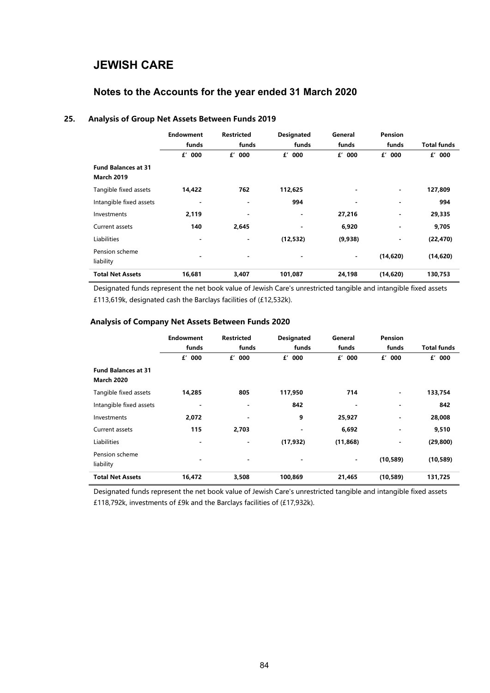## **Notes to the Accounts for the year ended 31 March 2020**

### **25. Analysis of Group Net Assets Between Funds 2019**

|                                                 | <b>Endowment</b> | <b>Restricted</b> | <b>Designated</b>        | General  | <b>Pension</b>           |                    |
|-------------------------------------------------|------------------|-------------------|--------------------------|----------|--------------------------|--------------------|
|                                                 | funds            | funds             | funds                    | funds    | funds                    | <b>Total funds</b> |
|                                                 | $f'$ 000         | $E'$ 000          | $f'$ 000                 | $f'$ 000 | $E'$ 000                 | $E'$ 000           |
| <b>Fund Balances at 31</b><br><b>March 2019</b> |                  |                   |                          |          |                          |                    |
| Tangible fixed assets                           | 14,422           | 762               | 112,625                  |          |                          | 127,809            |
| Intangible fixed assets                         | ۰                | ۰                 | 994                      |          | ٠                        | 994                |
| Investments                                     | 2,119            | ۰                 | $\overline{\phantom{a}}$ | 27,216   | ٠                        | 29,335             |
| Current assets                                  | 140              | 2,645             | $\overline{\phantom{0}}$ | 6,920    | $\overline{\phantom{a}}$ | 9,705              |
| <b>Liabilities</b>                              |                  | ۰                 | (12, 532)                | (9,938)  | $\overline{\phantom{a}}$ | (22, 470)          |
| Pension scheme<br>liability                     | ۰                | ۰                 |                          | ۰        | (14, 620)                | (14,620)           |
| <b>Total Net Assets</b>                         | 16,681           | 3,407             | 101,087                  | 24,198   | (14,620)                 | 130,753            |

Designated funds represent the net book value of Jewish Care's unrestricted tangible and intangible fixed assets £113,619k, designated cash the Barclays facilities of (£12,532k).

|                            | <b>Endowment</b> | <b>Restricted</b> | <b>Designated</b> | General   | <b>Pension</b> |                    |
|----------------------------|------------------|-------------------|-------------------|-----------|----------------|--------------------|
|                            | funds            | funds             | funds             | funds     | funds          | <b>Total funds</b> |
|                            | $E'$ 000         | $f'$ 000          | $f'$ 000          | $f'$ 000  | $E'$ 000       | $f'$ 000           |
| <b>Fund Balances at 31</b> |                  |                   |                   |           |                |                    |
| <b>March 2020</b>          |                  |                   |                   |           |                |                    |
| Tangible fixed assets      | 14,285           | 805               | 117,950           | 714       | ۰.             | 133,754            |
| Intangible fixed assets    | ۰                | ٠                 | 842               | ٠         | ۰              | 842                |
| Investments                | 2,072            | ۰                 | 9                 | 25,927    | ۰              | 28,008             |
| Current assets             | 115              | 2,703             | ٠                 | 6,692     | ٠              | 9,510              |
| Liabilities                | ٠                | ٠                 | (17, 932)         | (11, 868) | ۰.             | (29, 800)          |
| Pension scheme             | ۰                | ۰                 | ٠                 | ۰.        | (10, 589)      | (10, 589)          |
| liability                  |                  |                   |                   |           |                |                    |
| <b>Total Net Assets</b>    | 16,472           | 3,508             | 100,869           | 21,465    | (10, 589)      | 131,725            |

### **Analysis of Company Net Assets Between Funds 2020**

Designated funds represent the net book value of Jewish Care's unrestricted tangible and intangible fixed assets £118,792k, investments of £9k and the Barclays facilities of (£17,932k).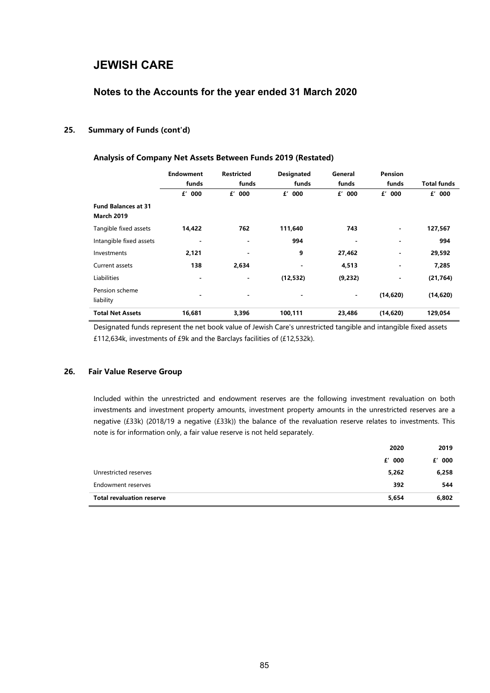## **Notes to the Accounts for the year ended 31 March 2020**

#### **25. Summary of Funds (cont'd)**

#### **Analysis of Company Net Assets Between Funds 2019 (Restated)**

|                                                 | <b>Endowment</b> | <b>Restricted</b> | <b>Designated</b>        | General  | <b>Pension</b> |                    |
|-------------------------------------------------|------------------|-------------------|--------------------------|----------|----------------|--------------------|
|                                                 | funds            | funds             | funds                    | funds    | funds          | <b>Total funds</b> |
|                                                 | $E'$ 000         | $f'$ 000          | $E'$ 000                 | $E'$ 000 | $f'$ 000       | $f'$ 000           |
| <b>Fund Balances at 31</b><br><b>March 2019</b> |                  |                   |                          |          |                |                    |
| Tangible fixed assets                           | 14,422           | 762               | 111,640                  | 743      | -              | 127,567            |
| Intangible fixed assets                         |                  | ٠                 | 994                      |          | ٠              | 994                |
| Investments                                     | 2,121            | ۰                 | 9                        | 27,462   |                | 29,592             |
| Current assets                                  | 138              | 2,634             | $\overline{\phantom{0}}$ | 4,513    | ٠              | 7,285              |
| Liabilities                                     | ٠                | ٠                 | (12, 532)                | (9,232)  | ٠              | (21, 764)          |
| Pension scheme<br>liability                     |                  |                   |                          | ۰        | (14, 620)      | (14,620)           |
| <b>Total Net Assets</b>                         | 16,681           | 3,396             | 100,111                  | 23,486   | (14, 620)      | 129,054            |

Designated funds represent the net book value of Jewish Care's unrestricted tangible and intangible fixed assets £112,634k, investments of £9k and the Barclays facilities of (£12,532k).

#### **26. Fair Value Reserve Group**

Included within the unrestricted and endowment reserves are the following investment revaluation on both investments and investment property amounts, investment property amounts in the unrestricted reserves are a negative (£33k) (2018/19 a negative (£33k)) the balance of the revaluation reserve relates to investments. This note is for information only, a fair value reserve is not held separately.

| <b>Total revaluation reserve</b><br>5,654 | 6,802    |
|-------------------------------------------|----------|
| 392<br>Endowment reserves                 | 544      |
| Unrestricted reserves<br>5,262            | 6,258    |
| £' 000                                    | $f'$ 000 |
| 2020                                      | 2019     |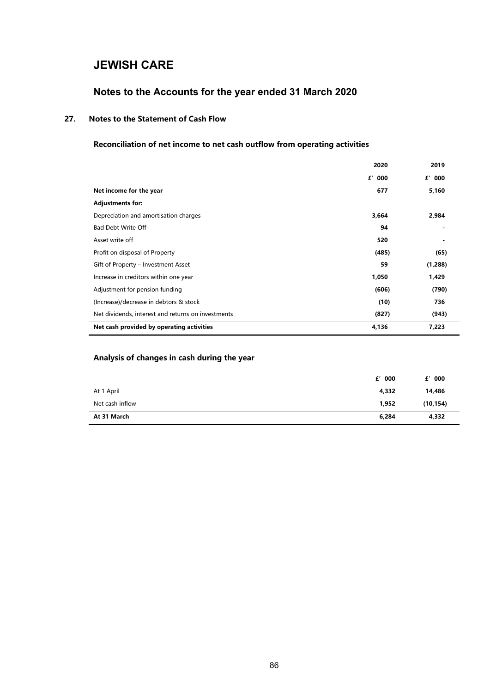# **Notes to the Accounts for the year ended 31 March 2020**

## **27. Notes to the Statement of Cash Flow**

## **Reconciliation of net income to net cash outflow from operating activities**

|                                                    | 2020     | 2019     |
|----------------------------------------------------|----------|----------|
|                                                    | $f'$ 000 | $f'$ 000 |
| Net income for the year                            | 677      | 5,160    |
| <b>Adjustments for:</b>                            |          |          |
| Depreciation and amortisation charges              | 3,664    | 2,984    |
| <b>Bad Debt Write Off</b>                          | 94       |          |
| Asset write off                                    | 520      |          |
| Profit on disposal of Property                     | (485)    | (65)     |
| Gift of Property – Investment Asset                | 59       | (1, 288) |
| Increase in creditors within one year              | 1,050    | 1,429    |
| Adjustment for pension funding                     | (606)    | (790)    |
| (Increase)/decrease in debtors & stock             | (10)     | 736      |
| Net dividends, interest and returns on investments | (827)    | (943)    |
| Net cash provided by operating activities          | 4,136    | 7,223    |

# **Analysis of changes in cash during the year**

|                 | $f'$ 000 | $f'$ 000  |
|-----------------|----------|-----------|
| At 1 April      | 4,332    | 14,486    |
| Net cash inflow | 1,952    | (10, 154) |
| At 31 March     | 6,284    | 4,332     |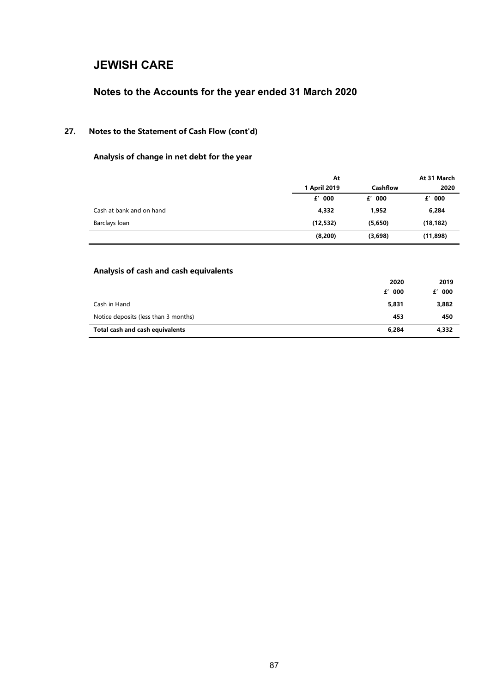# **Notes to the Accounts for the year ended 31 March 2020**

## **27. Notes to the Statement of Cash Flow (cont'd)**

## **Analysis of change in net debt for the year**

|                          | At           |          | At 31 March |  |
|--------------------------|--------------|----------|-------------|--|
|                          | 1 April 2019 | Cashflow | 2020        |  |
|                          | $f'$ 000     | $E'$ 000 | $f'$ 000    |  |
| Cash at bank and on hand | 4,332        | 1,952    | 6,284       |  |
| Barclays Ioan            | (12, 532)    | (5,650)  | (18, 182)   |  |
|                          | (8, 200)     | (3,698)  | (11, 898)   |  |

### **Analysis of cash and cash equivalents**

|                                      | 2020   | 2019     |
|--------------------------------------|--------|----------|
|                                      | £' 000 | $f'$ 000 |
| Cash in Hand                         | 5,831  | 3,882    |
| Notice deposits (less than 3 months) | 453    | 450      |
| Total cash and cash equivalents      | 6,284  | 4,332    |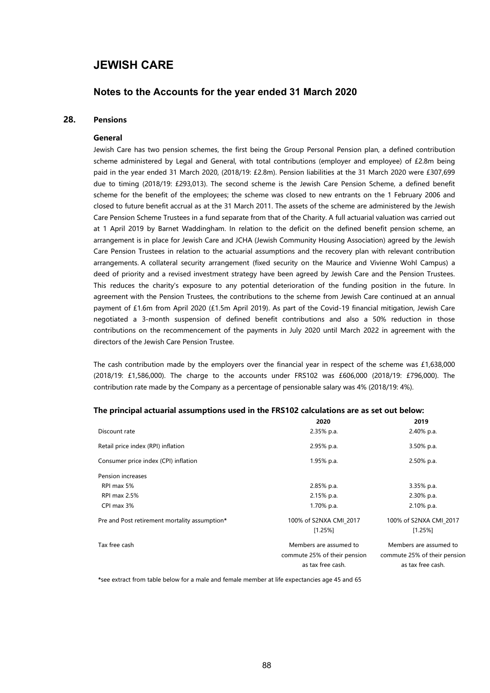### **Notes to the Accounts for the year ended 31 March 2020**

#### **28. Pensions**

#### **General**

Jewish Care has two pension schemes, the first being the Group Personal Pension plan, a defined contribution scheme administered by Legal and General, with total contributions (employer and employee) of £2.8m being paid in the year ended 31 March 2020, (2018/19: £2.8m). Pension liabilities at the 31 March 2020 were £307,699 due to timing (2018/19: £293,013). The second scheme is the Jewish Care Pension Scheme, a defined benefit scheme for the benefit of the employees; the scheme was closed to new entrants on the 1 February 2006 and closed to future benefit accrual as at the 31 March 2011. The assets of the scheme are administered by the Jewish Care Pension Scheme Trustees in a fund separate from that of the Charity. A full actuarial valuation was carried out at 1 April 2019 by Barnet Waddingham. In relation to the deficit on the defined benefit pension scheme, an arrangement is in place for Jewish Care and JCHA (Jewish Community Housing Association) agreed by the Jewish Care Pension Trustees in relation to the actuarial assumptions and the recovery plan with relevant contribution arrangements. A collateral security arrangement (fixed security on the Maurice and Vivienne Wohl Campus) a deed of priority and a revised investment strategy have been agreed by Jewish Care and the Pension Trustees. This reduces the charity's exposure to any potential deterioration of the funding position in the future. In agreement with the Pension Trustees, the contributions to the scheme from Jewish Care continued at an annual payment of £1.6m from April 2020 (£1.5m April 2019). As part of the Covid-19 financial mitigation, Jewish Care negotiated a 3-month suspension of defined benefit contributions and also a 50% reduction in those contributions on the recommencement of the payments in July 2020 until March 2022 in agreement with the directors of the Jewish Care Pension Trustee.

The cash contribution made by the employers over the financial year in respect of the scheme was £1,638,000 (2018/19: £1,586,000). The charge to the accounts under FRS102 was £606,000 (2018/19: £796,000). The contribution rate made by the Company as a percentage of pensionable salary was 4% (2018/19: 4%).

|                                               | 2020                         | 2019                         |
|-----------------------------------------------|------------------------------|------------------------------|
| Discount rate                                 | 2.35% p.a.                   | 2.40% p.a.                   |
| Retail price index (RPI) inflation            | 2.95% p.a.                   | 3.50% p.a.                   |
| Consumer price index (CPI) inflation          | 1.95% p.a.                   | 2.50% p.a.                   |
| Pension increases                             |                              |                              |
| RPI max 5%                                    | 2.85% p.a.                   | 3.35% p.a.                   |
| <b>RPI max 2.5%</b>                           | 2.15% p.a.                   | 2.30% p.a.                   |
| CPI max 3%                                    | 1.70% p.a.                   | 2.10% p.a.                   |
| Pre and Post retirement mortality assumption* | 100% of S2NXA CMI 2017       | 100% of S2NXA CMI 2017       |
|                                               | $[1.25\%]$                   | $[1.25\%]$                   |
| Tax free cash                                 | Members are assumed to       | Members are assumed to       |
|                                               | commute 25% of their pension | commute 25% of their pension |
|                                               | as tax free cash.            | as tax free cash.            |
|                                               |                              |                              |

#### **The principal actuarial assumptions used in the FRS102 calculations are as set out below:**

**\***see extract from table below for a male and female member at life expectancies age 45 and 65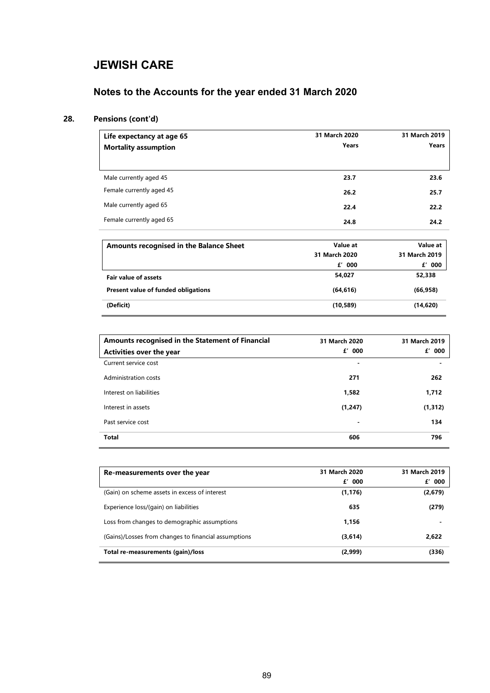# **Notes to the Accounts for the year ended 31 March 2020**

## **28. Pensions (cont'd)**

| Life expectancy at age 65                      | 31 March 2020 | 31 March 2019 |
|------------------------------------------------|---------------|---------------|
| <b>Mortality assumption</b>                    | Years         | Years         |
|                                                |               |               |
| Male currently aged 45                         | 23.7          | 23.6          |
| Female currently aged 45                       | 26.2          | 25.7          |
| Male currently aged 65                         | 22.4          | 22.2          |
| Female currently aged 65                       | 24.8          | 24.2          |
|                                                |               |               |
| <b>Amounts recognised in the Balance Sheet</b> | Value at      | Value at      |
|                                                | 31 March 2020 | 31 March 2019 |
|                                                | $E'$ 000      | $f'$ 000      |
| <b>Fair value of assets</b>                    | 54,027        | 52,338        |
| Present value of funded obligations            | (64, 616)     | (66, 958)     |
| (Deficit)                                      | (10, 589)     | (14, 620)     |

| Amounts recognised in the Statement of Financial | 31 March 2020 | 31 March 2019  |  |
|--------------------------------------------------|---------------|----------------|--|
| <b>Activities over the year</b>                  | $f'$ 000      | $f'$ 000       |  |
| Current service cost                             |               | $\overline{a}$ |  |
| Administration costs                             | 271           | 262            |  |
| Interest on liabilities                          | 1.582         | 1,712          |  |
| Interest in assets                               | (1,247)       | (1,312)        |  |
| Past service cost                                | ۰             | 134            |  |
| <b>Total</b>                                     | 606           | 796            |  |

| Re-measurements over the year                        | 31 March 2020 | 31 March 2019 |
|------------------------------------------------------|---------------|---------------|
|                                                      | $E'$ 000      | $E'$ 000      |
| (Gain) on scheme assets in excess of interest        | (1, 176)      | (2,679)       |
| Experience loss/(gain) on liabilities                | 635           | (279)         |
| Loss from changes to demographic assumptions         | 1.156         |               |
| (Gains)/Losses from changes to financial assumptions | (3,614)       | 2,622         |
| Total re-measurements (gain)/loss                    | (2,999)       | (336)         |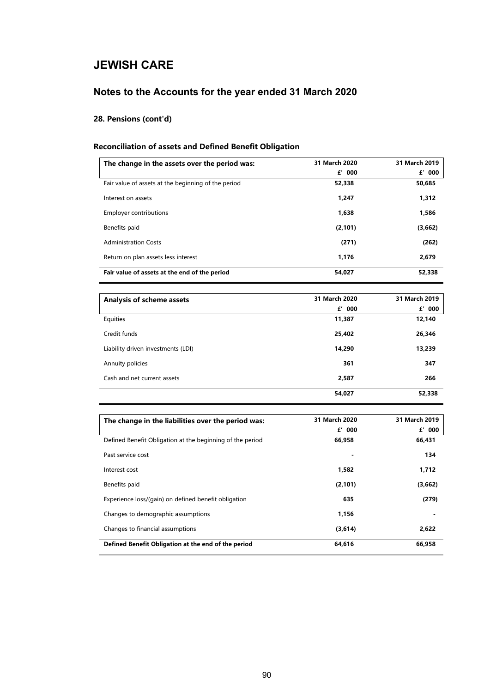# **Notes to the Accounts for the year ended 31 March 2020**

## **28. Pensions (cont'd)**

## **Reconciliation of assets and Defined Benefit Obligation**

| The change in the assets over the period was:       | 31 March 2020 | 31 March 2019 |
|-----------------------------------------------------|---------------|---------------|
|                                                     | $f'$ 000      | $E'$ 000      |
| Fair value of assets at the beginning of the period | 52,338        | 50,685        |
| Interest on assets                                  | 1.247         | 1,312         |
| <b>Employer contributions</b>                       | 1,638         | 1,586         |
| Benefits paid                                       | (2, 101)      | (3,662)       |
| <b>Administration Costs</b>                         | (271)         | (262)         |
| Return on plan assets less interest                 | 1.176         | 2,679         |
| Fair value of assets at the end of the period       | 54,027        | 52,338        |

| Analysis of scheme assets          | 31 March 2020 | 31 March 2019 |
|------------------------------------|---------------|---------------|
|                                    | £' 000        | $f'$ 000      |
| Equities                           | 11,387        | 12,140        |
| Credit funds                       | 25,402        | 26,346        |
| Liability driven investments (LDI) | 14.290        | 13,239        |
| Annuity policies                   | 361           | 347           |
| Cash and net current assets        | 2,587         | 266           |
|                                    | 54,027        | 52,338        |

| The change in the liabilities over the period was:        | 31 March 2020 | 31 March 2019 |
|-----------------------------------------------------------|---------------|---------------|
|                                                           | $f'$ 000      | $f'$ 000      |
| Defined Benefit Obligation at the beginning of the period | 66.958        | 66,431        |
| Past service cost                                         |               | 134           |
| Interest cost                                             | 1,582         | 1,712         |
| Benefits paid                                             | (2, 101)      | (3,662)       |
| Experience loss/(gain) on defined benefit obligation      | 635           | (279)         |
| Changes to demographic assumptions                        | 1,156         | ٠             |
| Changes to financial assumptions                          | (3,614)       | 2,622         |
| Defined Benefit Obligation at the end of the period       | 64,616        | 66,958        |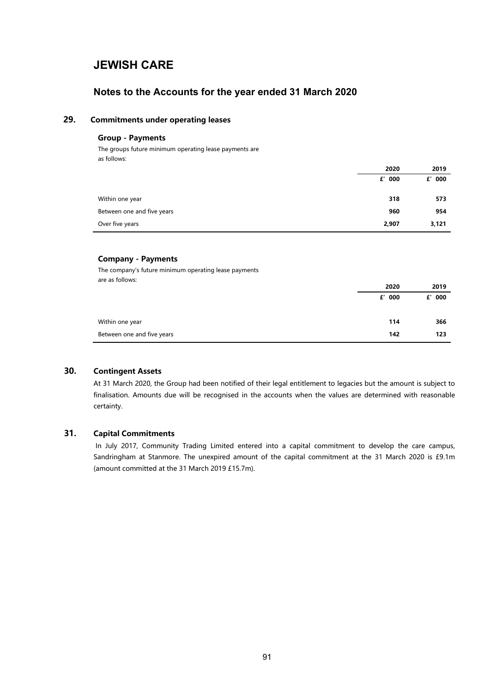## **Notes to the Accounts for the year ended 31 March 2020**

### **29. Commitments under operating leases**

#### **Group - Payments**

The groups future minimum operating lease payments are as follows:

|                            | 2020     | 2019     |
|----------------------------|----------|----------|
|                            | $f'$ 000 | $f'$ 000 |
| Within one year            | 318      | 573      |
| Between one and five years | 960      | 954      |
| Over five years            | 2,907    | 3,121    |

#### **Company - Payments**

The company's future minimum operating lease payments are as follows:

| are as follows.            |        |          |
|----------------------------|--------|----------|
|                            | 2020   | 2019     |
|                            | £' 000 | $f'$ 000 |
| Within one year            | 114    | 366      |
| Between one and five years | 142    | 123      |

### **30. Contingent Assets**

L,

-

At 31 March 2020, the Group had been notified of their legal entitlement to legacies but the amount is subject to finalisation. Amounts due will be recognised in the accounts when the values are determined with reasonable certainty.

### **31. Capital Commitments**

In July 2017, Community Trading Limited entered into a capital commitment to develop the care campus, Sandringham at Stanmore. The unexpired amount of the capital commitment at the 31 March 2020 is £9.1m (amount committed at the 31 March 2019 £15.7m).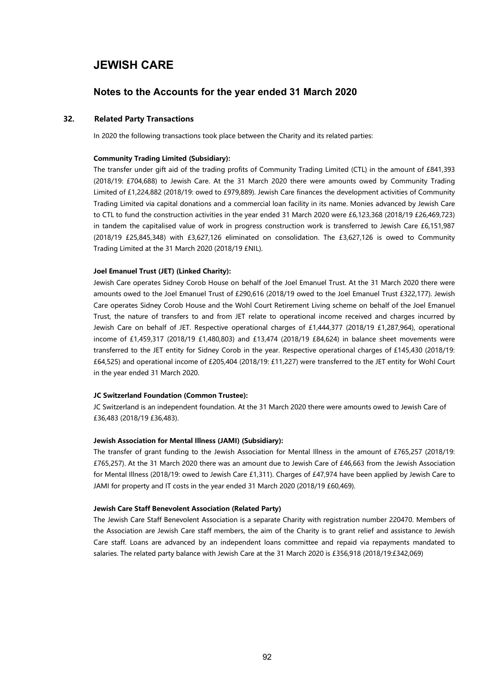## **Notes to the Accounts for the year ended 31 March 2020**

#### **32. Related Party Transactions**

In 2020 the following transactions took place between the Charity and its related parties:

#### **Community Trading Limited (Subsidiary):**

The transfer under gift aid of the trading profits of Community Trading Limited (CTL) in the amount of £841,393 (2018/19: £704,688) to Jewish Care. At the 31 March 2020 there were amounts owed by Community Trading Limited of £1,224,882 (2018/19: owed to £979,889). Jewish Care finances the development activities of Community Trading Limited via capital donations and a commercial loan facility in its name. Monies advanced by Jewish Care to CTL to fund the construction activities in the year ended 31 March 2020 were £6,123,368 (2018/19 £26,469,723) in tandem the capitalised value of work in progress construction work is transferred to Jewish Care £6,151,987 (2018/19 £25,845,348) with £3,627,126 eliminated on consolidation. The £3,627,126 is owed to Community Trading Limited at the 31 March 2020 (2018/19 £NIL).

#### **Joel Emanuel Trust (JET) (Linked Charity):**

Jewish Care operates Sidney Corob House on behalf of the Joel Emanuel Trust. At the 31 March 2020 there were amounts owed to the Joel Emanuel Trust of £290,616 (2018/19 owed to the Joel Emanuel Trust £322,177). Jewish Care operates Sidney Corob House and the Wohl Court Retirement Living scheme on behalf of the Joel Emanuel Trust, the nature of transfers to and from JET relate to operational income received and charges incurred by Jewish Care on behalf of JET. Respective operational charges of £1,444,377 (2018/19 £1,287,964), operational income of £1,459,317 (2018/19 £1,480,803) and £13,474 (2018/19 £84,624) in balance sheet movements were transferred to the JET entity for Sidney Corob in the year. Respective operational charges of £145,430 (2018/19: £64,525) and operational income of £205,404 (2018/19: £11,227) were transferred to the JET entity for Wohl Court in the year ended 31 March 2020.

#### **JC Switzerland Foundation (Common Trustee):**

JC Switzerland is an independent foundation. At the 31 March 2020 there were amounts owed to Jewish Care of £36,483 (2018/19 £36,483).

#### **Jewish Association for Mental Illness (JAMI) (Subsidiary):**

The transfer of grant funding to the Jewish Association for Mental Illness in the amount of £765,257 (2018/19: £765,257). At the 31 March 2020 there was an amount due to Jewish Care of £46,663 from the Jewish Association for Mental Illness (2018/19: owed to Jewish Care £1,311). Charges of £47,974 have been applied by Jewish Care to JAMI for property and IT costs in the year ended 31 March 2020 (2018/19 £60,469).

#### **Jewish Care Staff Benevolent Association (Related Party)**

The Jewish Care Staff Benevolent Association is a separate Charity with registration number 220470. Members of the Association are Jewish Care staff members, the aim of the Charity is to grant relief and assistance to Jewish Care staff. Loans are advanced by an independent loans committee and repaid via repayments mandated to salaries. The related party balance with Jewish Care at the 31 March 2020 is £356,918 (2018/19:£342,069)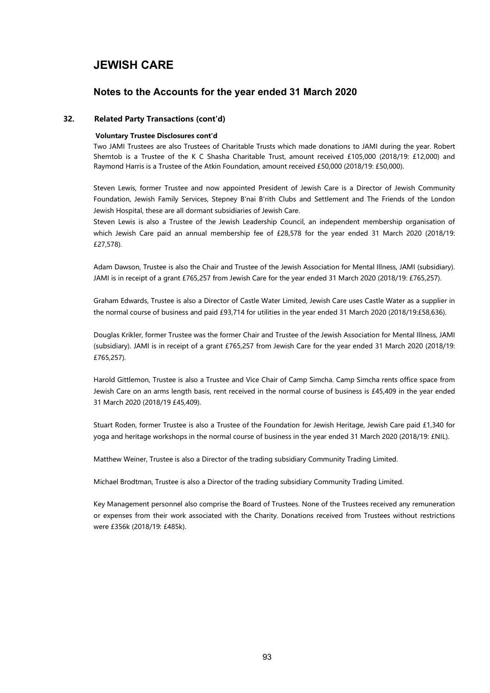## **Notes to the Accounts for the year ended 31 March 2020**

#### **32. Related Party Transactions (cont'd)**

#### **Voluntary Trustee Disclosures cont'd**

Two JAMI Trustees are also Trustees of Charitable Trusts which made donations to JAMI during the year. Robert Shemtob is a Trustee of the K C Shasha Charitable Trust, amount received £105,000 (2018/19: £12,000) and Raymond Harris is a Trustee of the Atkin Foundation, amount received £50,000 (2018/19: £50,000).

Steven Lewis, former Trustee and now appointed President of Jewish Care is a Director of Jewish Community Foundation, Jewish Family Services, Stepney B'nai B'rith Clubs and Settlement and The Friends of the London Jewish Hospital, these are all dormant subsidiaries of Jewish Care.

Steven Lewis is also a Trustee of the Jewish Leadership Council, an independent membership organisation of which Jewish Care paid an annual membership fee of £28,578 for the year ended 31 March 2020 (2018/19: £27,578).

Adam Dawson, Trustee is also the Chair and Trustee of the Jewish Association for Mental Illness, JAMI (subsidiary). JAMI is in receipt of a grant £765,257 from Jewish Care for the year ended 31 March 2020 (2018/19: £765,257).

Graham Edwards, Trustee is also a Director of Castle Water Limited, Jewish Care uses Castle Water as a supplier in the normal course of business and paid £93,714 for utilities in the year ended 31 March 2020 (2018/19:£58,636).

Douglas Krikler, former Trustee was the former Chair and Trustee of the Jewish Association for Mental Illness, JAMI (subsidiary). JAMI is in receipt of a grant £765,257 from Jewish Care for the year ended 31 March 2020 (2018/19: £765,257).

Harold Gittlemon, Trustee is also a Trustee and Vice Chair of Camp Simcha. Camp Simcha rents office space from Jewish Care on an arms length basis, rent received in the normal course of business is £45,409 in the year ended 31 March 2020 (2018/19 £45,409).

Stuart Roden, former Trustee is also a Trustee of the Foundation for Jewish Heritage, Jewish Care paid £1,340 for yoga and heritage workshops in the normal course of business in the year ended 31 March 2020 (2018/19: £NIL).

Matthew Weiner, Trustee is also a Director of the trading subsidiary Community Trading Limited.

Michael Brodtman, Trustee is also a Director of the trading subsidiary Community Trading Limited.

Key Management personnel also comprise the Board of Trustees. None of the Trustees received any remuneration or expenses from their work associated with the Charity. Donations received from Trustees without restrictions were £356k (2018/19: £485k).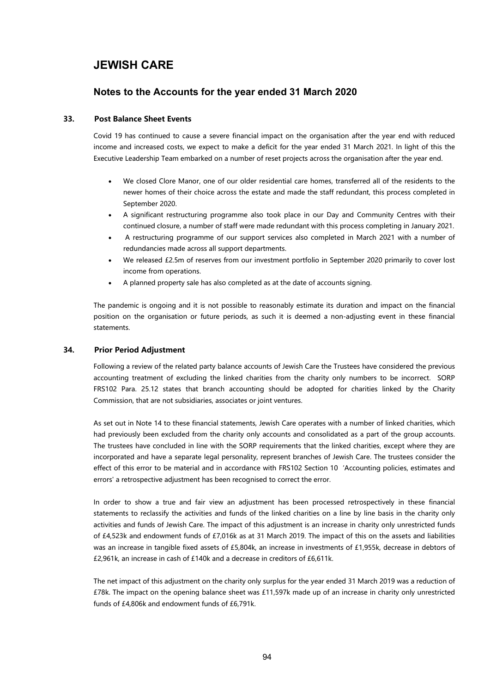## **Notes to the Accounts for the year ended 31 March 2020**

#### **33. Post Balance Sheet Events**

Covid 19 has continued to cause a severe financial impact on the organisation after the year end with reduced income and increased costs, we expect to make a deficit for the year ended 31 March 2021. In light of this the Executive Leadership Team embarked on a number of reset projects across the organisation after the year end.

- We closed Clore Manor, one of our older residential care homes, transferred all of the residents to the newer homes of their choice across the estate and made the staff redundant, this process completed in September 2020.
- A significant restructuring programme also took place in our Day and Community Centres with their continued closure, a number of staff were made redundant with this process completing in January 2021.
- A restructuring programme of our support services also completed in March 2021 with a number of redundancies made across all support departments.
- We released £2.5m of reserves from our investment portfolio in September 2020 primarily to cover lost income from operations.
- A planned property sale has also completed as at the date of accounts signing.

The pandemic is ongoing and it is not possible to reasonably estimate its duration and impact on the financial position on the organisation or future periods, as such it is deemed a non-adjusting event in these financial statements.

#### **34. Prior Period Adjustment**

Following a review of the related party balance accounts of Jewish Care the Trustees have considered the previous accounting treatment of excluding the linked charities from the charity only numbers to be incorrect. SORP FRS102 Para. 25.12 states that branch accounting should be adopted for charities linked by the Charity Commission, that are not subsidiaries, associates or joint ventures.

As set out in Note 14 to these financial statements, Jewish Care operates with a number of linked charities, which had previously been excluded from the charity only accounts and consolidated as a part of the group accounts. The trustees have concluded in line with the SORP requirements that the linked charities, except where they are incorporated and have a separate legal personality, represent branches of Jewish Care. The trustees consider the effect of this error to be material and in accordance with FRS102 Section 10'Accounting policies, estimates and errors' a retrospective adjustment has been recognised to correct the error.

In order to show a true and fair view an adjustment has been processed retrospectively in these financial statements to reclassify the activities and funds of the linked charities on a line by line basis in the charity only activities and funds of Jewish Care. The impact of this adjustment is an increase in charity only unrestricted funds of £4,523k and endowment funds of £7,016k as at 31 March 2019. The impact of this on the assets and liabilities was an increase in tangible fixed assets of £5,804k, an increase in investments of £1,955k, decrease in debtors of £2,961k, an increase in cash of £140k and a decrease in creditors of £6,611k.

The net impact of this adjustment on the charity only surplus for the year ended 31 March 2019 was a reduction of £78k. The impact on the opening balance sheet was £11,597k made up of an increase in charity only unrestricted funds of £4,806k and endowment funds of £6,791k.